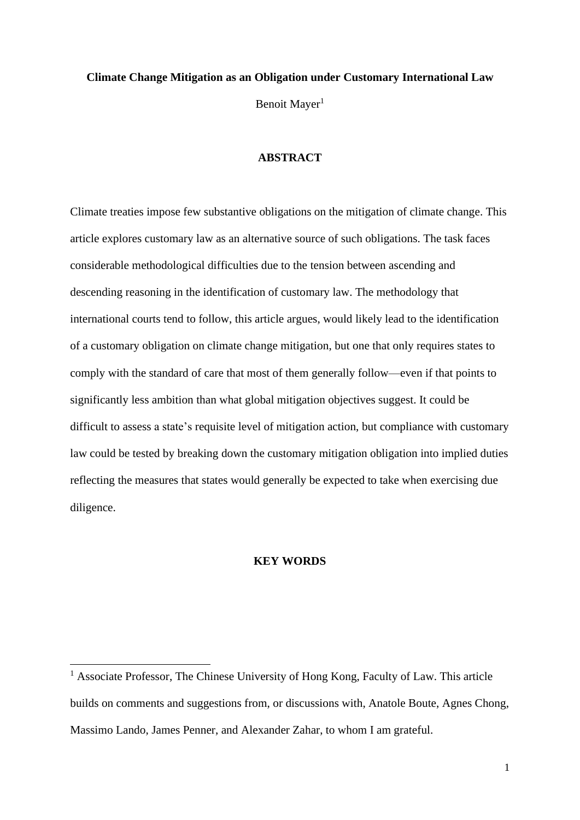# **Climate Change Mitigation as an Obligation under Customary International Law** Benoit Mayer<sup>1</sup>

#### **ABSTRACT**

Climate treaties impose few substantive obligations on the mitigation of climate change. This article explores customary law as an alternative source of such obligations. The task faces considerable methodological difficulties due to the tension between ascending and descending reasoning in the identification of customary law. The methodology that international courts tend to follow, this article argues, would likely lead to the identification of a customary obligation on climate change mitigation, but one that only requires states to comply with the standard of care that most of them generally follow—even if that points to significantly less ambition than what global mitigation objectives suggest. It could be difficult to assess a state's requisite level of mitigation action, but compliance with customary law could be tested by breaking down the customary mitigation obligation into implied duties reflecting the measures that states would generally be expected to take when exercising due diligence.

#### **KEY WORDS**

<sup>&</sup>lt;sup>1</sup> Associate Professor, The Chinese University of Hong Kong, Faculty of Law. This article builds on comments and suggestions from, or discussions with, Anatole Boute, Agnes Chong, Massimo Lando, James Penner, and Alexander Zahar, to whom I am grateful.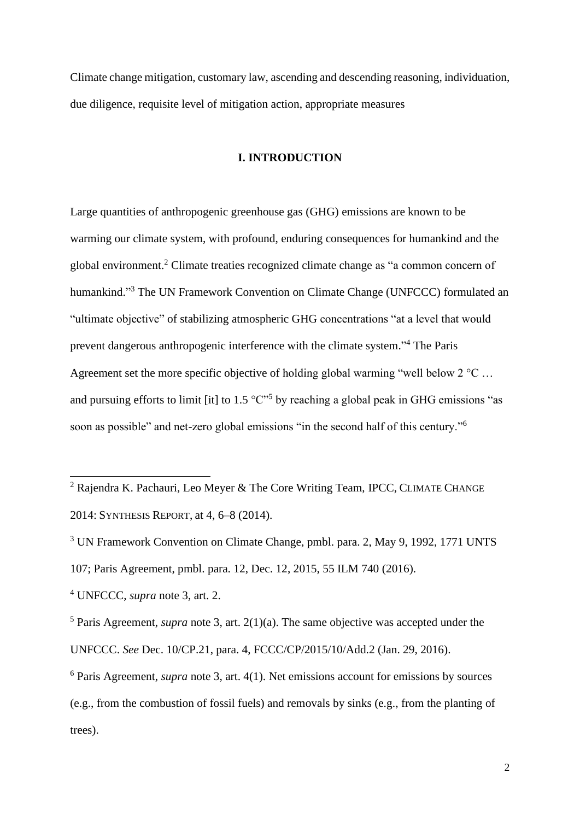Climate change mitigation, customary law, ascending and descending reasoning, individuation, due diligence, requisite level of mitigation action, appropriate measures

## **I. INTRODUCTION**

<span id="page-1-0"></span>Large quantities of anthropogenic greenhouse gas (GHG) emissions are known to be warming our climate system, with profound, enduring consequences for humankind and the global environment.<sup>2</sup> Climate treaties recognized climate change as "a common concern of humankind."<sup>3</sup> The UN Framework Convention on Climate Change (UNFCCC) formulated an "ultimate objective" of stabilizing atmospheric GHG concentrations "at a level that would prevent dangerous anthropogenic interference with the climate system." <sup>4</sup> The Paris Agreement set the more specific objective of holding global warming "well below 2 °C ... and pursuing efforts to limit [it] to 1.5  $\mathrm{°C}^{\mathrm{''5}}$  by reaching a global peak in GHG emissions "as soon as possible" and net-zero global emissions "in the second half of this century."<sup>6</sup>

<sup>4</sup> UNFCCC, *supra* note [3,](#page-1-0) art. 2.

<sup>5</sup> Paris Agreement, *supra* note [3,](#page-1-0) art. 2(1)(a). The same objective was accepted under the UNFCCC. *See* Dec. 10/CP.21, para. 4, FCCC/CP/2015/10/Add.2 (Jan. 29, 2016).

<sup>6</sup> Paris Agreement, *supra* note [3,](#page-1-0) art. 4(1). Net emissions account for emissions by sources (e.g., from the combustion of fossil fuels) and removals by sinks (e.g., from the planting of trees).

<span id="page-1-1"></span><sup>&</sup>lt;sup>2</sup> Rajendra K. Pachauri, Leo Meyer & The Core Writing Team, IPCC, CLIMATE CHANGE 2014: SYNTHESIS REPORT, at 4, 6–8 (2014).

<sup>&</sup>lt;sup>3</sup> UN Framework Convention on Climate Change, pmbl. para. 2, May 9, 1992, 1771 UNTS 107; Paris Agreement, pmbl. para. 12, Dec. 12, 2015, 55 ILM 740 (2016).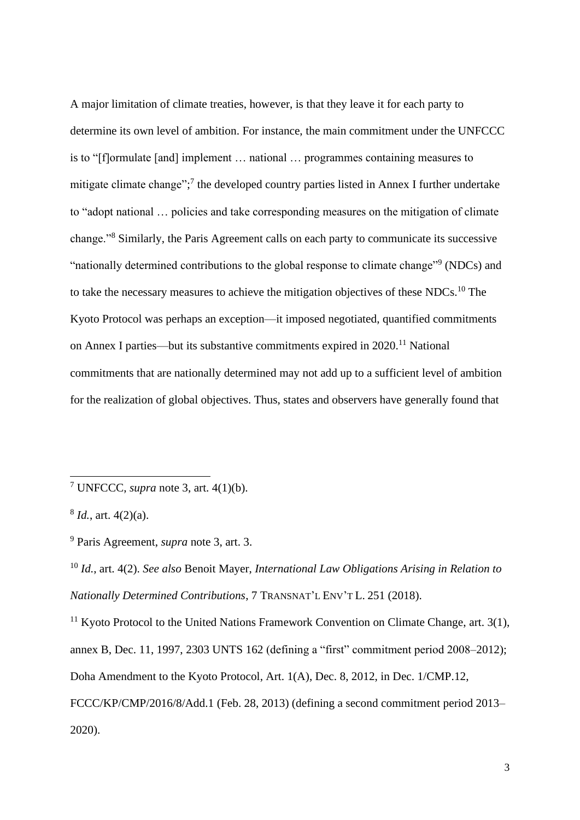A major limitation of climate treaties, however, is that they leave it for each party to determine its own level of ambition. For instance, the main commitment under the UNFCCC is to "[f]ormulate [and] implement … national … programmes containing measures to mitigate climate change";<sup>7</sup> the developed country parties listed in Annex I further undertake to "adopt national … policies and take corresponding measures on the mitigation of climate change."<sup>8</sup> Similarly, the Paris Agreement calls on each party to communicate its successive "nationally determined contributions to the global response to climate change"<sup>9</sup> (NDCs) and to take the necessary measures to achieve the mitigation objectives of these NDCs.<sup>10</sup> The Kyoto Protocol was perhaps an exception—it imposed negotiated, quantified commitments on Annex I parties—but its substantive commitments expired in 2020.<sup>11</sup> National commitments that are nationally determined may not add up to a sufficient level of ambition for the realization of global objectives. Thus, states and observers have generally found that

<span id="page-2-0"></span><sup>7</sup> UNFCCC, *supra* note [3,](#page-1-0) art. 4(1)(b).

<sup>8</sup> *Id.*, art. 4(2)(a).

<sup>9</sup> Paris Agreement, *supra* note [3,](#page-1-0) art. 3.

<sup>10</sup> *Id.*, art. 4(2). *See also* Benoit Mayer, *International Law Obligations Arising in Relation to Nationally Determined Contributions*, 7 TRANSNAT'L ENV'T L. 251 (2018).

<sup>&</sup>lt;sup>11</sup> Kyoto Protocol to the United Nations Framework Convention on Climate Change, art.  $3(1)$ , annex B, Dec. 11, 1997, 2303 UNTS 162 (defining a "first" commitment period 2008–2012); Doha Amendment to the Kyoto Protocol, Art. 1(A), Dec. 8, 2012, in Dec. 1/CMP.12, FCCC/KP/CMP/2016/8/Add.1 (Feb. 28, 2013) (defining a second commitment period 2013– 2020).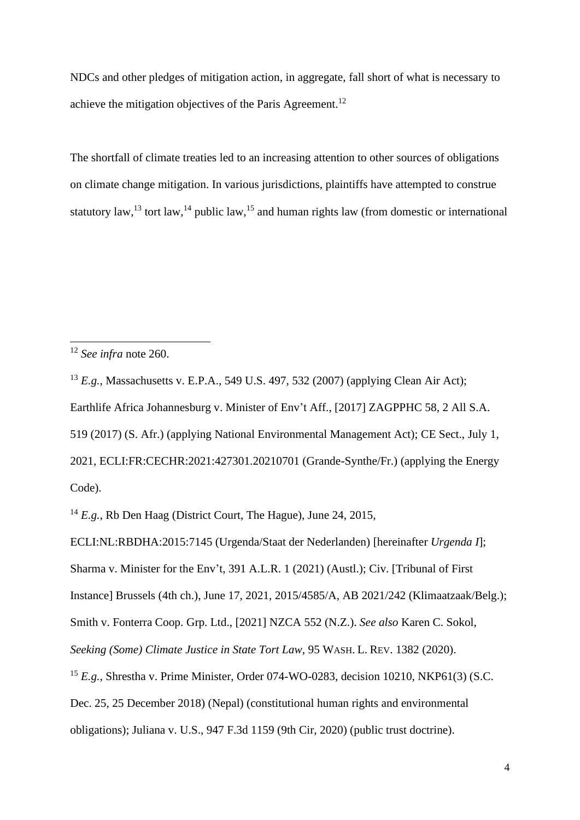NDCs and other pledges of mitigation action, in aggregate, fall short of what is necessary to achieve the mitigation objectives of the Paris Agreement.<sup>12</sup>

<span id="page-3-2"></span><span id="page-3-1"></span><span id="page-3-0"></span>The shortfall of climate treaties led to an increasing attention to other sources of obligations on climate change mitigation. In various jurisdictions, plaintiffs have attempted to construe statutory law,<sup>13</sup> tort law,<sup>14</sup> public law,<sup>15</sup> and human rights law (from domestic or international

<sup>13</sup> *E.g.*, Massachusetts v. E.P.A., 549 U.S. 497, 532 (2007) (applying Clean Air Act); Earthlife Africa Johannesburg v. Minister of Env't Aff., [2017] ZAGPPHC 58, 2 All S.A. 519 (2017) (S. Afr.) (applying National Environmental Management Act); CE Sect., July 1, 2021, ECLI:FR:CECHR:2021:427301.20210701 (Grande-Synthe/Fr.) (applying the Energy Code).

<sup>14</sup> *E.g.*, Rb Den Haag (District Court, The Hague), June 24, 2015,

ECLI:NL:RBDHA:2015:7145 (Urgenda/Staat der Nederlanden) [hereinafter *Urgenda I*]; Sharma v. Minister for the Env't, 391 A.L.R. 1 (2021) (Austl.); Civ. [Tribunal of First Instance] Brussels (4th ch.), June 17, 2021, 2015/4585/A, AB 2021/242 (Klimaatzaak/Belg.); Smith v. Fonterra Coop. Grp. Ltd., [2021] NZCA 552 (N.Z.). *See also* Karen C. Sokol, *Seeking (Some) Climate Justice in State Tort Law*, 95 WASH. L. REV. 1382 (2020). <sup>15</sup> *E.g.*, Shrestha v. Prime Minister, Order 074-WO-0283, decision 10210, NKP61(3) (S.C.

Dec. 25, 25 December 2018) (Nepal) (constitutional human rights and environmental obligations); Juliana v. U.S., 947 F.3d 1159 (9th Cir, 2020) (public trust doctrine).

<sup>12</sup> *See infra* note [260.](#page-71-0)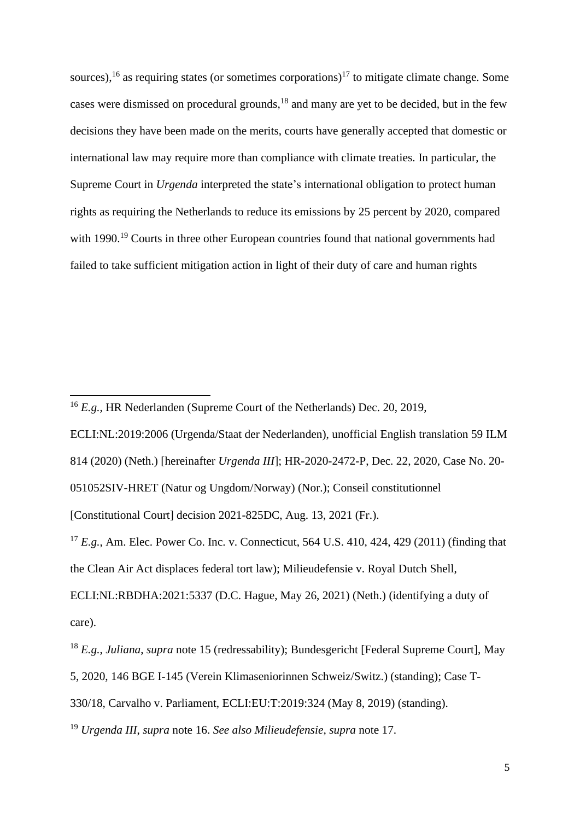<span id="page-4-1"></span><span id="page-4-0"></span>sources), <sup>16</sup> as requiring states (or sometimes corporations)<sup>17</sup> to mitigate climate change. Some cases were dismissed on procedural grounds,<sup>18</sup> and many are yet to be decided, but in the few decisions they have been made on the merits, courts have generally accepted that domestic or international law may require more than compliance with climate treaties. In particular, the Supreme Court in *Urgenda* interpreted the state's international obligation to protect human rights as requiring the Netherlands to reduce its emissions by 25 percent by 2020, compared with 1990.<sup>19</sup> Courts in three other European countries found that national governments had failed to take sufficient mitigation action in light of their duty of care and human rights

ECLI:NL:2019:2006 (Urgenda/Staat der Nederlanden), unofficial English translation 59 ILM 814 (2020) (Neth.) [hereinafter *Urgenda III*]; HR-2020-2472-P, Dec. 22, 2020, Case No. 20- 051052SIV-HRET (Natur og Ungdom/Norway) (Nor.); Conseil constitutionnel

[Constitutional Court] decision 2021-825DC, Aug. 13, 2021 (Fr.).

<sup>17</sup> *E.g.*, Am. Elec. Power Co. Inc. v. Connecticut, 564 U.S. 410, 424, 429 (2011) (finding that the Clean Air Act displaces federal tort law); Milieudefensie v. Royal Dutch Shell,

ECLI:NL:RBDHA:2021:5337 (D.C. Hague, May 26, 2021) (Neth.) (identifying a duty of care).

<sup>16</sup> *E.g.*, HR Nederlanden (Supreme Court of the Netherlands) Dec. 20, 2019,

<sup>18</sup> *E.g.*, *Juliana*, *supra* note [15](#page-3-0) (redressability); Bundesgericht [Federal Supreme Court], May 5, 2020, 146 BGE I-145 (Verein Klimaseniorinnen Schweiz/Switz.) (standing); Case T-330/18, Carvalho v. Parliament, ECLI:EU:T:2019:324 (May 8, 2019) (standing).

<sup>19</sup> *Urgenda III*, *supra* note [16.](#page-4-0) *See also Milieudefensie*, *supra* note [17.](#page-4-1)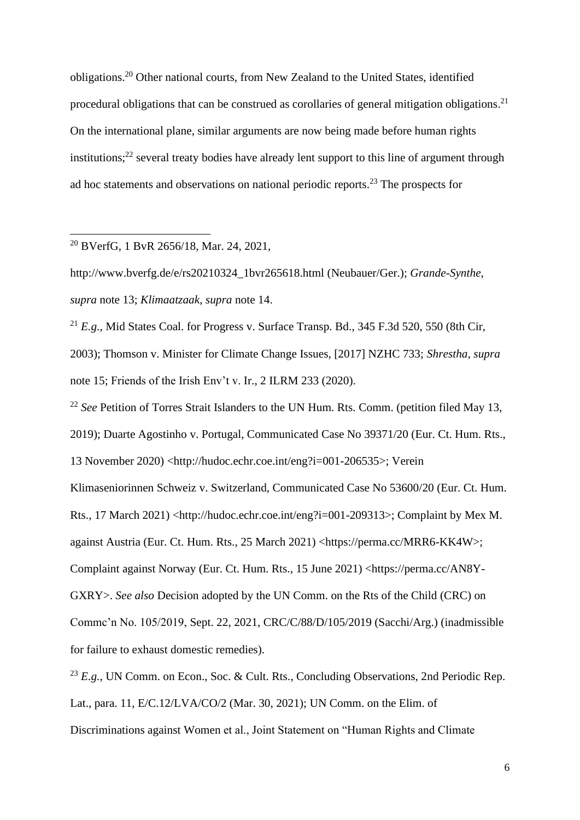<span id="page-5-0"></span>obligations. <sup>20</sup> Other national courts, from New Zealand to the United States, identified procedural obligations that can be construed as corollaries of general mitigation obligations.<sup>21</sup> On the international plane, similar arguments are now being made before human rights institutions;<sup>22</sup> several treaty bodies have already lent support to this line of argument through ad hoc statements and observations on national periodic reports. <sup>23</sup> The prospects for

<sup>20</sup> BVerfG, 1 BvR 2656/18, Mar. 24, 2021,

http://www.bverfg.de/e/rs20210324\_1bvr265618.html (Neubauer/Ger.); *Grande-Synthe*, *supra* note [13;](#page-3-1) *Klimaatzaak*, *supra* note [14.](#page-3-2)

<sup>21</sup> *E.g.*, Mid States Coal. for Progress v. Surface Transp. Bd.,  $345$  F.3d  $520$ ,  $550$  (8th Cir, 2003); Thomson v. Minister for Climate Change Issues, [2017] NZHC 733; *Shrestha*, *supra*  note [15;](#page-3-0) Friends of the Irish Env't v. Ir., 2 ILRM 233 (2020).

<sup>22</sup> *See* Petition of Torres Strait Islanders to the UN Hum. Rts. Comm. (petition filed May 13, 2019); Duarte Agostinho v. Portugal, Communicated Case No 39371/20 (Eur. Ct. Hum. Rts., 13 November 2020) <http://hudoc.echr.coe.int/eng?i=001-206535>; Verein Klimaseniorinnen Schweiz v. Switzerland, Communicated Case No 53600/20 (Eur. Ct. Hum. Rts., 17 March 2021) <http://hudoc.echr.coe.int/eng?i=001-209313>; Complaint by Mex M. against Austria (Eur. Ct. Hum. Rts., 25 March 2021) <https://perma.cc/MRR6-KK4W>; Complaint against Norway (Eur. Ct. Hum. Rts., 15 June 2021) <https://perma.cc/AN8Y-GXRY>. *See also* Decision adopted by the UN Comm. on the Rts of the Child (CRC) on Commc'n No. 105/2019, Sept. 22, 2021, CRC/C/88/D/105/2019 (Sacchi/Arg.) (inadmissible for failure to exhaust domestic remedies).

<sup>23</sup> *E.g.*, UN Comm. on Econ., Soc. & Cult. Rts., Concluding Observations, 2nd Periodic Rep. Lat., para. 11, E/C.12/LVA/CO/2 (Mar. 30, 2021); UN Comm. on the Elim. of Discriminations against Women et al., Joint Statement on "Human Rights and Climate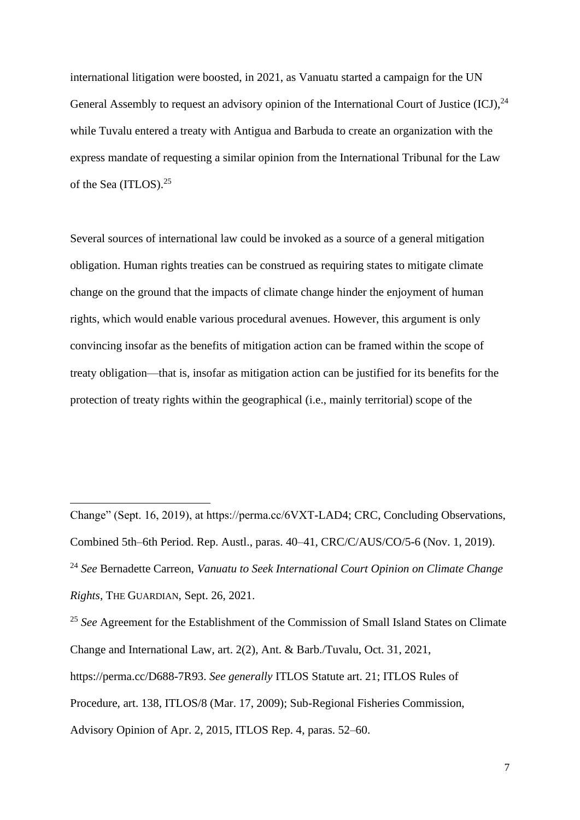international litigation were boosted, in 2021, as Vanuatu started a campaign for the UN General Assembly to request an advisory opinion of the International Court of Justice  $(ICJ)$ ,  $^{24}$ while Tuvalu entered a treaty with Antigua and Barbuda to create an organization with the express mandate of requesting a similar opinion from the International Tribunal for the Law of the Sea (ITLOS). 25

<span id="page-6-0"></span>Several sources of international law could be invoked as a source of a general mitigation obligation. Human rights treaties can be construed as requiring states to mitigate climate change on the ground that the impacts of climate change hinder the enjoyment of human rights, which would enable various procedural avenues. However, this argument is only convincing insofar as the benefits of mitigation action can be framed within the scope of treaty obligation—that is, insofar as mitigation action can be justified for its benefits for the protection of treaty rights within the geographical (i.e., mainly territorial) scope of the

<sup>25</sup> See Agreement for the Establishment of the Commission of Small Island States on Climate Change and International Law, art. 2(2), Ant. & Barb./Tuvalu, Oct. 31, 2021, https://perma.cc/D688-7R93. *See generally* ITLOS Statute art. 21; ITLOS Rules of Procedure, art. 138, ITLOS/8 (Mar. 17, 2009); Sub-Regional Fisheries Commission, Advisory Opinion of Apr. 2, 2015, ITLOS Rep. 4, paras. 52–60.

Change" (Sept. 16, 2019), at https://perma.cc/6VXT-LAD4; CRC, Concluding Observations, Combined 5th–6th Period. Rep. Austl., paras. 40–41, CRC/C/AUS/CO/5-6 (Nov. 1, 2019). <sup>24</sup> *See* Bernadette Carreon, *Vanuatu to Seek International Court Opinion on Climate Change Rights*, THE GUARDIAN, Sept. 26, 2021.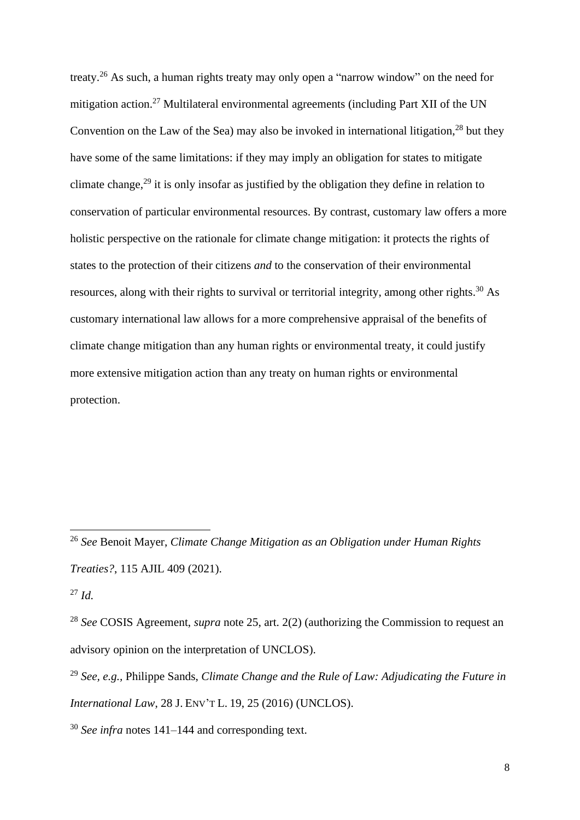<span id="page-7-1"></span><span id="page-7-0"></span>treaty.<sup>26</sup> As such, a human rights treaty may only open a "narrow window" on the need for mitigation action.<sup>27</sup> Multilateral environmental agreements (including Part XII of the UN Convention on the Law of the Sea) may also be invoked in international litigation,  $^{28}$  but they have some of the same limitations: if they may imply an obligation for states to mitigate climate change,<sup>29</sup> it is only insofar as justified by the obligation they define in relation to conservation of particular environmental resources. By contrast, customary law offers a more holistic perspective on the rationale for climate change mitigation: it protects the rights of states to the protection of their citizens *and* to the conservation of their environmental resources, along with their rights to survival or territorial integrity, among other rights.<sup>30</sup> As customary international law allows for a more comprehensive appraisal of the benefits of climate change mitigation than any human rights or environmental treaty, it could justify more extensive mitigation action than any treaty on human rights or environmental protection.

<sup>26</sup> *See* Benoit Mayer, *Climate Change Mitigation as an Obligation under Human Rights Treaties?*, 115 AJIL 409 (2021).

<sup>27</sup> *Id.*

<sup>28</sup> *See* COSIS Agreement, *supra* note [25,](#page-6-0) art. 2(2) (authorizing the Commission to request an advisory opinion on the interpretation of UNCLOS).

<sup>29</sup> *See, e.g.,* Philippe Sands, *Climate Change and the Rule of Law: Adjudicating the Future in International Law*, 28 J. ENV'T L. 19, 25 (2016) (UNCLOS).

<sup>30</sup> *See infra* notes [141–](#page-42-0)[144](#page-42-1) and corresponding text.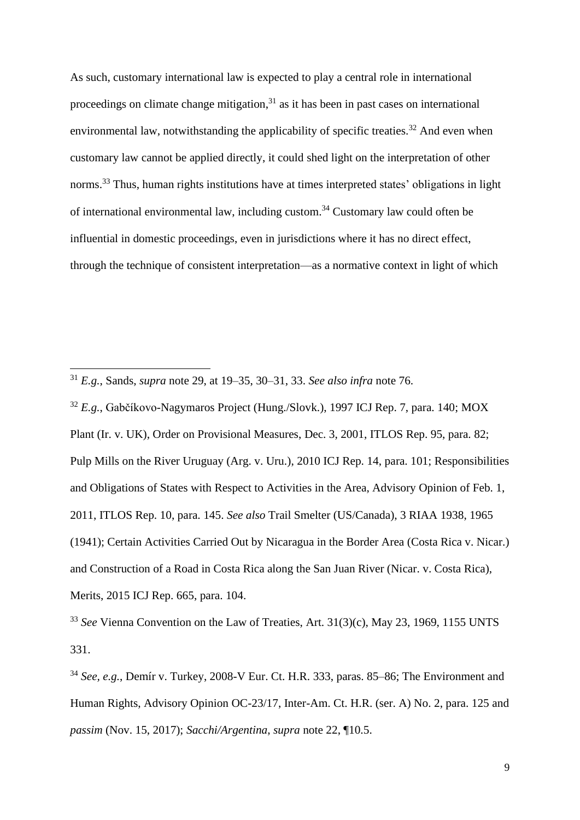<span id="page-8-1"></span><span id="page-8-0"></span>As such, customary international law is expected to play a central role in international proceedings on climate change mitigation,<sup>31</sup> as it has been in past cases on international environmental law, notwithstanding the applicability of specific treaties.<sup>32</sup> And even when customary law cannot be applied directly, it could shed light on the interpretation of other norms.<sup>33</sup> Thus, human rights institutions have at times interpreted states' obligations in light of international environmental law, including custom.<sup>34</sup> Customary law could often be influential in domestic proceedings, even in jurisdictions where it has no direct effect, through the technique of consistent interpretation—as a normative context in light of which

<sup>32</sup> *E.g.*, Gabčíkovo-Nagymaros Project (Hung./Slovk.), 1997 ICJ Rep. 7, para. 140; MOX Plant (Ir. v. UK), Order on Provisional Measures, Dec. 3, 2001, ITLOS Rep. 95, para. 82; Pulp Mills on the River Uruguay (Arg. v. Uru.), 2010 ICJ Rep. 14, para. 101; Responsibilities and Obligations of States with Respect to Activities in the Area, Advisory Opinion of Feb. 1, 2011, ITLOS Rep. 10, para. 145. *See also* Trail Smelter (US/Canada), 3 RIAA 1938, 1965 (1941); Certain Activities Carried Out by Nicaragua in the Border Area (Costa Rica v. Nicar.) and Construction of a Road in Costa Rica along the San Juan River (Nicar. v. Costa Rica), Merits, 2015 ICJ Rep. 665, para. 104.

<sup>33</sup> *See* Vienna Convention on the Law of Treaties, Art. 31(3)(c), May 23, 1969, 1155 UNTS 331.

<sup>31</sup> *E.g.*, Sands, *supra* note [29,](#page-7-0) at 19–35, 30–31, 33. *See also infra* note [76.](#page-23-0)

<sup>34</sup> *See, e.g.*, Demír v. Turkey, 2008-V Eur. Ct. H.R. 333, paras. 85–86; The Environment and Human Rights, Advisory Opinion OC-23/17, Inter-Am. Ct. H.R. (ser. A) No. 2, para. 125 and *passim* (Nov. 15, 2017); *Sacchi/Argentina*, *supra* note [22,](#page-5-0) ¶10.5.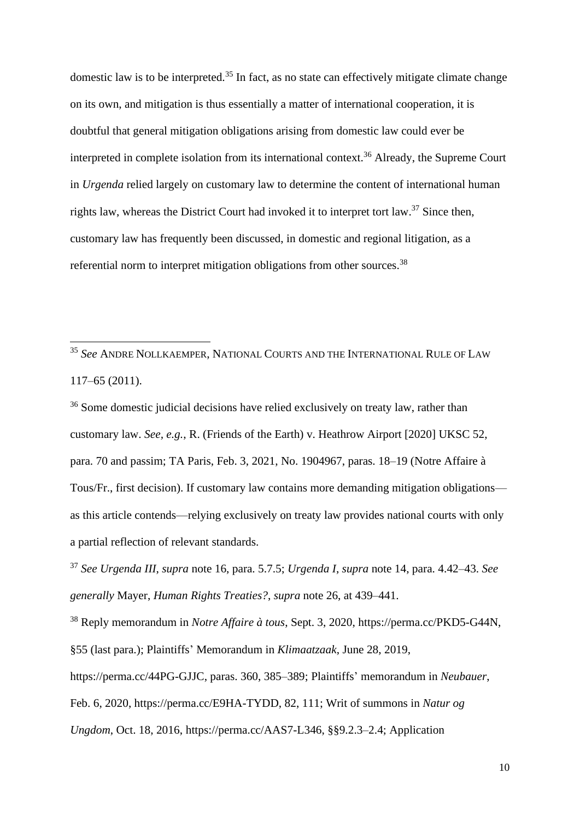domestic law is to be interpreted.<sup>35</sup> In fact, as no state can effectively mitigate climate change on its own, and mitigation is thus essentially a matter of international cooperation, it is doubtful that general mitigation obligations arising from domestic law could ever be interpreted in complete isolation from its international context. <sup>36</sup> Already, the Supreme Court in *Urgenda* relied largely on customary law to determine the content of international human rights law, whereas the District Court had invoked it to interpret tort law.<sup>37</sup> Since then, customary law has frequently been discussed, in domestic and regional litigation, as a referential norm to interpret mitigation obligations from other sources.<sup>38</sup>

<sup>35</sup> *See* ANDRE NOLLKAEMPER, NATIONAL COURTS AND THE INTERNATIONAL RULE OF LAW 117–65 (2011).

<sup>36</sup> Some domestic judicial decisions have relied exclusively on treaty law, rather than customary law. *See, e.g.*, R. (Friends of the Earth) v. Heathrow Airport [2020] UKSC 52, para. 70 and passim; TA Paris, Feb. 3, 2021, No. 1904967, paras. 18–19 (Notre Affaire à Tous/Fr., first decision). If customary law contains more demanding mitigation obligations as this article contends—relying exclusively on treaty law provides national courts with only a partial reflection of relevant standards.

<sup>37</sup> *See Urgenda III*, *supra* note [16,](#page-4-0) para. 5.7.5; *Urgenda I*, *supra* note [14,](#page-3-2) para. 4.42–43. *See generally* Mayer, *Human Rights Treaties?*, *supra* note [26,](#page-7-1) at 439–441.

<sup>38</sup> Reply memorandum in *Notre Affaire à tous*, Sept. 3, 2020, https://perma.cc/PKD5-G44N, §55 (last para.); Plaintiffs' Memorandum in *Klimaatzaak*, June 28, 2019, https://perma.cc/44PG-GJJC, paras. 360, 385–389; Plaintiffs' memorandum in *Neubauer*, Feb. 6, 2020, https://perma.cc/E9HA-TYDD, 82, 111; Writ of summons in *Natur og Ungdom*, Oct. 18, 2016, https://perma.cc/AAS7-L346, §§9.2.3–2.4; Application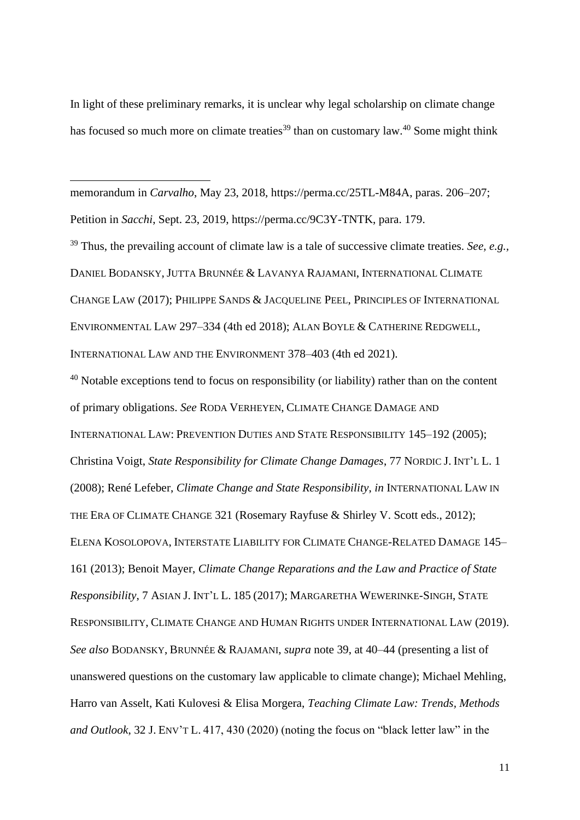<span id="page-10-0"></span>In light of these preliminary remarks, it is unclear why legal scholarship on climate change has focused so much more on climate treaties<sup>39</sup> than on customary law.<sup>40</sup> Some might think

memorandum in *Carvalho*, May 23, 2018, https://perma.cc/25TL-M84A, paras. 206–207; Petition in *Sacchi*, Sept. 23, 2019, https://perma.cc/9C3Y-TNTK, para. 179.

<sup>39</sup> Thus, the prevailing account of climate law is a tale of successive climate treaties. *See, e.g.,*  DANIEL BODANSKY, JUTTA BRUNNÉE & LAVANYA RAJAMANI, INTERNATIONAL CLIMATE CHANGE LAW (2017); PHILIPPE SANDS & JACQUELINE PEEL, PRINCIPLES OF INTERNATIONAL ENVIRONMENTAL LAW 297–334 (4th ed 2018); ALAN BOYLE & CATHERINE REDGWELL, INTERNATIONAL LAW AND THE ENVIRONMENT 378–403 (4th ed 2021).

 $40$  Notable exceptions tend to focus on responsibility (or liability) rather than on the content of primary obligations. *See* RODA VERHEYEN, CLIMATE CHANGE DAMAGE AND INTERNATIONAL LAW: PREVENTION DUTIES AND STATE RESPONSIBILITY 145–192 (2005); Christina Voigt, *State Responsibility for Climate Change Damages*, 77 NORDIC J. INT'L L. 1 (2008); René Lefeber, *Climate Change and State Responsibility*, *in* INTERNATIONAL LAW IN THE ERA OF CLIMATE CHANGE 321 (Rosemary Rayfuse & Shirley V. Scott eds., 2012); ELENA KOSOLOPOVA, INTERSTATE LIABILITY FOR CLIMATE CHANGE-RELATED DAMAGE 145– 161 (2013); Benoit Mayer, *Climate Change Reparations and the Law and Practice of State Responsibility*, 7 ASIAN J. INT'L L. 185 (2017); MARGARETHA WEWERINKE-SINGH, STATE RESPONSIBILITY, CLIMATE CHANGE AND HUMAN RIGHTS UNDER INTERNATIONAL LAW (2019). *See also* BODANSKY, BRUNNÉE & RAJAMANI, *supra* note [39,](#page-10-0) at 40–44 (presenting a list of unanswered questions on the customary law applicable to climate change); Michael Mehling, Harro van Asselt, Kati Kulovesi & Elisa Morgera, *Teaching Climate Law: Trends, Methods and Outlook*, 32 J. ENV'T L. 417, 430 (2020) (noting the focus on "black letter law" in the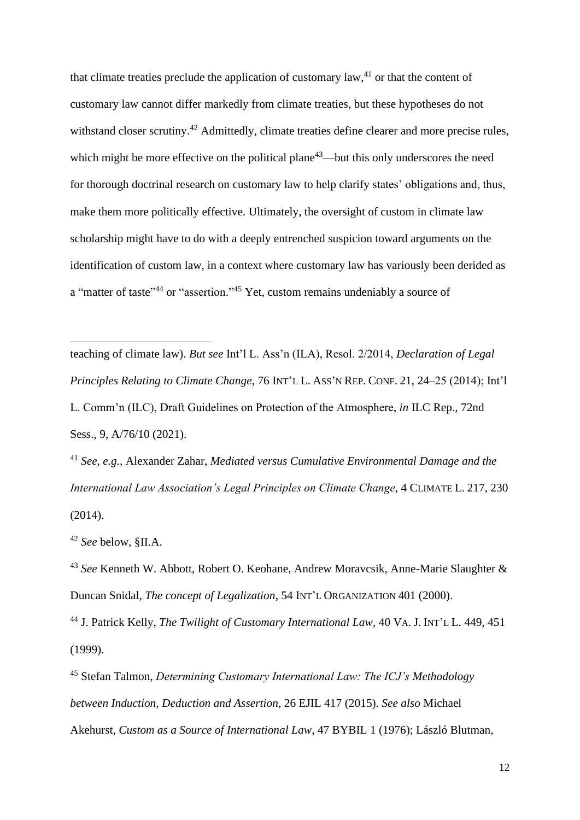<span id="page-11-0"></span>that climate treaties preclude the application of customary  $law, <sup>41</sup>$  or that the content of customary law cannot differ markedly from climate treaties, but these hypotheses do not withstand closer scrutiny.<sup>42</sup> Admittedly, climate treaties define clearer and more precise rules, which might be more effective on the political plane<sup>43</sup>—but this only underscores the need for thorough doctrinal research on customary law to help clarify states' obligations and, thus, make them more politically effective. Ultimately, the oversight of custom in climate law scholarship might have to do with a deeply entrenched suspicion toward arguments on the identification of custom law, in a context where customary law has variously been derided as a "matter of taste"<sup>44</sup> or "assertion."<sup>45</sup> Yet, custom remains undeniably a source of

<span id="page-11-2"></span><span id="page-11-1"></span>teaching of climate law). *But see* Int'l L. Ass'n (ILA), Resol. 2/2014, *Declaration of Legal Principles Relating to Climate Change*, 76 INT'L L. ASS'N REP. CONF. 21, 24–25 (2014); Int'l L. Comm'n (ILC), Draft Guidelines on Protection of the Atmosphere, *in* ILC Rep., 72nd Sess., 9, A/76/10 (2021).

<sup>41</sup> *See, e.g.,* Alexander Zahar, *Mediated versus Cumulative Environmental Damage and the International Law Association's Legal Principles on Climate Change*, 4 CLIMATE L. 217, 230 (2014).

<sup>42</sup> *See* below, §II.A.

<sup>43</sup> *See* Kenneth W. Abbott, Robert O. Keohane, Andrew Moravcsik, Anne-Marie Slaughter & Duncan Snidal, *The concept of Legalization*, 54 INT'L ORGANIZATION 401 (2000).

<sup>44</sup> J. Patrick Kelly, *The Twilight of Customary International Law*, 40 VA. J. INT'L L. 449, 451 (1999).

<sup>45</sup> Stefan Talmon, *Determining Customary International Law: The ICJ's Methodology between Induction, Deduction and Assertion*, 26 EJIL 417 (2015). *See also* Michael Akehurst, *Custom as a Source of International Law*, 47 BYBIL 1 (1976); László Blutman,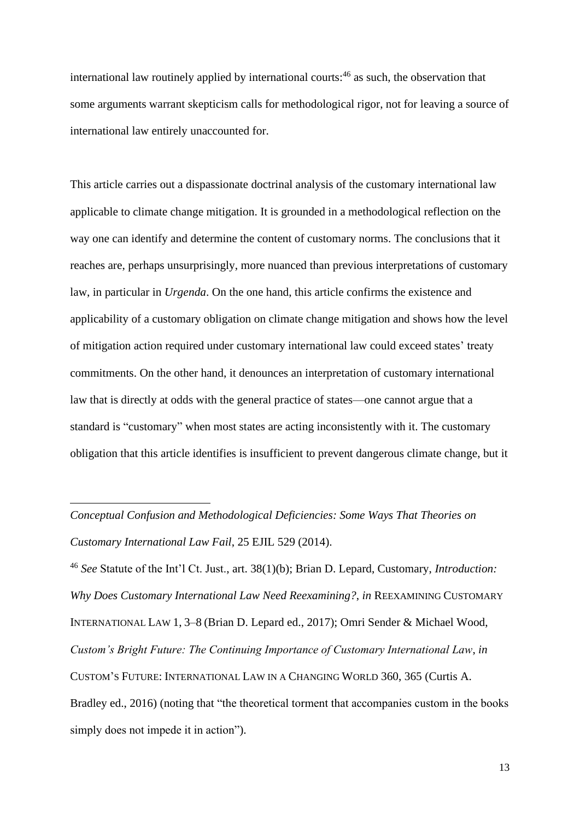<span id="page-12-0"></span>international law routinely applied by international courts: <sup>46</sup> as such, the observation that some arguments warrant skepticism calls for methodological rigor, not for leaving a source of international law entirely unaccounted for.

This article carries out a dispassionate doctrinal analysis of the customary international law applicable to climate change mitigation. It is grounded in a methodological reflection on the way one can identify and determine the content of customary norms. The conclusions that it reaches are, perhaps unsurprisingly, more nuanced than previous interpretations of customary law, in particular in *Urgenda*. On the one hand, this article confirms the existence and applicability of a customary obligation on climate change mitigation and shows how the level of mitigation action required under customary international law could exceed states' treaty commitments. On the other hand, it denounces an interpretation of customary international law that is directly at odds with the general practice of states—one cannot argue that a standard is "customary" when most states are acting inconsistently with it. The customary obligation that this article identifies is insufficient to prevent dangerous climate change, but it

*Conceptual Confusion and Methodological Deficiencies: Some Ways That Theories on Customary International Law Fail*, 25 EJIL 529 (2014).

<sup>46</sup> *See* Statute of the Int'l Ct. Just., art. 38(1)(b); Brian D. Lepard, Customary, *Introduction: Why Does Customary International Law Need Reexamining?*, *in* REEXAMINING CUSTOMARY INTERNATIONAL LAW 1, 3–8 (Brian D. Lepard ed., 2017); Omri Sender & Michael Wood, *Custom's Bright Future: The Continuing Importance of Customary International Law*, *in* CUSTOM'S FUTURE: INTERNATIONAL LAW IN A CHANGING WORLD 360, 365 (Curtis A. Bradley ed., 2016) (noting that "the theoretical torment that accompanies custom in the books simply does not impede it in action").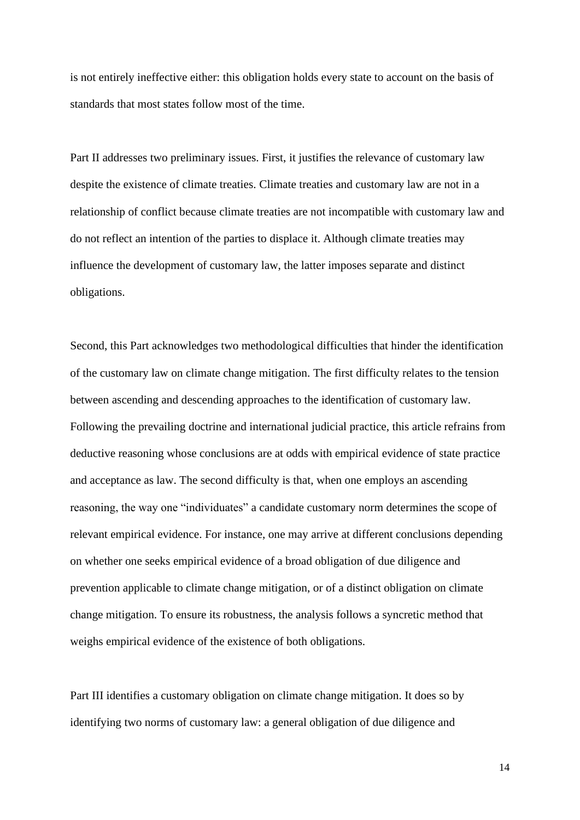is not entirely ineffective either: this obligation holds every state to account on the basis of standards that most states follow most of the time.

Part II addresses two preliminary issues. First, it justifies the relevance of customary law despite the existence of climate treaties. Climate treaties and customary law are not in a relationship of conflict because climate treaties are not incompatible with customary law and do not reflect an intention of the parties to displace it. Although climate treaties may influence the development of customary law, the latter imposes separate and distinct obligations.

Second, this Part acknowledges two methodological difficulties that hinder the identification of the customary law on climate change mitigation. The first difficulty relates to the tension between ascending and descending approaches to the identification of customary law. Following the prevailing doctrine and international judicial practice, this article refrains from deductive reasoning whose conclusions are at odds with empirical evidence of state practice and acceptance as law. The second difficulty is that, when one employs an ascending reasoning, the way one "individuates" a candidate customary norm determines the scope of relevant empirical evidence. For instance, one may arrive at different conclusions depending on whether one seeks empirical evidence of a broad obligation of due diligence and prevention applicable to climate change mitigation, or of a distinct obligation on climate change mitigation. To ensure its robustness, the analysis follows a syncretic method that weighs empirical evidence of the existence of both obligations.

Part III identifies a customary obligation on climate change mitigation. It does so by identifying two norms of customary law: a general obligation of due diligence and

14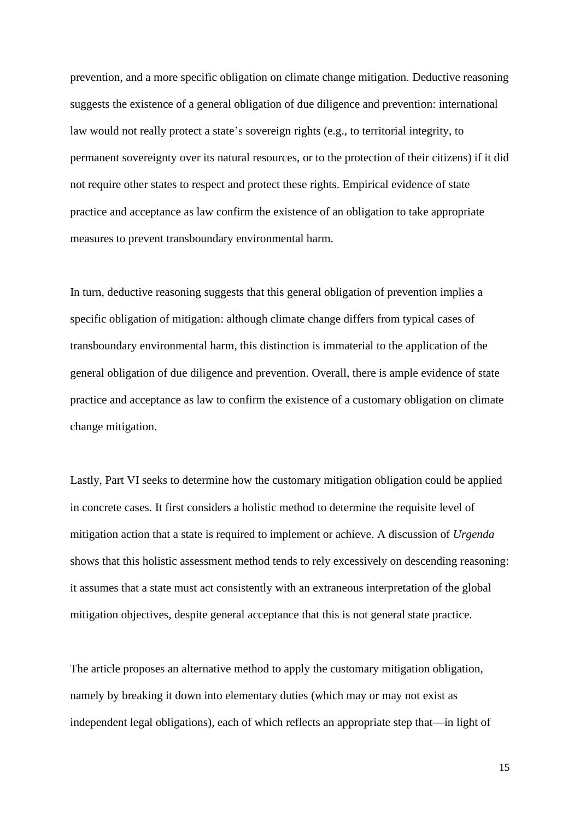prevention, and a more specific obligation on climate change mitigation. Deductive reasoning suggests the existence of a general obligation of due diligence and prevention: international law would not really protect a state's sovereign rights (e.g., to territorial integrity, to permanent sovereignty over its natural resources, or to the protection of their citizens) if it did not require other states to respect and protect these rights. Empirical evidence of state practice and acceptance as law confirm the existence of an obligation to take appropriate measures to prevent transboundary environmental harm.

In turn, deductive reasoning suggests that this general obligation of prevention implies a specific obligation of mitigation: although climate change differs from typical cases of transboundary environmental harm, this distinction is immaterial to the application of the general obligation of due diligence and prevention. Overall, there is ample evidence of state practice and acceptance as law to confirm the existence of a customary obligation on climate change mitigation.

Lastly, Part VI seeks to determine how the customary mitigation obligation could be applied in concrete cases. It first considers a holistic method to determine the requisite level of mitigation action that a state is required to implement or achieve. A discussion of *Urgenda* shows that this holistic assessment method tends to rely excessively on descending reasoning: it assumes that a state must act consistently with an extraneous interpretation of the global mitigation objectives, despite general acceptance that this is not general state practice.

The article proposes an alternative method to apply the customary mitigation obligation, namely by breaking it down into elementary duties (which may or may not exist as independent legal obligations), each of which reflects an appropriate step that—in light of

15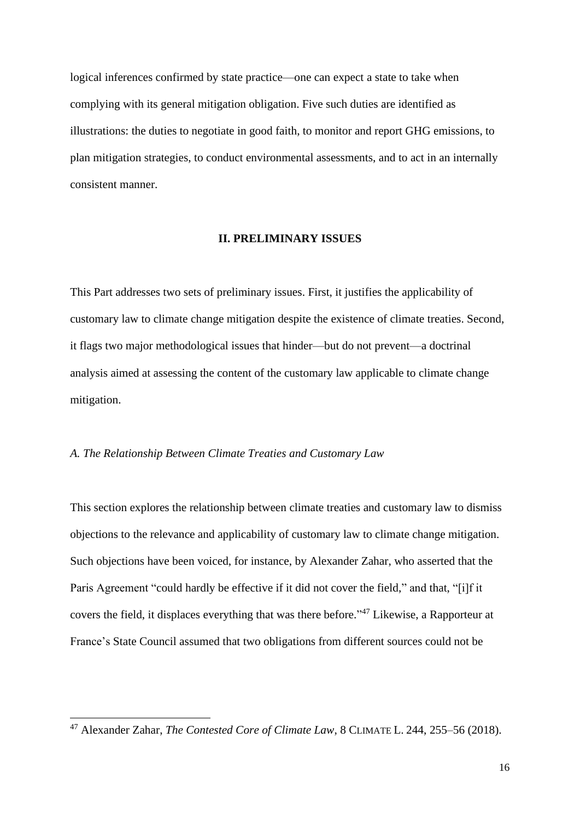logical inferences confirmed by state practice—one can expect a state to take when complying with its general mitigation obligation. Five such duties are identified as illustrations: the duties to negotiate in good faith, to monitor and report GHG emissions, to plan mitigation strategies, to conduct environmental assessments, and to act in an internally consistent manner.

#### **II. PRELIMINARY ISSUES**

This Part addresses two sets of preliminary issues. First, it justifies the applicability of customary law to climate change mitigation despite the existence of climate treaties. Second, it flags two major methodological issues that hinder—but do not prevent—a doctrinal analysis aimed at assessing the content of the customary law applicable to climate change mitigation.

#### *A. The Relationship Between Climate Treaties and Customary Law*

<span id="page-15-0"></span>This section explores the relationship between climate treaties and customary law to dismiss objections to the relevance and applicability of customary law to climate change mitigation. Such objections have been voiced, for instance, by Alexander Zahar, who asserted that the Paris Agreement "could hardly be effective if it did not cover the field," and that, "[i]f it covers the field, it displaces everything that was there before."<sup>47</sup> Likewise, a Rapporteur at France's State Council assumed that two obligations from different sources could not be

<sup>47</sup> Alexander Zahar, *The Contested Core of Climate Law*, 8 CLIMATE L. 244, 255–56 (2018).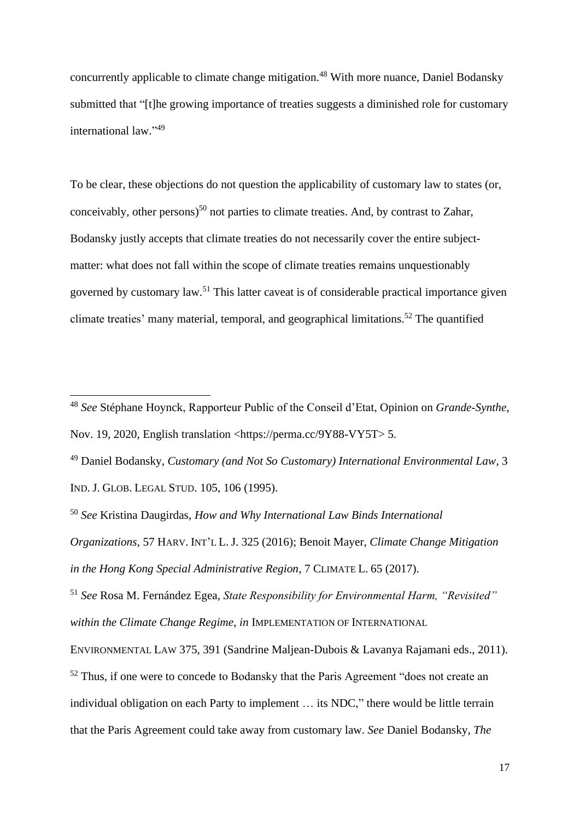concurrently applicable to climate change mitigation.<sup>48</sup> With more nuance, Daniel Bodansky submitted that "[t]he growing importance of treaties suggests a diminished role for customary international law." 49

To be clear, these objections do not question the applicability of customary law to states (or, conceivably, other persons) <sup>50</sup> not parties to climate treaties. And, by contrast to Zahar, Bodansky justly accepts that climate treaties do not necessarily cover the entire subjectmatter: what does not fall within the scope of climate treaties remains unquestionably governed by customary law.<sup>51</sup> This latter caveat is of considerable practical importance given climate treaties' many material, temporal, and geographical limitations.<sup>52</sup> The quantified

<sup>51</sup> *See* Rosa M. Fernández Egea, *State Responsibility for Environmental Harm, "Revisited" within the Climate Change Regime*, *in* IMPLEMENTATION OF INTERNATIONAL

<sup>48</sup> *See* Stéphane Hoynck, Rapporteur Public of the Conseil d'Etat, Opinion on *Grande-Synthe*, Nov. 19, 2020, English translation <https://perma.cc/9Y88-VY5T> 5.

<sup>49</sup> Daniel Bodansky, *Customary (and Not So Customary) International Environmental Law*, 3 IND. J. GLOB. LEGAL STUD. 105, 106 (1995).

<sup>50</sup> *See* Kristina Daugirdas, *How and Why International Law Binds International* 

*Organizations*, 57 HARV. INT'L L. J. 325 (2016); Benoit Mayer, *Climate Change Mitigation in the Hong Kong Special Administrative Region*, 7 CLIMATE L. 65 (2017).

ENVIRONMENTAL LAW 375, 391 (Sandrine Maljean-Dubois & Lavanya Rajamani eds., 2011).

<sup>&</sup>lt;sup>52</sup> Thus, if one were to concede to Bodansky that the Paris Agreement "does not create an individual obligation on each Party to implement … its NDC," there would be little terrain that the Paris Agreement could take away from customary law. *See* Daniel Bodansky, *The*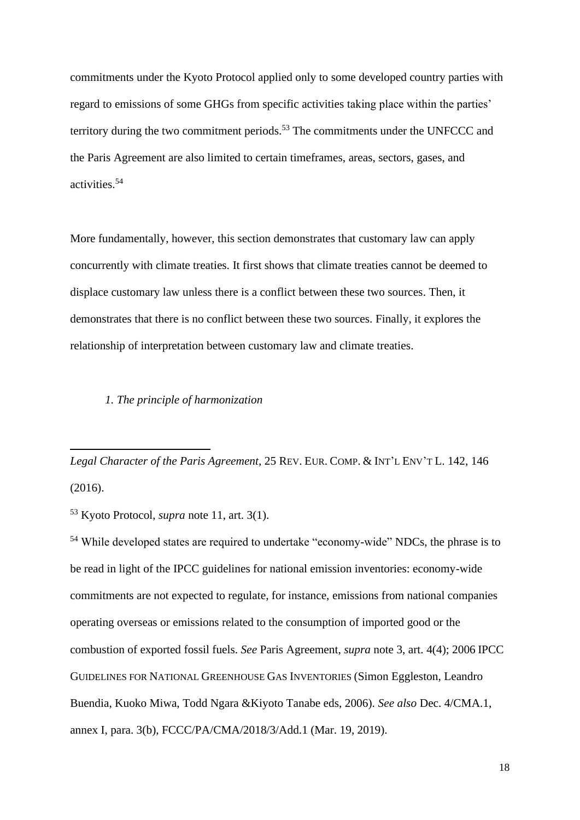commitments under the Kyoto Protocol applied only to some developed country parties with regard to emissions of some GHGs from specific activities taking place within the parties' territory during the two commitment periods.<sup>53</sup> The commitments under the UNFCCC and the Paris Agreement are also limited to certain timeframes, areas, sectors, gases, and activities. 54

More fundamentally, however, this section demonstrates that customary law can apply concurrently with climate treaties. It first shows that climate treaties cannot be deemed to displace customary law unless there is a conflict between these two sources. Then, it demonstrates that there is no conflict between these two sources. Finally, it explores the relationship of interpretation between customary law and climate treaties.

#### *1. The principle of harmonization*

*Legal Character of the Paris Agreement*, 25 REV. EUR. COMP. & INT'L ENV'T L. 142, 146 (2016).

<sup>53</sup> Kyoto Protocol, *supra* note [11,](#page-2-0) art. 3(1).

<sup>54</sup> While developed states are required to undertake "economy-wide" NDCs, the phrase is to be read in light of the IPCC guidelines for national emission inventories: economy-wide commitments are not expected to regulate, for instance, emissions from national companies operating overseas or emissions related to the consumption of imported good or the combustion of exported fossil fuels. *See* Paris Agreement, *supra* note [3,](#page-1-0) art. 4(4); 2006 IPCC GUIDELINES FOR NATIONAL GREENHOUSE GAS INVENTORIES (Simon Eggleston, Leandro Buendia, Kuoko Miwa, Todd Ngara &Kiyoto Tanabe eds, 2006). *See also* Dec. 4/CMA.1, annex I, para. 3(b), FCCC/PA/CMA/2018/3/Add.1 (Mar. 19, 2019).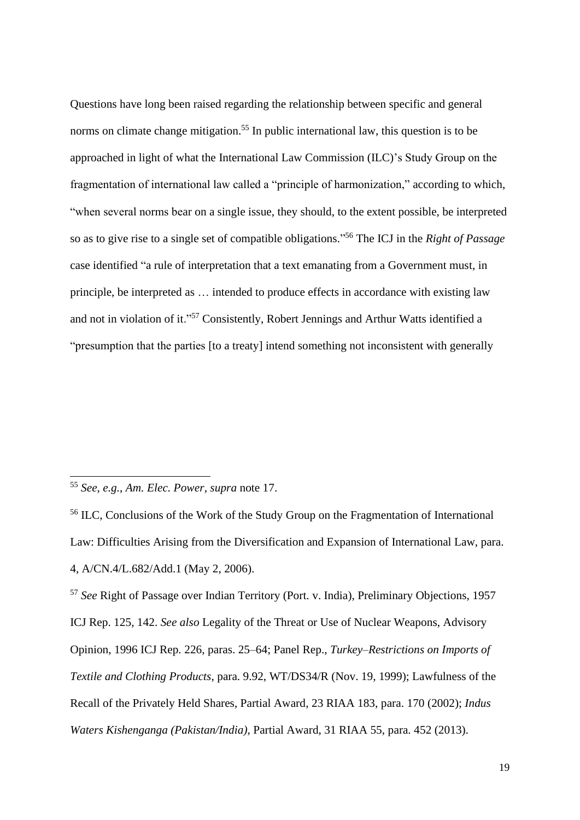<span id="page-18-0"></span>Questions have long been raised regarding the relationship between specific and general norms on climate change mitigation.<sup>55</sup> In public international law, this question is to be approached in light of what the International Law Commission (ILC)'s Study Group on the fragmentation of international law called a "principle of harmonization," according to which, "when several norms bear on a single issue, they should, to the extent possible, be interpreted so as to give rise to a single set of compatible obligations." <sup>56</sup> The ICJ in the *Right of Passage*  case identified "a rule of interpretation that a text emanating from a Government must, in principle, be interpreted as … intended to produce effects in accordance with existing law and not in violation of it."<sup>57</sup> Consistently, Robert Jennings and Arthur Watts identified a "presumption that the parties [to a treaty] intend something not inconsistent with generally

<sup>57</sup> *See* Right of Passage over Indian Territory (Port. v. India), Preliminary Objections, 1957 ICJ Rep. 125, 142. *See also* Legality of the Threat or Use of Nuclear Weapons, Advisory Opinion, 1996 ICJ Rep. 226, paras. 25–64; Panel Rep., *Turkey–Restrictions on Imports of Textile and Clothing Products*, para. 9.92, WT/DS34/R (Nov. 19, 1999); Lawfulness of the Recall of the Privately Held Shares, Partial Award, 23 RIAA 183, para. 170 (2002); *Indus Waters Kishenganga (Pakistan/India)*, Partial Award, 31 RIAA 55, para. 452 (2013).

<sup>55</sup> *See, e.g.*, *Am. Elec. Power*, *supra* note [17.](#page-4-1)

<sup>56</sup> ILC, Conclusions of the Work of the Study Group on the Fragmentation of International Law: Difficulties Arising from the Diversification and Expansion of International Law, para. 4, A/CN.4/L.682/Add.1 (May 2, 2006).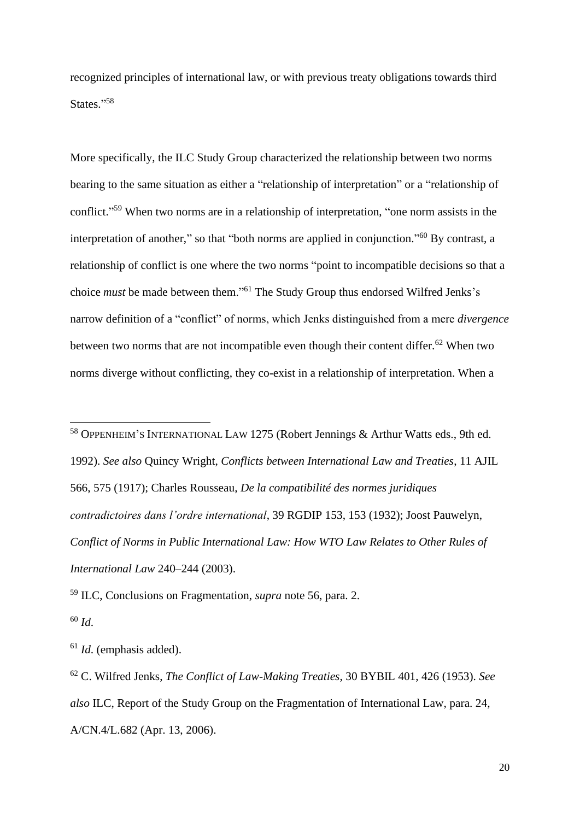<span id="page-19-2"></span>recognized principles of international law, or with previous treaty obligations towards third States."58

More specifically, the ILC Study Group characterized the relationship between two norms bearing to the same situation as either a "relationship of interpretation" or a "relationship of conflict."<sup>59</sup> When two norms are in a relationship of interpretation, "one norm assists in the interpretation of another," so that "both norms are applied in conjunction."<sup>60</sup> By contrast, a relationship of conflict is one where the two norms "point to incompatible decisions so that a choice *must* be made between them."<sup>61</sup> The Study Group thus endorsed Wilfred Jenks's narrow definition of a "conflict" of norms, which Jenks distinguished from a mere *divergence* between two norms that are not incompatible even though their content differ.<sup>62</sup> When two norms diverge without conflicting, they co-exist in a relationship of interpretation. When a

<span id="page-19-1"></span><span id="page-19-0"></span><sup>58</sup> OPPENHEIM'S INTERNATIONAL LAW 1275 (Robert Jennings & Arthur Watts eds., 9th ed. 1992). *See also* Quincy Wright, *Conflicts between International Law and Treaties*, 11 AJIL 566, 575 (1917); Charles Rousseau, *De la compatibilité des normes juridiques contradictoires dans l'ordre international*, 39 RGDIP 153, 153 (1932); Joost Pauwelyn, *Conflict of Norms in Public International Law: How WTO Law Relates to Other Rules of International Law* 240–244 (2003).

<sup>59</sup> ILC, Conclusions on Fragmentation, *supra* note [56,](#page-18-0) para. 2.

<sup>60</sup> *Id*.

<sup>61</sup> *Id*. (emphasis added).

<sup>62</sup> C. Wilfred Jenks, *The Conflict of Law-Making Treaties*, 30 BYBIL 401, 426 (1953). *See also* ILC, Report of the Study Group on the Fragmentation of International Law, para. 24, A/CN.4/L.682 (Apr. 13, 2006).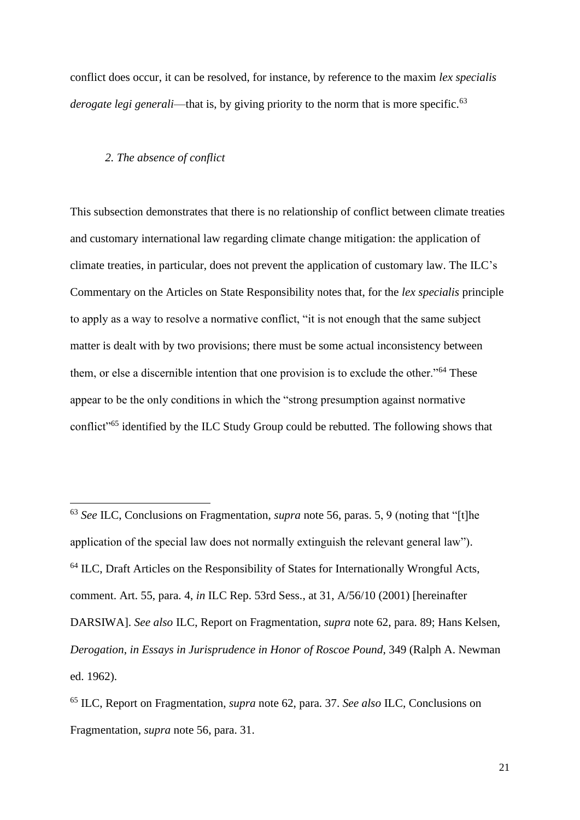conflict does occur, it can be resolved, for instance, by reference to the maxim *lex specialis derogate legi generali—that is, by giving priority to the norm that is more specific.*<sup>63</sup>

#### *2. The absence of conflict*

This subsection demonstrates that there is no relationship of conflict between climate treaties and customary international law regarding climate change mitigation: the application of climate treaties, in particular, does not prevent the application of customary law. The ILC's Commentary on the Articles on State Responsibility notes that, for the *lex specialis* principle to apply as a way to resolve a normative conflict, "it is not enough that the same subject matter is dealt with by two provisions; there must be some actual inconsistency between them, or else a discernible intention that one provision is to exclude the other."<sup>64</sup> These appear to be the only conditions in which the "strong presumption against normative conflict"<sup>65</sup> identified by the ILC Study Group could be rebutted. The following shows that

<sup>63</sup> *See* ILC, Conclusions on Fragmentation, *supra* note [56,](#page-18-0) paras. 5, 9 (noting that "[t]he application of the special law does not normally extinguish the relevant general law"). <sup>64</sup> ILC, Draft Articles on the Responsibility of States for Internationally Wrongful Acts, comment. Art. 55, para. 4, *in* ILC Rep. 53rd Sess., at 31, A/56/10 (2001) [hereinafter DARSIWA]. *See also* ILC, Report on Fragmentation, *supra* note [62,](#page-19-0) para. 89; Hans Kelsen, *Derogation*, *in Essays in Jurisprudence in Honor of Roscoe Pound*, 349 (Ralph A. Newman ed. 1962).

<sup>65</sup> ILC, Report on Fragmentation, *supra* note [62,](#page-19-0) para. 37. *See also* ILC, Conclusions on Fragmentation, *supra* note [56,](#page-18-0) para. 31.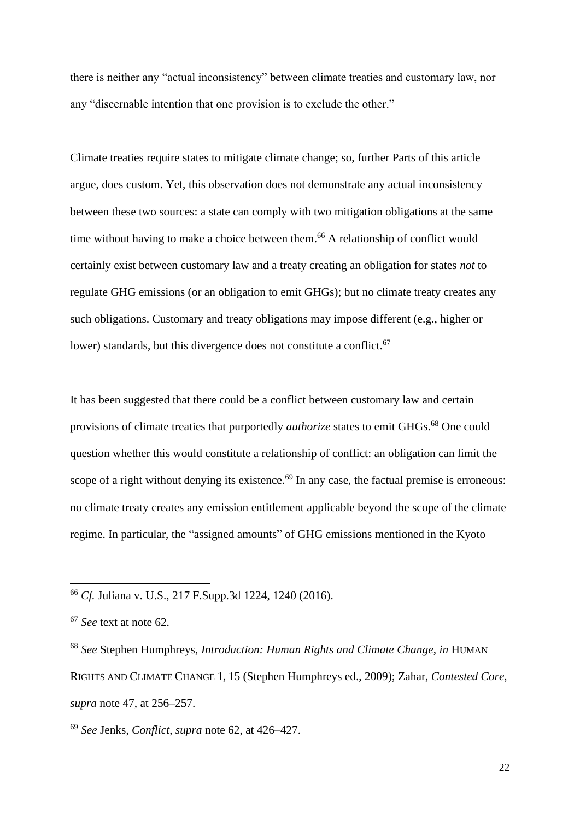there is neither any "actual inconsistency" between climate treaties and customary law, nor any "discernable intention that one provision is to exclude the other."

Climate treaties require states to mitigate climate change; so, further Parts of this article argue, does custom. Yet, this observation does not demonstrate any actual inconsistency between these two sources: a state can comply with two mitigation obligations at the same time without having to make a choice between them. <sup>66</sup> A relationship of conflict would certainly exist between customary law and a treaty creating an obligation for states *not* to regulate GHG emissions (or an obligation to emit GHGs); but no climate treaty creates any such obligations. Customary and treaty obligations may impose different (e.g., higher or lower) standards, but this divergence does not constitute a conflict.<sup>67</sup>

It has been suggested that there could be a conflict between customary law and certain provisions of climate treaties that purportedly *authorize* states to emit GHGs. <sup>68</sup> One could question whether this would constitute a relationship of conflict: an obligation can limit the scope of a right without denying its existence.<sup>69</sup> In any case, the factual premise is erroneous: no climate treaty creates any emission entitlement applicable beyond the scope of the climate regime. In particular, the "assigned amounts" of GHG emissions mentioned in the Kyoto

<sup>68</sup> *See* Stephen Humphreys, *Introduction: Human Rights and Climate Change*, *in* HUMAN RIGHTS AND CLIMATE CHANGE 1, 15 (Stephen Humphreys ed., 2009); Zahar, *Contested Core*, *supra* note [47,](#page-15-0) at 256–257.

<sup>69</sup> *See* Jenks, *Conflict*, *supra* note [62,](#page-19-0) at 426–427.

<sup>66</sup> *Cf.* Juliana v. U.S., 217 F.Supp.3d 1224, 1240 (2016).

<sup>67</sup> *See* text at note [62.](#page-19-1)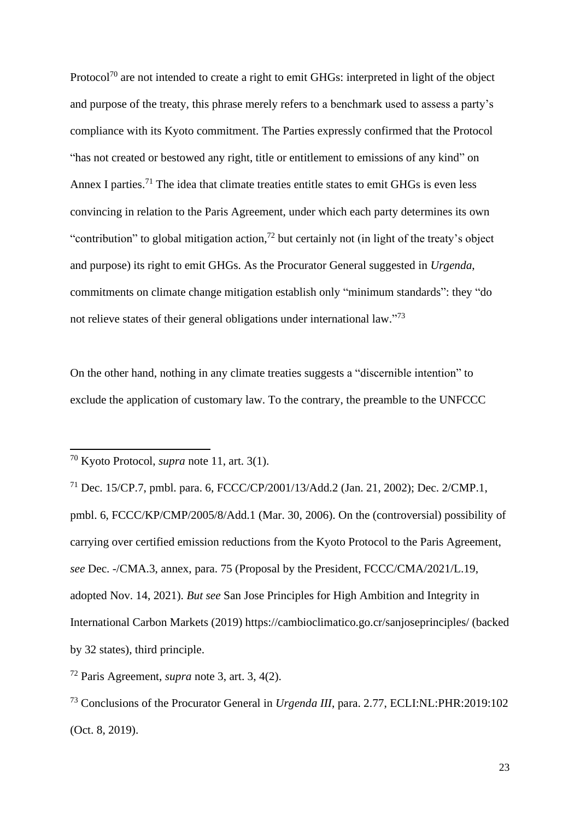Protocol<sup>70</sup> are not intended to create a right to emit GHGs: interpreted in light of the object and purpose of the treaty, this phrase merely refers to a benchmark used to assess a party's compliance with its Kyoto commitment. The Parties expressly confirmed that the Protocol "has not created or bestowed any right, title or entitlement to emissions of any kind" on Annex I parties.<sup>71</sup> The idea that climate treaties entitle states to emit GHGs is even less convincing in relation to the Paris Agreement, under which each party determines its own "contribution" to global mitigation action,<sup>72</sup> but certainly not (in light of the treaty's object and purpose) its right to emit GHGs. As the Procurator General suggested in *Urgenda*, commitments on climate change mitigation establish only "minimum standards": they "do not relieve states of their general obligations under international law."<sup>73</sup>

On the other hand, nothing in any climate treaties suggests a "discernible intention" to exclude the application of customary law. To the contrary, the preamble to the UNFCCC

<sup>70</sup> Kyoto Protocol, *supra* note [11,](#page-2-0) art. 3(1).

<sup>71</sup> Dec. 15/CP.7, pmbl. para. 6, FCCC/CP/2001/13/Add.2 (Jan. 21, 2002); Dec. 2/CMP.1, pmbl. 6, FCCC/KP/CMP/2005/8/Add.1 (Mar. 30, 2006). On the (controversial) possibility of carrying over certified emission reductions from the Kyoto Protocol to the Paris Agreement, *see* Dec. -/CMA.3, annex, para. 75 (Proposal by the President, FCCC/CMA/2021/L.19, adopted Nov. 14, 2021). *But see* San Jose Principles for High Ambition and Integrity in International Carbon Markets (2019) https://cambioclimatico.go.cr/sanjoseprinciples/ (backed by 32 states), third principle.

<sup>72</sup> Paris Agreement, *supra* note [3,](#page-1-0) art. 3, 4(2).

<sup>73</sup> Conclusions of the Procurator General in *Urgenda III*, para. 2.77, ECLI:NL:PHR:2019:102 (Oct. 8, 2019).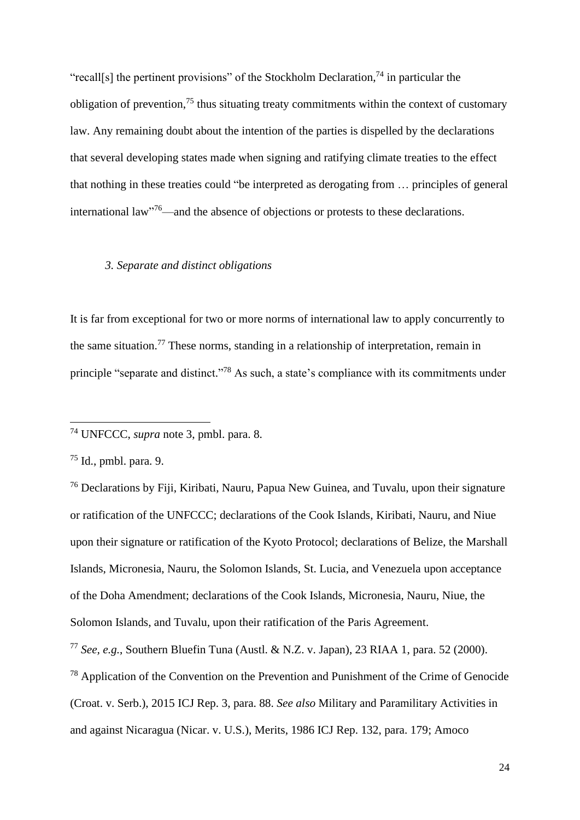"recall[s] the pertinent provisions" of the Stockholm Declaration,<sup>74</sup> in particular the obligation of prevention,<sup>75</sup> thus situating treaty commitments within the context of customary law. Any remaining doubt about the intention of the parties is dispelled by the declarations that several developing states made when signing and ratifying climate treaties to the effect that nothing in these treaties could "be interpreted as derogating from … principles of general international law"<sup>76</sup>—and the absence of objections or protests to these declarations.

#### <span id="page-23-1"></span><span id="page-23-0"></span>*3. Separate and distinct obligations*

It is far from exceptional for two or more norms of international law to apply concurrently to the same situation.<sup>77</sup> These norms, standing in a relationship of interpretation, remain in principle "separate and distinct."<sup>78</sup> As such, a state's compliance with its commitments under

<sup>74</sup> UNFCCC, *supra* note [3,](#page-1-0) pmbl. para. 8.

 $75$  Id., pmbl. para. 9.

<sup>76</sup> Declarations by Fiji, Kiribati, Nauru, Papua New Guinea, and Tuvalu, upon their signature or ratification of the UNFCCC; declarations of the Cook Islands, Kiribati, Nauru, and Niue upon their signature or ratification of the Kyoto Protocol; declarations of Belize, the Marshall Islands, Micronesia, Nauru, the Solomon Islands, St. Lucia, and Venezuela upon acceptance of the Doha Amendment; declarations of the Cook Islands, Micronesia, Nauru, Niue, the Solomon Islands, and Tuvalu, upon their ratification of the Paris Agreement.

<sup>77</sup> *See, e.g.*, Southern Bluefin Tuna (Austl. & N.Z. v. Japan), 23 RIAA 1, para. 52 (2000).

<sup>78</sup> Application of the Convention on the Prevention and Punishment of the Crime of Genocide (Croat. v. Serb.), 2015 ICJ Rep. 3, para. 88. *See also* Military and Paramilitary Activities in and against Nicaragua (Nicar. v. U.S.), Merits, 1986 ICJ Rep. 132, para. 179; Amoco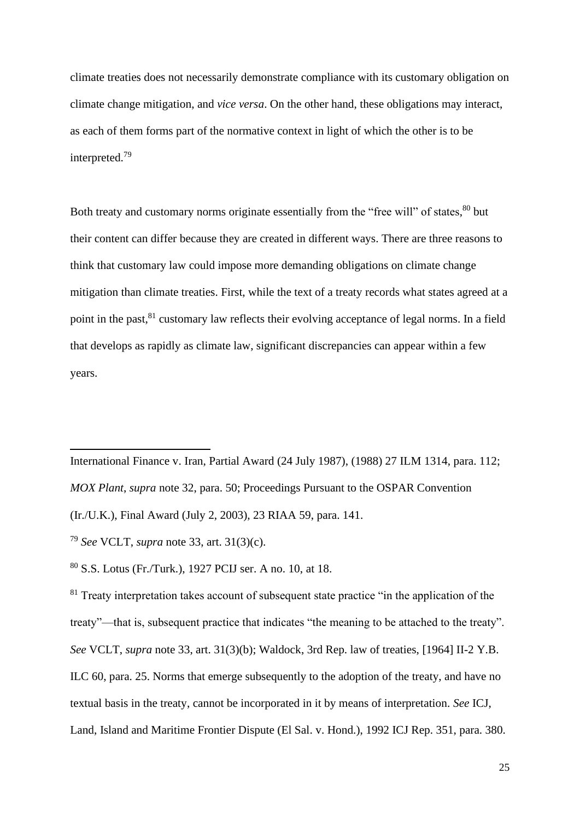climate treaties does not necessarily demonstrate compliance with its customary obligation on climate change mitigation, and *vice versa*. On the other hand, these obligations may interact, as each of them forms part of the normative context in light of which the other is to be interpreted.<sup>79</sup>

<span id="page-24-0"></span>Both treaty and customary norms originate essentially from the "free will" of states,  $80$  but their content can differ because they are created in different ways. There are three reasons to think that customary law could impose more demanding obligations on climate change mitigation than climate treaties. First, while the text of a treaty records what states agreed at a point in the past,<sup>81</sup> customary law reflects their evolving acceptance of legal norms. In a field that develops as rapidly as climate law, significant discrepancies can appear within a few years.

International Finance v. Iran, Partial Award (24 July 1987), (1988) 27 ILM 1314, para. 112; *MOX Plant*, *supra* note [32,](#page-8-0) para. 50; Proceedings Pursuant to the OSPAR Convention

<sup>(</sup>Ir./U.K.), Final Award (July 2, 2003), 23 RIAA 59, para. 141.

<sup>79</sup> *See* VCLT, *supra* note [33,](#page-8-1) art. 31(3)(c).

<sup>80</sup> S.S. Lotus (Fr./Turk.), 1927 PCIJ ser. A no. 10, at 18.

 $81$  Treaty interpretation takes account of subsequent state practice "in the application of the treaty"—that is, subsequent practice that indicates "the meaning to be attached to the treaty". *See* VCLT, *supra* note [33,](#page-8-1) art. 31(3)(b); Waldock, 3rd Rep. law of treaties, [1964] II-2 Y.B. ILC 60, para. 25. Norms that emerge subsequently to the adoption of the treaty, and have no textual basis in the treaty, cannot be incorporated in it by means of interpretation. *See* ICJ, Land, Island and Maritime Frontier Dispute (El Sal. v. Hond.), 1992 ICJ Rep. 351, para. 380.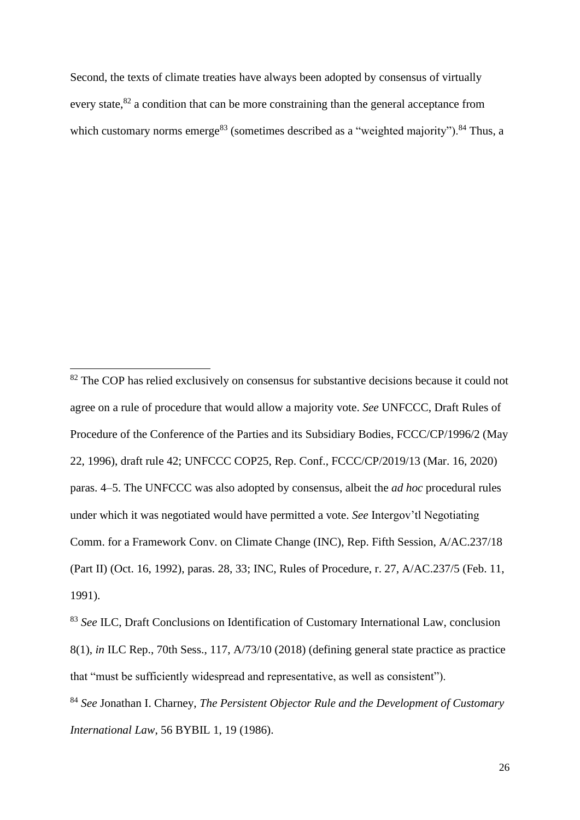<span id="page-25-0"></span>Second, the texts of climate treaties have always been adopted by consensus of virtually every state,  $82$  a condition that can be more constraining than the general acceptance from which customary norms emerge<sup>83</sup> (sometimes described as a "weighted majority").<sup>84</sup> Thus, a

<sup>&</sup>lt;sup>82</sup> The COP has relied exclusively on consensus for substantive decisions because it could not agree on a rule of procedure that would allow a majority vote. *See* UNFCCC, Draft Rules of Procedure of the Conference of the Parties and its Subsidiary Bodies, FCCC/CP/1996/2 (May 22, 1996), draft rule 42; UNFCCC COP25, Rep. Conf., FCCC/CP/2019/13 (Mar. 16, 2020) paras. 4–5. The UNFCCC was also adopted by consensus, albeit the *ad hoc* procedural rules under which it was negotiated would have permitted a vote. *See* Intergov'tl Negotiating Comm. for a Framework Conv. on Climate Change (INC), Rep. Fifth Session, A/AC.237/18 (Part II) (Oct. 16, 1992), paras. 28, 33; INC, Rules of Procedure, r. 27, A/AC.237/5 (Feb. 11, 1991).

<sup>83</sup> *See* ILC, Draft Conclusions on Identification of Customary International Law, conclusion 8(1), *in* ILC Rep., 70th Sess., 117, A/73/10 (2018) (defining general state practice as practice that "must be sufficiently widespread and representative, as well as consistent").

<sup>84</sup> *See* Jonathan I. Charney, *The Persistent Objector Rule and the Development of Customary International Law*, 56 BYBIL 1, 19 (1986).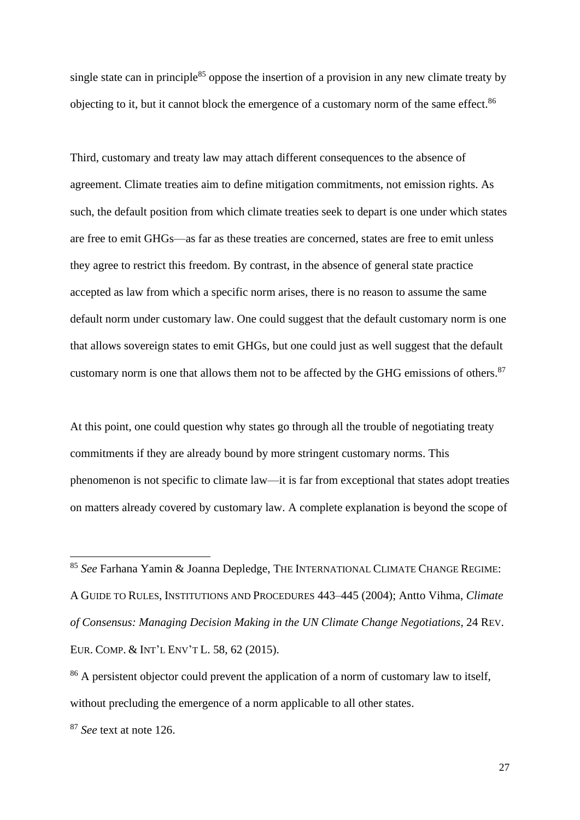single state can in principle<sup>85</sup> oppose the insertion of a provision in any new climate treaty by objecting to it, but it cannot block the emergence of a customary norm of the same effect.<sup>86</sup>

Third, customary and treaty law may attach different consequences to the absence of agreement. Climate treaties aim to define mitigation commitments, not emission rights. As such, the default position from which climate treaties seek to depart is one under which states are free to emit GHGs—as far as these treaties are concerned, states are free to emit unless they agree to restrict this freedom. By contrast, in the absence of general state practice accepted as law from which a specific norm arises, there is no reason to assume the same default norm under customary law. One could suggest that the default customary norm is one that allows sovereign states to emit GHGs, but one could just as well suggest that the default customary norm is one that allows them not to be affected by the GHG emissions of others.<sup>87</sup>

At this point, one could question why states go through all the trouble of negotiating treaty commitments if they are already bound by more stringent customary norms. This phenomenon is not specific to climate law—it is far from exceptional that states adopt treaties on matters already covered by customary law. A complete explanation is beyond the scope of

<sup>85</sup> *See* Farhana Yamin & Joanna Depledge, THE INTERNATIONAL CLIMATE CHANGE REGIME: A GUIDE TO RULES, INSTITUTIONS AND PROCEDURES 443–445 (2004); Antto Vihma, *Climate of Consensus: Managing Decision Making in the UN Climate Change Negotiations*, 24 REV. EUR. COMP. & INT'L ENV'T L. 58, 62 (2015).

<sup>&</sup>lt;sup>86</sup> A persistent objector could prevent the application of a norm of customary law to itself, without precluding the emergence of a norm applicable to all other states.

<sup>87</sup> *See* text at note [126.](#page-35-0)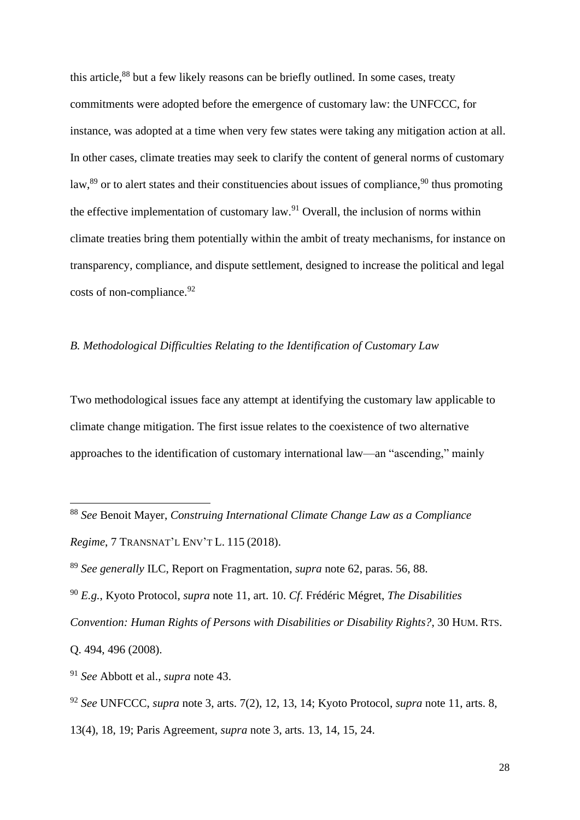this article,<sup>88</sup> but a few likely reasons can be briefly outlined. In some cases, treaty commitments were adopted before the emergence of customary law: the UNFCCC, for instance, was adopted at a time when very few states were taking any mitigation action at all. In other cases, climate treaties may seek to clarify the content of general norms of customary law,<sup>89</sup> or to alert states and their constituencies about issues of compliance,<sup>90</sup> thus promoting the effective implementation of customary law.<sup>91</sup> Overall, the inclusion of norms within climate treaties bring them potentially within the ambit of treaty mechanisms, for instance on transparency, compliance, and dispute settlement, designed to increase the political and legal costs of non-compliance.<sup>92</sup>

#### *B. Methodological Difficulties Relating to the Identification of Customary Law*

Two methodological issues face any attempt at identifying the customary law applicable to climate change mitigation. The first issue relates to the coexistence of two alternative approaches to the identification of customary international law—an "ascending," mainly

<sup>88</sup> *See* Benoit Mayer, *Construing International Climate Change Law as a Compliance Regime*, 7 TRANSNAT'L ENV'T L. 115 (2018).

<sup>89</sup> *See generally* ILC, Report on Fragmentation, *supra* note [62,](#page-19-0) paras. 56, 88.

<sup>90</sup> *E.g.*, Kyoto Protocol, *supra* note [11,](#page-2-0) art. 10. *Cf*. Frédéric Mégret, *The Disabilities Convention: Human Rights of Persons with Disabilities or Disability Rights?*, 30 HUM. RTS. Q. 494, 496 (2008).

<sup>91</sup> *See* Abbott et al., *supra* note [43.](#page-11-0)

<sup>92</sup> *See* UNFCCC, *supra* note [3,](#page-1-0) arts. 7(2), 12, 13, 14; Kyoto Protocol, *supra* note [11,](#page-2-0) arts. 8,

<sup>13(4), 18, 19;</sup> Paris Agreement, *supra* note [3,](#page-1-0) arts. 13, 14, 15, 24.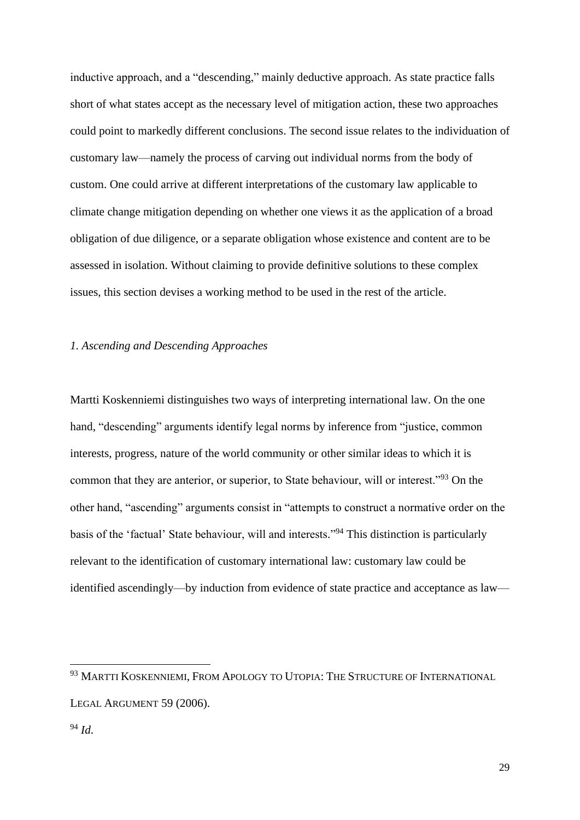inductive approach, and a "descending," mainly deductive approach. As state practice falls short of what states accept as the necessary level of mitigation action, these two approaches could point to markedly different conclusions. The second issue relates to the individuation of customary law—namely the process of carving out individual norms from the body of custom. One could arrive at different interpretations of the customary law applicable to climate change mitigation depending on whether one views it as the application of a broad obligation of due diligence, or a separate obligation whose existence and content are to be assessed in isolation. Without claiming to provide definitive solutions to these complex issues, this section devises a working method to be used in the rest of the article.

### *1. Ascending and Descending Approaches*

<span id="page-28-0"></span>Martti Koskenniemi distinguishes two ways of interpreting international law. On the one hand, "descending" arguments identify legal norms by inference from "justice, common interests, progress, nature of the world community or other similar ideas to which it is common that they are anterior, or superior, to State behaviour, will or interest."<sup>93</sup> On the other hand, "ascending" arguments consist in "attempts to construct a normative order on the basis of the 'factual' State behaviour, will and interests."<sup>94</sup> This distinction is particularly relevant to the identification of customary international law: customary law could be identified ascendingly—by induction from evidence of state practice and acceptance as law—

<sup>&</sup>lt;sup>93</sup> MARTTI KOSKENNIEMI, FROM APOLOGY TO UTOPIA: THE STRUCTURE OF INTERNATIONAL LEGAL ARGUMENT 59 (2006).

<sup>94</sup> *Id*.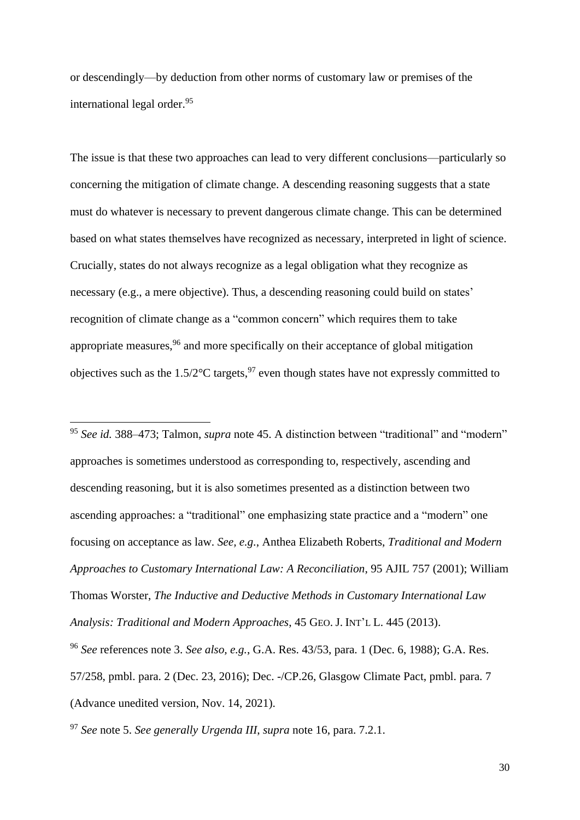or descendingly—by deduction from other norms of customary law or premises of the international legal order.<sup>95</sup>

The issue is that these two approaches can lead to very different conclusions—particularly so concerning the mitigation of climate change. A descending reasoning suggests that a state must do whatever is necessary to prevent dangerous climate change. This can be determined based on what states themselves have recognized as necessary, interpreted in light of science. Crucially, states do not always recognize as a legal obligation what they recognize as necessary (e.g., a mere objective). Thus, a descending reasoning could build on states' recognition of climate change as a "common concern" which requires them to take appropriate measures,<sup>96</sup> and more specifically on their acceptance of global mitigation objectives such as the  $1.5/2$ °C targets,<sup>97</sup> even though states have not expressly committed to

<sup>95</sup> *See id.* 388–473; Talmon, *supra* note [45.](#page-11-1) A distinction between "traditional" and "modern" approaches is sometimes understood as corresponding to, respectively, ascending and descending reasoning, but it is also sometimes presented as a distinction between two ascending approaches: a "traditional" one emphasizing state practice and a "modern" one focusing on acceptance as law. *See, e.g.*, Anthea Elizabeth Roberts, *Traditional and Modern Approaches to Customary International Law: A Reconciliation*, 95 AJIL 757 (2001); William Thomas Worster, *The Inductive and Deductive Methods in Customary International Law Analysis: Traditional and Modern Approaches*, 45 GEO. J. INT'L L. 445 (2013). <sup>96</sup> *See* references note [3.](#page-1-0) *See also, e.g.*, G.A. Res. 43/53, para. 1 (Dec. 6, 1988); G.A. Res.

57/258, pmbl. para. 2 (Dec. 23, 2016); Dec. -/CP.26, Glasgow Climate Pact, pmbl. para. 7

(Advance unedited version, Nov. 14, 2021).

<sup>97</sup> *See* note [5.](#page-1-1) *See generally Urgenda III*, *supra* note [16,](#page-4-0) para. 7.2.1.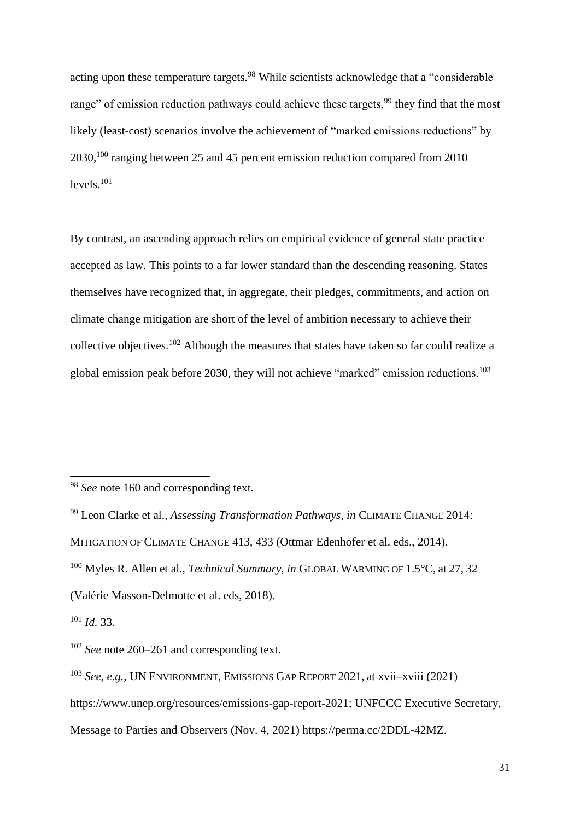acting upon these temperature targets.<sup>98</sup> While scientists acknowledge that a "considerable" range" of emission reduction pathways could achieve these targets,<sup>99</sup> they find that the most likely (least-cost) scenarios involve the achievement of "marked emissions reductions" by 2030, <sup>100</sup> ranging between 25 and 45 percent emission reduction compared from 2010 levels.<sup>101</sup>

By contrast, an ascending approach relies on empirical evidence of general state practice accepted as law. This points to a far lower standard than the descending reasoning. States themselves have recognized that, in aggregate, their pledges, commitments, and action on climate change mitigation are short of the level of ambition necessary to achieve their collective objectives.<sup>102</sup> Although the measures that states have taken so far could realize a global emission peak before 2030, they will not achieve "marked" emission reductions. 103

<sup>&</sup>lt;sup>98</sup> *See* note [160](#page-45-0) and corresponding text.

<sup>99</sup> Leon Clarke et al., *Assessing Transformation Pathways*, *in* CLIMATE CHANGE 2014: MITIGATION OF CLIMATE CHANGE 413, 433 (Ottmar Edenhofer et al. eds., 2014). <sup>100</sup> Myles R. Allen et al., *Technical Summary*, *in* GLOBAL WARMING OF 1.5°C, at 27, 32 (Valérie Masson-Delmotte et al. eds, 2018).

<sup>101</sup> *Id.* 33.

<sup>102</sup> *See* note [260–](#page-71-0)[261](#page-71-1) and corresponding text.

<sup>103</sup> *See, e.g.*, UN ENVIRONMENT, EMISSIONS GAP REPORT 2021, at xvii–xviii (2021)

https://www.unep.org/resources/emissions-gap-report-2021; UNFCCC Executive Secretary,

Message to Parties and Observers (Nov. 4, 2021) https://perma.cc/2DDL-42MZ.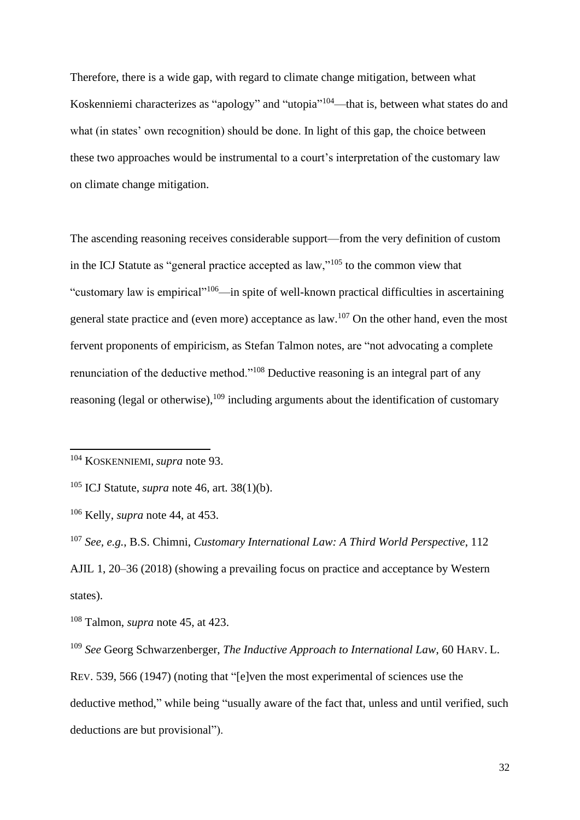Therefore, there is a wide gap, with regard to climate change mitigation, between what Koskenniemi characterizes as "apology" and "utopia"<sup>104</sup>—that is, between what states do and what (in states' own recognition) should be done. In light of this gap, the choice between these two approaches would be instrumental to a court's interpretation of the customary law on climate change mitigation.

The ascending reasoning receives considerable support—from the very definition of custom in the ICJ Statute as "general practice accepted as law,"<sup>105</sup> to the common view that "customary law is empirical"<sup>106</sup>—in spite of well-known practical difficulties in ascertaining general state practice and (even more) acceptance as law.<sup>107</sup> On the other hand, even the most fervent proponents of empiricism, as Stefan Talmon notes, are "not advocating a complete renunciation of the deductive method."<sup>108</sup> Deductive reasoning is an integral part of any reasoning (legal or otherwise),<sup>109</sup> including arguments about the identification of customary

<sup>104</sup> KOSKENNIEMI, *supra* note [93.](#page-28-0)

<sup>105</sup> ICJ Statute, *supra* note [46,](#page-12-0) art. 38(1)(b).

<sup>106</sup> Kelly, *supra* note [44,](#page-11-2) at 453.

<sup>107</sup> *See, e.g.*, B.S. Chimni, *Customary International Law: A Third World Perspective*, 112 AJIL 1, 20–36 (2018) (showing a prevailing focus on practice and acceptance by Western states).

<sup>108</sup> Talmon, *supra* note [45,](#page-11-1) at 423.

<sup>109</sup> *See* Georg Schwarzenberger, *The Inductive Approach to International Law*, 60 HARV. L. REV. 539, 566 (1947) (noting that "[e]ven the most experimental of sciences use the deductive method," while being "usually aware of the fact that, unless and until verified, such deductions are but provisional").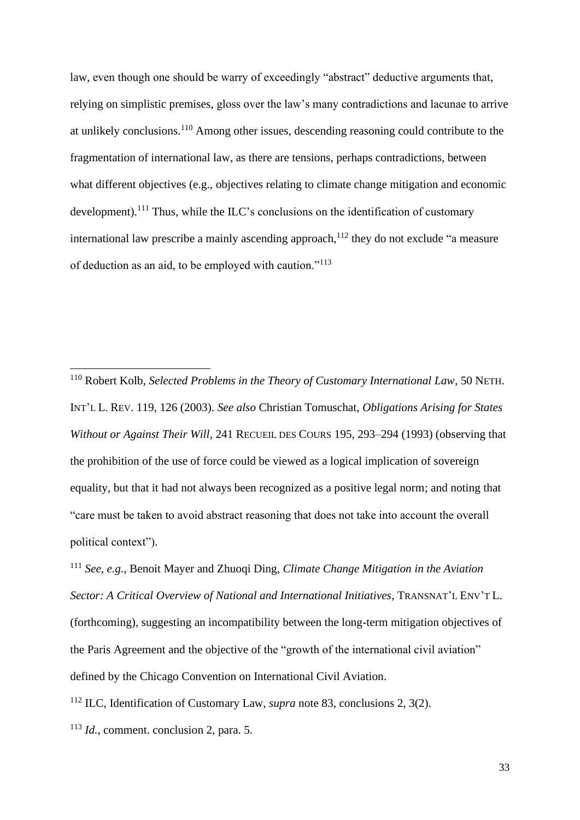law, even though one should be warry of exceedingly "abstract" deductive arguments that, relying on simplistic premises, gloss over the law's many contradictions and lacunae to arrive at unlikely conclusions.<sup>110</sup> Among other issues, descending reasoning could contribute to the fragmentation of international law, as there are tensions, perhaps contradictions, between what different objectives (e.g., objectives relating to climate change mitigation and economic development).<sup>111</sup> Thus, while the ILC's conclusions on the identification of customary international law prescribe a mainly ascending approach,<sup>112</sup> they do not exclude "a measure of deduction as an aid, to be employed with caution."<sup>113</sup>

<sup>111</sup> *See, e.g.*, Benoit Mayer and Zhuoqi Ding, *Climate Change Mitigation in the Aviation Sector: A Critical Overview of National and International Initiatives*, TRANSNAT'L ENV'T L. (forthcoming), suggesting an incompatibility between the long-term mitigation objectives of the Paris Agreement and the objective of the "growth of the international civil aviation" defined by the Chicago Convention on International Civil Aviation.

<sup>112</sup> ILC, Identification of Customary Law, *supra* note [83,](#page-25-0) conclusions 2, 3(2).

<sup>110</sup> Robert Kolb, *Selected Problems in the Theory of Customary International Law*, 50 NETH. INT'L L. REV. 119, 126 (2003). *See also* Christian Tomuschat, *Obligations Arising for States Without or Against Their Will*, 241 RECUEIL DES COURS 195, 293–294 (1993) (observing that the prohibition of the use of force could be viewed as a logical implication of sovereign equality, but that it had not always been recognized as a positive legal norm; and noting that "care must be taken to avoid abstract reasoning that does not take into account the overall political context").

<sup>113</sup> *Id.*, comment. conclusion 2, para. 5.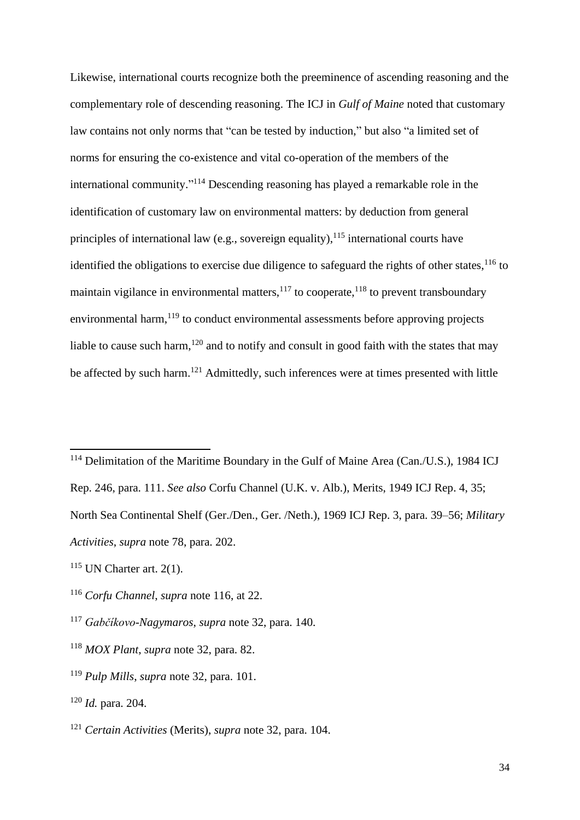<span id="page-33-0"></span>Likewise, international courts recognize both the preeminence of ascending reasoning and the complementary role of descending reasoning. The ICJ in *Gulf of Maine* noted that customary law contains not only norms that "can be tested by induction," but also "a limited set of norms for ensuring the co-existence and vital co-operation of the members of the international community." <sup>114</sup> Descending reasoning has played a remarkable role in the identification of customary law on environmental matters: by deduction from general principles of international law (e.g., sovereign equality),  $115$  international courts have identified the obligations to exercise due diligence to safeguard the rights of other states,  $116$  to maintain vigilance in environmental matters, $117$  to cooperate,  $118$  to prevent transboundary environmental harm, <sup>119</sup> to conduct environmental assessments before approving projects liable to cause such harm,<sup>120</sup> and to notify and consult in good faith with the states that may be affected by such harm.<sup>121</sup> Admittedly, such inferences were at times presented with little

<sup>&</sup>lt;sup>114</sup> Delimitation of the Maritime Boundary in the Gulf of Maine Area (Can./U.S.), 1984 ICJ Rep. 246, para. 111. *See also* Corfu Channel (U.K. v. Alb.), Merits, 1949 ICJ Rep. 4, 35; North Sea Continental Shelf (Ger./Den., Ger. /Neth.), 1969 ICJ Rep. 3, para. 39–56; *Military Activities*, *supra* note [78,](#page-23-1) para. 202.

 $115$  UN Charter art. 2(1).

<sup>116</sup> *Corfu Channel*, *supra* note [116,](#page-33-0) at 22.

<sup>117</sup> *Gabčíkovo-Nagymaros*, *supra* note [32,](#page-8-0) para. 140.

<sup>118</sup> *MOX Plant*, *supra* note [32,](#page-8-0) para. 82.

<sup>119</sup> *Pulp Mills*, *supra* note [32,](#page-8-0) para. 101.

<sup>120</sup> *Id.* para. 204.

<sup>121</sup> *Certain Activities* (Merits), *supra* note [32,](#page-8-0) para. 104.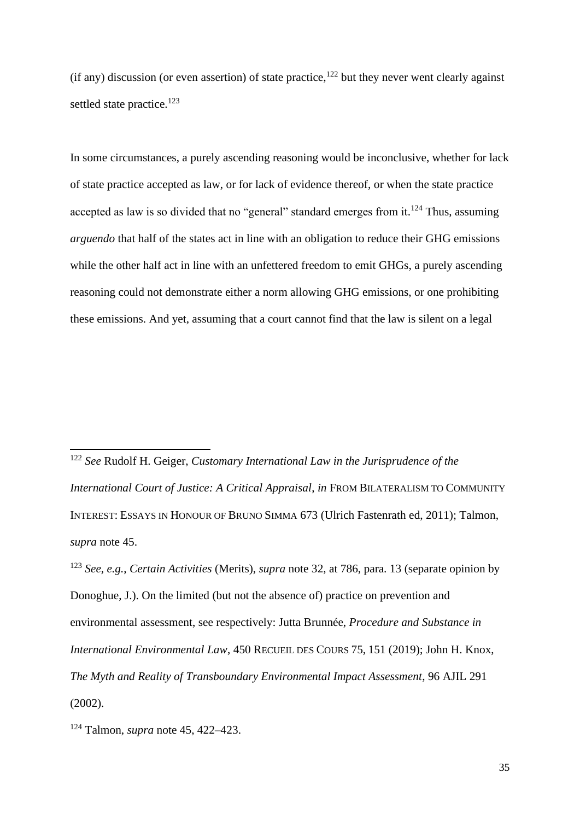$(i$ f any) discussion (or even assertion) of state practice,<sup>122</sup> but they never went clearly against settled state practice.<sup>123</sup>

In some circumstances, a purely ascending reasoning would be inconclusive, whether for lack of state practice accepted as law, or for lack of evidence thereof, or when the state practice accepted as law is so divided that no "general" standard emerges from it.<sup>124</sup> Thus, assuming *arguendo* that half of the states act in line with an obligation to reduce their GHG emissions while the other half act in line with an unfettered freedom to emit GHGs, a purely ascending reasoning could not demonstrate either a norm allowing GHG emissions, or one prohibiting these emissions. And yet, assuming that a court cannot find that the law is silent on a legal

<sup>122</sup> *See* Rudolf H. Geiger, *Customary International Law in the Jurisprudence of the International Court of Justice: A Critical Appraisal*, *in* FROM BILATERALISM TO COMMUNITY INTEREST: ESSAYS IN HONOUR OF BRUNO SIMMA 673 (Ulrich Fastenrath ed, 2011); Talmon, *supra* note [45.](#page-11-1)

<sup>123</sup> *See, e.g.*, *Certain Activities* (Merits), *supra* note [32,](#page-8-0) at 786, para. 13 (separate opinion by Donoghue, J.). On the limited (but not the absence of) practice on prevention and environmental assessment, see respectively: Jutta Brunnée, *Procedure and Substance in International Environmental Law*, 450 RECUEIL DES COURS 75, 151 (2019); John H. Knox, *The Myth and Reality of Transboundary Environmental Impact Assessment*, 96 AJIL 291 (2002).

<sup>124</sup> Talmon, *supra* note [45,](#page-11-1) 422–423.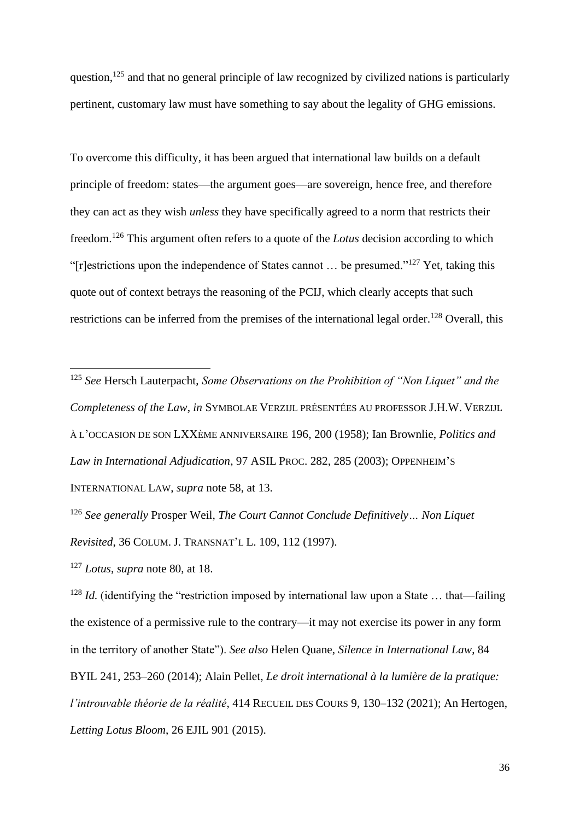question,<sup>125</sup> and that no general principle of law recognized by civilized nations is particularly pertinent, customary law must have something to say about the legality of GHG emissions.

<span id="page-35-0"></span>To overcome this difficulty, it has been argued that international law builds on a default principle of freedom: states—the argument goes—are sovereign, hence free, and therefore they can act as they wish *unless* they have specifically agreed to a norm that restricts their freedom.<sup>126</sup> This argument often refers to a quote of the *Lotus* decision according to which "[r]estrictions upon the independence of States cannot ... be presumed."<sup>127</sup> Yet, taking this quote out of context betrays the reasoning of the PCIJ, which clearly accepts that such restrictions can be inferred from the premises of the international legal order.<sup>128</sup> Overall, this

<sup>125</sup> *See* Hersch Lauterpacht, *Some Observations on the Prohibition of "Non Liquet" and the Completeness of the Law*, *in* SYMBOLAE VERZIJL PRÉSENTÉES AU PROFESSOR J.H.W. VERZIJL À L'OCCASION DE SON LXXÈME ANNIVERSAIRE 196, 200 (1958); Ian Brownlie, *Politics and Law in International Adjudication*, 97 ASIL PROC. 282, 285 (2003); OPPENHEIM'S INTERNATIONAL LAW, *supra* note [58,](#page-19-2) at 13.

<sup>126</sup> *See generally* Prosper Weil, *The Court Cannot Conclude Definitively… Non Liquet Revisited*, 36 COLUM. J. TRANSNAT'L L. 109, 112 (1997).

<sup>127</sup> *Lotus*, *supra* not[e 80,](#page-24-0) at 18.

<sup>128</sup> *Id.* (identifying the "restriction imposed by international law upon a State ... that—failing the existence of a permissive rule to the contrary—it may not exercise its power in any form in the territory of another State"). *See also* Helen Quane, *Silence in International Law*, 84 BYIL 241, 253–260 (2014); Alain Pellet, *Le droit international à la lumière de la pratique: l'introuvable théorie de la réalité*, 414 RECUEIL DES COURS 9, 130–132 (2021); An Hertogen, *Letting Lotus Bloom*, 26 EJIL 901 (2015).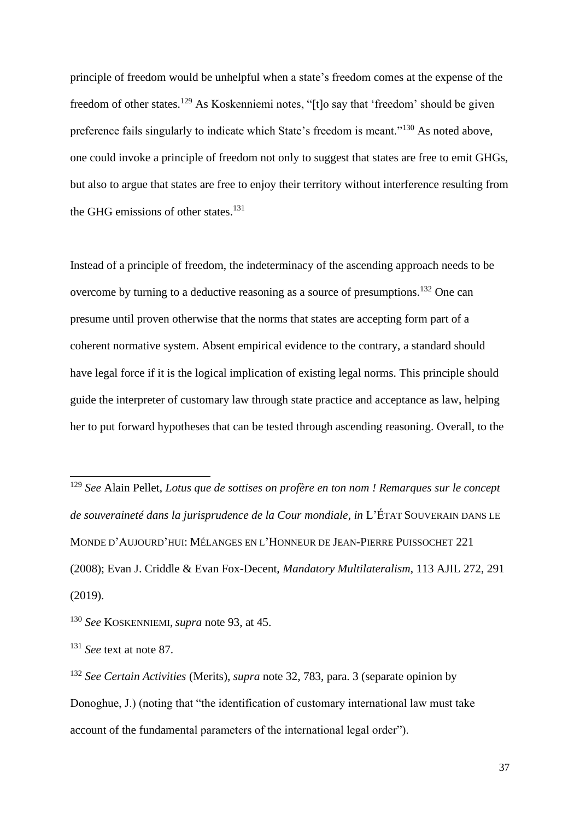<span id="page-36-0"></span>principle of freedom would be unhelpful when a state's freedom comes at the expense of the freedom of other states.<sup>129</sup> As Koskenniemi notes, "[t]o say that 'freedom' should be given preference fails singularly to indicate which State's freedom is meant."<sup>130</sup> As noted above, one could invoke a principle of freedom not only to suggest that states are free to emit GHGs, but also to argue that states are free to enjoy their territory without interference resulting from the GHG emissions of other states.<sup>131</sup>

Instead of a principle of freedom, the indeterminacy of the ascending approach needs to be overcome by turning to a deductive reasoning as a source of presumptions.<sup>132</sup> One can presume until proven otherwise that the norms that states are accepting form part of a coherent normative system. Absent empirical evidence to the contrary, a standard should have legal force if it is the logical implication of existing legal norms. This principle should guide the interpreter of customary law through state practice and acceptance as law, helping her to put forward hypotheses that can be tested through ascending reasoning. Overall, to the

<sup>129</sup> *See* Alain Pellet, *Lotus que de sottises on profère en ton nom ! Remarques sur le concept de souveraineté dans la jurisprudence de la Cour mondiale*, *in* L'ÉTAT SOUVERAIN DANS LE MONDE D'AUJOURD'HUI: MÉLANGES EN L'HONNEUR DE JEAN-PIERRE PUISSOCHET 221 (2008); Evan J. Criddle & Evan Fox-Decent, *Mandatory Multilateralism*, 113 AJIL 272, 291 (2019).

<sup>130</sup> *See* KOSKENNIEMI, *supra* note [93,](#page-28-0) at 45.

<sup>131</sup> *See* text at note [87.](#page-26-0)

<sup>132</sup> *See Certain Activities* (Merits), *supra* note [32,](#page-8-0) 783, para. 3 (separate opinion by Donoghue, J.) (noting that "the identification of customary international law must take account of the fundamental parameters of the international legal order").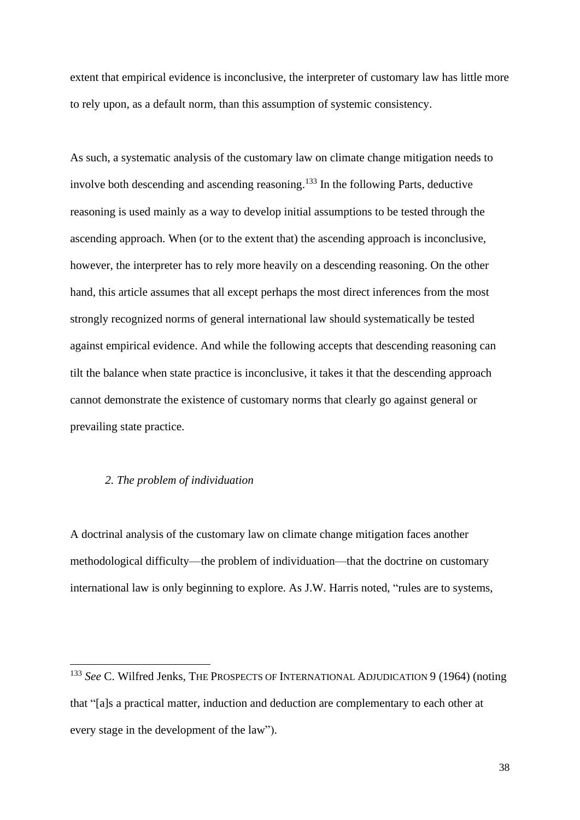extent that empirical evidence is inconclusive, the interpreter of customary law has little more to rely upon, as a default norm, than this assumption of systemic consistency.

As such, a systematic analysis of the customary law on climate change mitigation needs to involve both descending and ascending reasoning. <sup>133</sup> In the following Parts, deductive reasoning is used mainly as a way to develop initial assumptions to be tested through the ascending approach. When (or to the extent that) the ascending approach is inconclusive, however, the interpreter has to rely more heavily on a descending reasoning. On the other hand, this article assumes that all except perhaps the most direct inferences from the most strongly recognized norms of general international law should systematically be tested against empirical evidence. And while the following accepts that descending reasoning can tilt the balance when state practice is inconclusive, it takes it that the descending approach cannot demonstrate the existence of customary norms that clearly go against general or prevailing state practice.

### *2. The problem of individuation*

A doctrinal analysis of the customary law on climate change mitigation faces another methodological difficulty—the problem of individuation—that the doctrine on customary international law is only beginning to explore. As J.W. Harris noted, "rules are to systems,

<sup>133</sup> *See* C. Wilfred Jenks, THE PROSPECTS OF INTERNATIONAL ADJUDICATION 9 (1964) (noting that "[a]s a practical matter, induction and deduction are complementary to each other at every stage in the development of the law").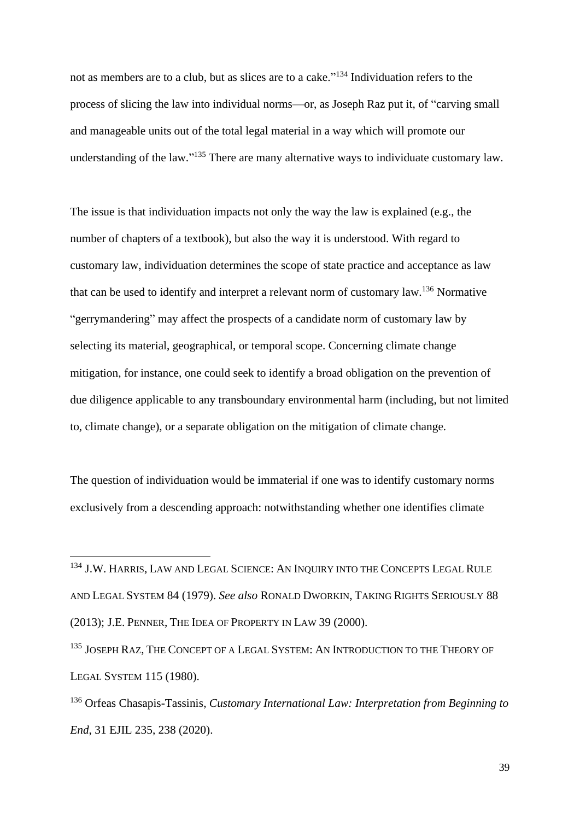not as members are to a club, but as slices are to a cake." <sup>134</sup> Individuation refers to the process of slicing the law into individual norms—or, as Joseph Raz put it, of "carving small and manageable units out of the total legal material in a way which will promote our understanding of the law."<sup>135</sup> There are many alternative ways to individuate customary law.

The issue is that individuation impacts not only the way the law is explained (e.g., the number of chapters of a textbook), but also the way it is understood. With regard to customary law, individuation determines the scope of state practice and acceptance as law that can be used to identify and interpret a relevant norm of customary law.<sup>136</sup> Normative "gerrymandering" may affect the prospects of a candidate norm of customary law by selecting its material, geographical, or temporal scope. Concerning climate change mitigation, for instance, one could seek to identify a broad obligation on the prevention of due diligence applicable to any transboundary environmental harm (including, but not limited to, climate change), or a separate obligation on the mitigation of climate change.

The question of individuation would be immaterial if one was to identify customary norms exclusively from a descending approach: notwithstanding whether one identifies climate

<sup>&</sup>lt;sup>134</sup> J.W. HARRIS, LAW AND LEGAL SCIENCE: AN INQUIRY INTO THE CONCEPTS LEGAL RULE AND LEGAL SYSTEM 84 (1979). *See also* RONALD DWORKIN, TAKING RIGHTS SERIOUSLY 88 (2013); J.E. PENNER, THE IDEA OF PROPERTY IN LAW 39 (2000).

<sup>&</sup>lt;sup>135</sup> JOSEPH RAZ, THE CONCEPT OF A LEGAL SYSTEM: AN INTRODUCTION TO THE THEORY OF LEGAL SYSTEM 115 (1980).

<sup>136</sup> Orfeas Chasapis-Tassinis, *Customary International Law: Interpretation from Beginning to End*, 31 EJIL 235, 238 (2020).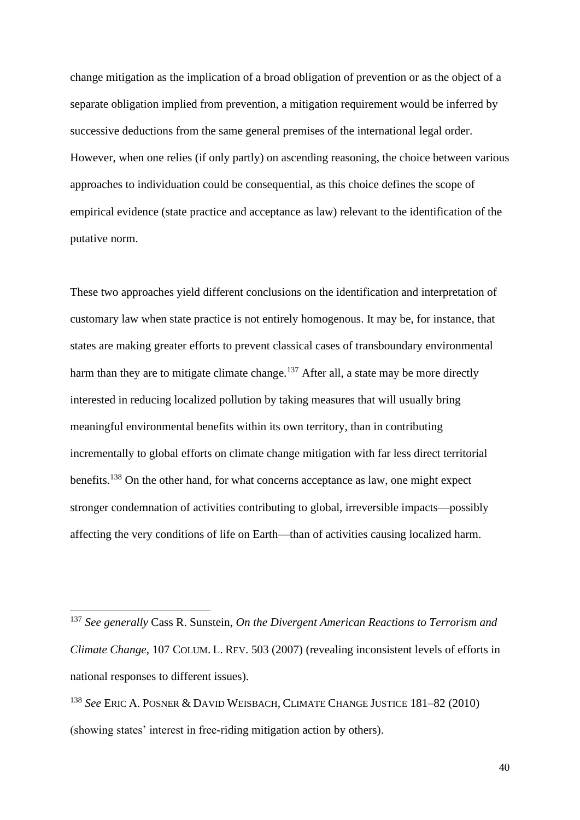change mitigation as the implication of a broad obligation of prevention or as the object of a separate obligation implied from prevention, a mitigation requirement would be inferred by successive deductions from the same general premises of the international legal order. However, when one relies (if only partly) on ascending reasoning, the choice between various approaches to individuation could be consequential, as this choice defines the scope of empirical evidence (state practice and acceptance as law) relevant to the identification of the putative norm.

These two approaches yield different conclusions on the identification and interpretation of customary law when state practice is not entirely homogenous. It may be, for instance, that states are making greater efforts to prevent classical cases of transboundary environmental harm than they are to mitigate climate change.<sup>137</sup> After all, a state may be more directly interested in reducing localized pollution by taking measures that will usually bring meaningful environmental benefits within its own territory, than in contributing incrementally to global efforts on climate change mitigation with far less direct territorial benefits.<sup>138</sup> On the other hand, for what concerns acceptance as law, one might expect stronger condemnation of activities contributing to global, irreversible impacts—possibly affecting the very conditions of life on Earth—than of activities causing localized harm.

<sup>137</sup> *See generally* Cass R. Sunstein, *On the Divergent American Reactions to Terrorism and Climate Change*, 107 COLUM. L. REV. 503 (2007) (revealing inconsistent levels of efforts in national responses to different issues).

<sup>138</sup> *See* ERIC A. POSNER & DAVID WEISBACH, CLIMATE CHANGE JUSTICE 181–82 (2010) (showing states' interest in free-riding mitigation action by others).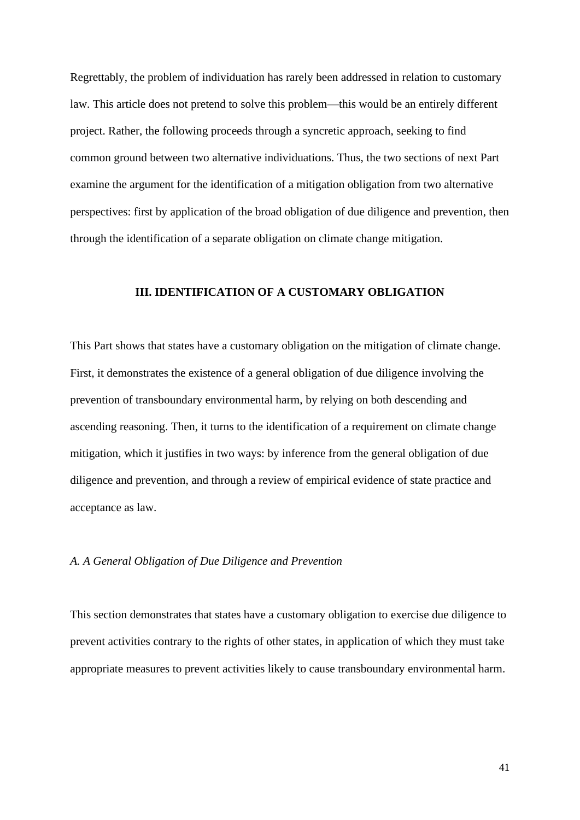Regrettably, the problem of individuation has rarely been addressed in relation to customary law. This article does not pretend to solve this problem—this would be an entirely different project. Rather, the following proceeds through a syncretic approach, seeking to find common ground between two alternative individuations. Thus, the two sections of next Part examine the argument for the identification of a mitigation obligation from two alternative perspectives: first by application of the broad obligation of due diligence and prevention, then through the identification of a separate obligation on climate change mitigation.

# **III. IDENTIFICATION OF A CUSTOMARY OBLIGATION**

This Part shows that states have a customary obligation on the mitigation of climate change. First, it demonstrates the existence of a general obligation of due diligence involving the prevention of transboundary environmental harm, by relying on both descending and ascending reasoning. Then, it turns to the identification of a requirement on climate change mitigation, which it justifies in two ways: by inference from the general obligation of due diligence and prevention, and through a review of empirical evidence of state practice and acceptance as law.

### *A. A General Obligation of Due Diligence and Prevention*

This section demonstrates that states have a customary obligation to exercise due diligence to prevent activities contrary to the rights of other states, in application of which they must take appropriate measures to prevent activities likely to cause transboundary environmental harm.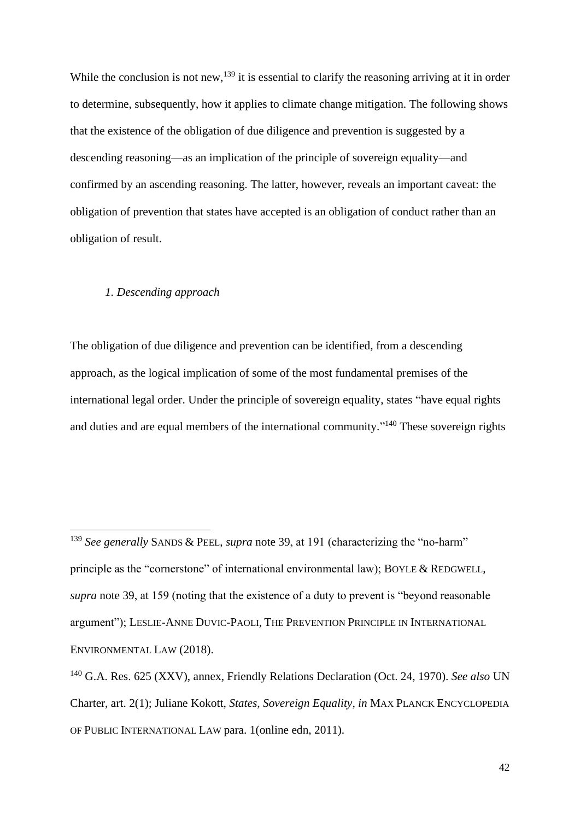<span id="page-41-0"></span>While the conclusion is not new,<sup>139</sup> it is essential to clarify the reasoning arriving at it in order to determine, subsequently, how it applies to climate change mitigation. The following shows that the existence of the obligation of due diligence and prevention is suggested by a descending reasoning—as an implication of the principle of sovereign equality—and confirmed by an ascending reasoning. The latter, however, reveals an important caveat: the obligation of prevention that states have accepted is an obligation of conduct rather than an obligation of result.

# *1. Descending approach*

The obligation of due diligence and prevention can be identified, from a descending approach, as the logical implication of some of the most fundamental premises of the international legal order. Under the principle of sovereign equality, states "have equal rights and duties and are equal members of the international community."<sup>140</sup> These sovereign rights

<sup>139</sup> *See generally* SANDS & PEEL, *supra* note [39,](#page-10-0) at 191 (characterizing the "no-harm" principle as the "cornerstone" of international environmental law); BOYLE & REDGWELL, *supra* note [39,](#page-10-0) at 159 (noting that the existence of a duty to prevent is "beyond reasonable argument"); LESLIE-ANNE DUVIC-PAOLI, THE PREVENTION PRINCIPLE IN INTERNATIONAL ENVIRONMENTAL LAW (2018).

<sup>140</sup> G.A. Res. 625 (XXV), annex, Friendly Relations Declaration (Oct. 24, 1970). *See also* UN Charter, art. 2(1); Juliane Kokott, *States, Sovereign Equality*, *in* MAX PLANCK ENCYCLOPEDIA OF PUBLIC INTERNATIONAL LAW para. 1(online edn, 2011).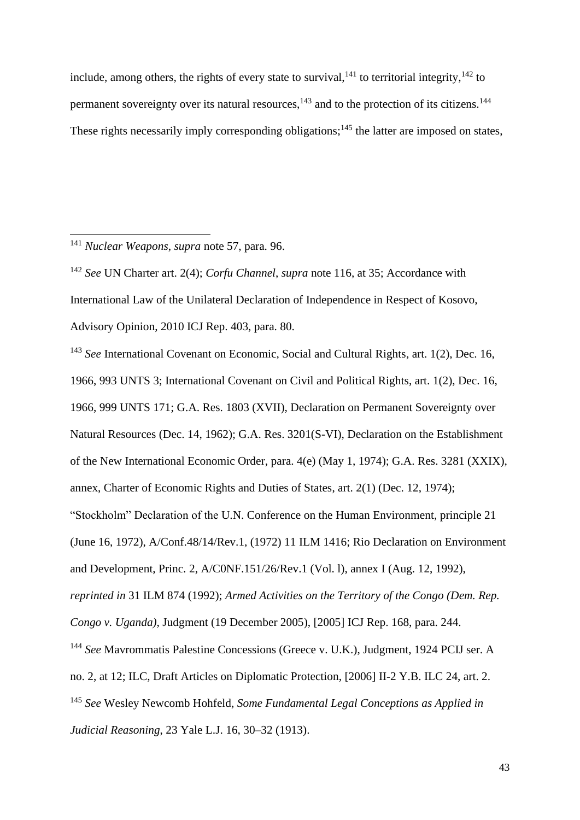<span id="page-42-2"></span><span id="page-42-1"></span><span id="page-42-0"></span>include, among others, the rights of every state to survival,  $141$  to territorial integrity,  $142$  to permanent sovereignty over its natural resources,  $^{143}$  and to the protection of its citizens.<sup>144</sup> These rights necessarily imply corresponding obligations;<sup>145</sup> the latter are imposed on states,

<sup>141</sup> *Nuclear Weapons*, *supra* note [57,](#page-18-0) para. 96.

<sup>142</sup> *See* UN Charter art. 2(4); *Corfu Channel*, *supra* note [116,](#page-33-0) at 35; Accordance with International Law of the Unilateral Declaration of Independence in Respect of Kosovo, Advisory Opinion, 2010 ICJ Rep. 403, para. 80.

<sup>143</sup> *See* International Covenant on Economic, Social and Cultural Rights, art. 1(2), Dec. 16, 1966, 993 UNTS 3; International Covenant on Civil and Political Rights, art. 1(2), Dec. 16, 1966, 999 UNTS 171; G.A. Res. 1803 (XVII), Declaration on Permanent Sovereignty over Natural Resources (Dec. 14, 1962); G.A. Res. 3201(S-VI), Declaration on the Establishment of the New International Economic Order, para. 4(e) (May 1, 1974); G.A. Res. 3281 (XXIX), annex, Charter of Economic Rights and Duties of States, art. 2(1) (Dec. 12, 1974); "Stockholm" Declaration of the U.N. Conference on the Human Environment, principle 21 (June 16, 1972), A/Conf.48/14/Rev.1, (1972) 11 ILM 1416; Rio Declaration on Environment and Development, Princ. 2, A/C0NF.151/26/Rev.1 (Vol. l), annex I (Aug. 12, 1992), *reprinted in* 31 ILM 874 (1992); *Armed Activities on the Territory of the Congo (Dem. Rep. Congo v. Uganda)*, Judgment (19 December 2005), [2005] ICJ Rep. 168, para. 244. <sup>144</sup> *See* Mavrommatis Palestine Concessions (Greece v. U.K.), Judgment, 1924 PCIJ ser. A no. 2, at 12; ILC, Draft Articles on Diplomatic Protection, [2006] II-2 Y.B. ILC 24, art. 2. <sup>145</sup> *See* Wesley Newcomb Hohfeld, *Some Fundamental Legal Conceptions as Applied in Judicial Reasoning*, 23 Yale L.J. 16, 30–32 (1913).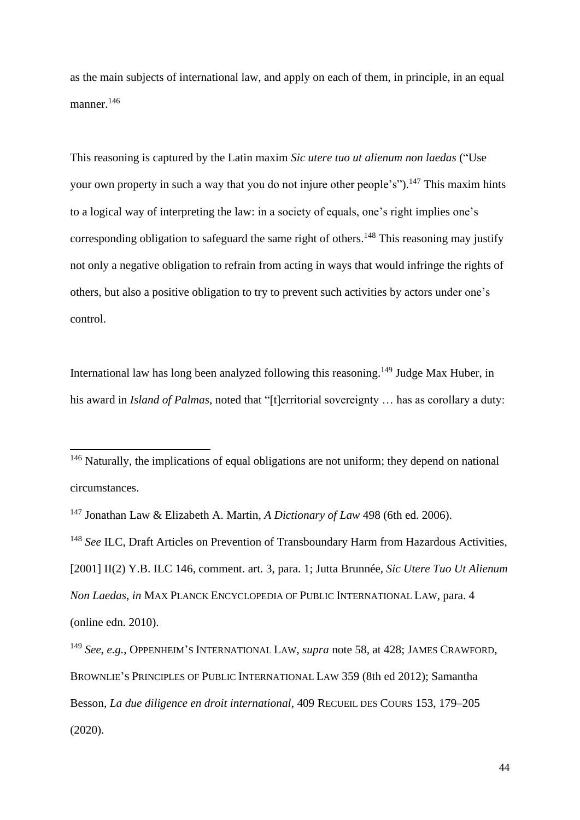as the main subjects of international law, and apply on each of them, in principle, in an equal manner.<sup>146</sup>

<span id="page-43-0"></span>This reasoning is captured by the Latin maxim *Sic utere tuo ut alienum non laedas* ("Use your own property in such a way that you do not injure other people's").<sup>147</sup> This maxim hints to a logical way of interpreting the law: in a society of equals, one's right implies one's corresponding obligation to safeguard the same right of others.<sup>148</sup> This reasoning may justify not only a negative obligation to refrain from acting in ways that would infringe the rights of others, but also a positive obligation to try to prevent such activities by actors under one's control.

International law has long been analyzed following this reasoning.<sup>149</sup> Judge Max Huber, in his award in *Island of Palmas*, noted that "[t]erritorial sovereignty ... has as corollary a duty:

<sup>&</sup>lt;sup>146</sup> Naturally, the implications of equal obligations are not uniform; they depend on national circumstances.

<sup>147</sup> Jonathan Law & Elizabeth A. Martin, *A Dictionary of Law* 498 (6th ed. 2006).

<sup>148</sup> *See* ILC, Draft Articles on Prevention of Transboundary Harm from Hazardous Activities, [2001] II(2) Y.B. ILC 146, comment. art. 3, para. 1; Jutta Brunnée, *Sic Utere Tuo Ut Alienum Non Laedas*, *in* MAX PLANCK ENCYCLOPEDIA OF PUBLIC INTERNATIONAL LAW, para. 4 (online edn. 2010).

<sup>149</sup> *See, e.g.*, OPPENHEIM'S INTERNATIONAL LAW, *supra* note [58,](#page-19-0) at 428; JAMES CRAWFORD, BROWNLIE'S PRINCIPLES OF PUBLIC INTERNATIONAL LAW 359 (8th ed 2012); Samantha Besson, *La due diligence en droit international*, 409 RECUEIL DES COURS 153, 179–205 (2020).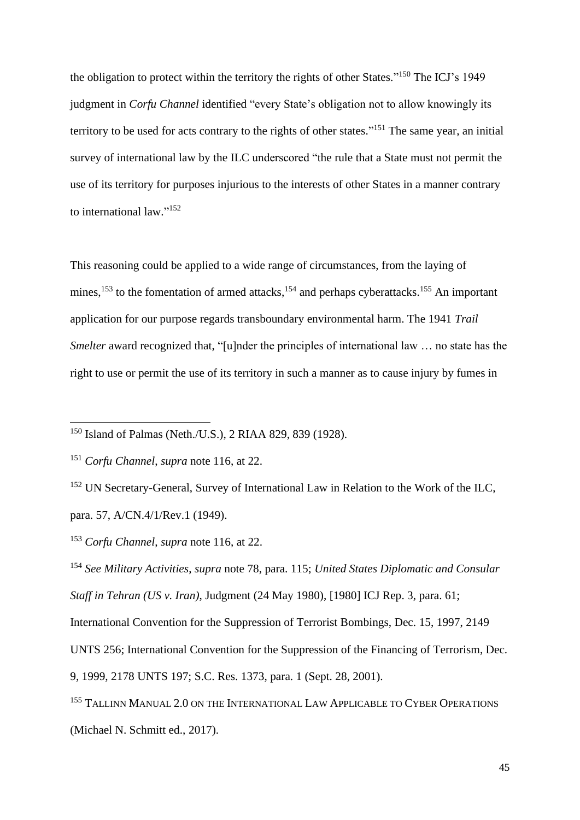the obligation to protect within the territory the rights of other States."<sup>150</sup> The ICJ's 1949 judgment in *Corfu Channel* identified "every State's obligation not to allow knowingly its territory to be used for acts contrary to the rights of other states."<sup>151</sup> The same year, an initial survey of international law by the ILC underscored "the rule that a State must not permit the use of its territory for purposes injurious to the interests of other States in a manner contrary to international law."<sup>152</sup>

<span id="page-44-0"></span>This reasoning could be applied to a wide range of circumstances, from the laying of mines,  $153$  to the fomentation of armed attacks,  $154$  and perhaps cyberattacks.  $155$  An important application for our purpose regards transboundary environmental harm. The 1941 *Trail Smelter* award recognized that, "[u]nder the principles of international law ... no state has the right to use or permit the use of its territory in such a manner as to cause injury by fumes in

<sup>150</sup> Island of Palmas (Neth./U.S.), 2 RIAA 829, 839 (1928).

<sup>151</sup> *Corfu Channel*, *supra* note [116,](#page-33-0) at 22.

<sup>&</sup>lt;sup>152</sup> UN Secretary-General, Survey of International Law in Relation to the Work of the ILC, para. 57, A/CN.4/1/Rev.1 (1949).

<sup>153</sup> *Corfu Channel*, *supra* note [116,](#page-33-0) at 22.

<sup>154</sup> *See Military Activities*, *supra* note [78,](#page-23-0) para. 115; *United States Diplomatic and Consular Staff in Tehran (US v. Iran)*, Judgment (24 May 1980), [1980] ICJ Rep. 3, para. 61;

International Convention for the Suppression of Terrorist Bombings, Dec. 15, 1997, 2149

UNTS 256; International Convention for the Suppression of the Financing of Terrorism, Dec.

<sup>9, 1999, 2178</sup> UNTS 197; S.C. Res. 1373, para. 1 (Sept. 28, 2001).

<sup>&</sup>lt;sup>155</sup> TALLINN MANUAL 2.0 ON THE INTERNATIONAL LAW APPLICABLE TO CYBER OPERATIONS (Michael N. Schmitt ed., 2017).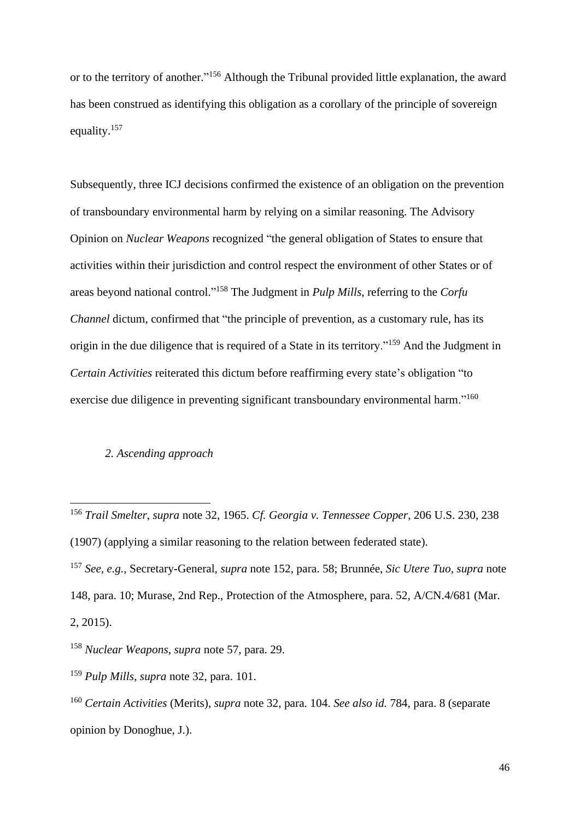or to the territory of another."<sup>156</sup> Although the Tribunal provided little explanation, the award has been construed as identifying this obligation as a corollary of the principle of sovereign equality.<sup>157</sup>

Subsequently, three ICJ decisions confirmed the existence of an obligation on the prevention of transboundary environmental harm by relying on a similar reasoning. The Advisory Opinion on *Nuclear Weapons* recognized "the general obligation of States to ensure that activities within their jurisdiction and control respect the environment of other States or of areas beyond national control." <sup>158</sup> The Judgment in *Pulp Mills*, referring to the *Corfu Channel* dictum, confirmed that "the principle of prevention, as a customary rule, has its origin in the due diligence that is required of a State in its territory."<sup>159</sup> And the Judgment in *Certain Activities* reiterated this dictum before reaffirming every state's obligation "to exercise due diligence in preventing significant transboundary environmental harm."<sup>160</sup>

# *2. Ascending approach*

<sup>156</sup> *Trail Smelter*, *supra* note [32,](#page-8-0) 1965. *Cf. Georgia v. Tennessee Copper*, 206 U.S. 230, 238 (1907) (applying a similar reasoning to the relation between federated state).

<sup>157</sup> *See, e.g.*, Secretary-General, *supra* note [152,](#page-44-0) para. 58; Brunnée, *Sic Utere Tuo*, *supra* note [148,](#page-43-0) para. 10; Murase, 2nd Rep., Protection of the Atmosphere, para. 52, A/CN.4/681 (Mar. 2, 2015).

<sup>158</sup> *Nuclear Weapons*, *supra* note [57,](#page-18-0) para. 29.

<sup>159</sup> *Pulp Mills*, *supra* note [32,](#page-8-0) para. 101.

<sup>160</sup> *Certain Activities* (Merits), *supra* note [32,](#page-8-0) para. 104. *See also id.* 784, para. 8 (separate opinion by Donoghue, J.).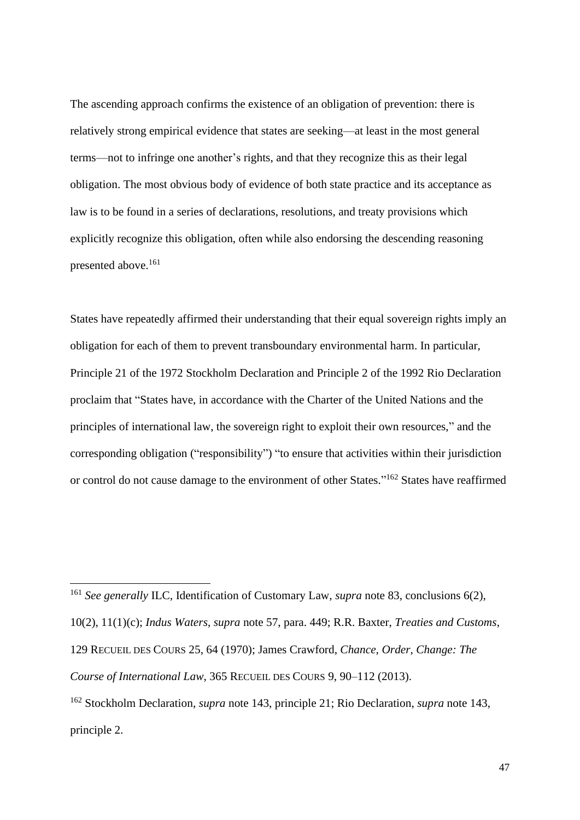The ascending approach confirms the existence of an obligation of prevention: there is relatively strong empirical evidence that states are seeking—at least in the most general terms—not to infringe one another's rights, and that they recognize this as their legal obligation. The most obvious body of evidence of both state practice and its acceptance as law is to be found in a series of declarations, resolutions, and treaty provisions which explicitly recognize this obligation, often while also endorsing the descending reasoning presented above.<sup>161</sup>

States have repeatedly affirmed their understanding that their equal sovereign rights imply an obligation for each of them to prevent transboundary environmental harm. In particular, Principle 21 of the 1972 Stockholm Declaration and Principle 2 of the 1992 Rio Declaration proclaim that "States have, in accordance with the Charter of the United Nations and the principles of international law, the sovereign right to exploit their own resources," and the corresponding obligation ("responsibility") "to ensure that activities within their jurisdiction or control do not cause damage to the environment of other States."<sup>162</sup> States have reaffirmed

<span id="page-46-0"></span><sup>161</sup> *See generally* ILC, Identification of Customary Law, *supra* note [83,](#page-25-0) conclusions 6(2),

10(2), 11(1)(c); *Indus Waters*, *supra* note [57,](#page-18-0) para. 449; R.R. Baxter, *Treaties and Customs*,

129 RECUEIL DES COURS 25, 64 (1970); James Crawford, *Chance, Order, Change: The* 

*Course of International Law*, 365 RECUEIL DES COURS 9, 90–112 (2013).

<sup>162</sup> Stockholm Declaration, *supra* note [143,](#page-42-0) principle 21; Rio Declaration, *supra* note [143,](#page-42-0) principle 2.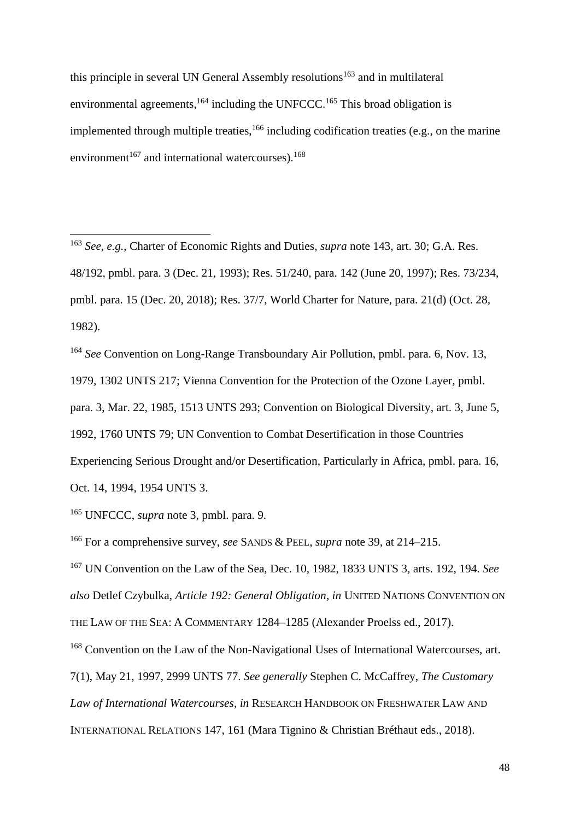<span id="page-47-1"></span><span id="page-47-0"></span>this principle in several UN General Assembly resolutions<sup>163</sup> and in multilateral environmental agreements,  $164$  including the UNFCCC.  $165$  This broad obligation is implemented through multiple treaties, <sup>166</sup> including codification treaties (e.g., on the marine environment<sup>167</sup> and international watercourses).<sup>168</sup>

<sup>163</sup> *See, e.g.*, Charter of Economic Rights and Duties, *supra* not[e 143,](#page-42-0) art. 30; G.A. Res. 48/192, pmbl. para. 3 (Dec. 21, 1993); Res. 51/240, para. 142 (June 20, 1997); Res. 73/234, pmbl. para. 15 (Dec. 20, 2018); Res. 37/7, World Charter for Nature, para. 21(d) (Oct. 28, 1982).

<sup>164</sup> *See* Convention on Long-Range Transboundary Air Pollution, pmbl. para. 6, Nov. 13, 1979, 1302 UNTS 217; Vienna Convention for the Protection of the Ozone Layer, pmbl. para. 3, Mar. 22, 1985, 1513 UNTS 293; Convention on Biological Diversity, art. 3, June 5, 1992, 1760 UNTS 79; UN Convention to Combat Desertification in those Countries Experiencing Serious Drought and/or Desertification, Particularly in Africa, pmbl. para. 16, Oct. 14, 1994, 1954 UNTS 3.

<sup>165</sup> UNFCCC, *supra* note [3,](#page-1-0) pmbl. para. 9.

<sup>166</sup> For a comprehensive survey, *see* SANDS & PEEL, *supra* note [39,](#page-10-0) at 214–215.

<sup>167</sup> UN Convention on the Law of the Sea, Dec. 10, 1982, 1833 UNTS 3, arts. 192, 194. *See also* Detlef Czybulka, *Article 192: General Obligation*, *in* UNITED NATIONS CONVENTION ON THE LAW OF THE SEA: A COMMENTARY 1284–1285 (Alexander Proelss ed., 2017).

<sup>168</sup> Convention on the Law of the Non-Navigational Uses of International Watercourses, art. 7(1), May 21, 1997, 2999 UNTS 77. *See generally* Stephen C. McCaffrey, *The Customary Law of International Watercourses*, *in* RESEARCH HANDBOOK ON FRESHWATER LAW AND INTERNATIONAL RELATIONS 147, 161 (Mara Tignino & Christian Bréthaut eds., 2018).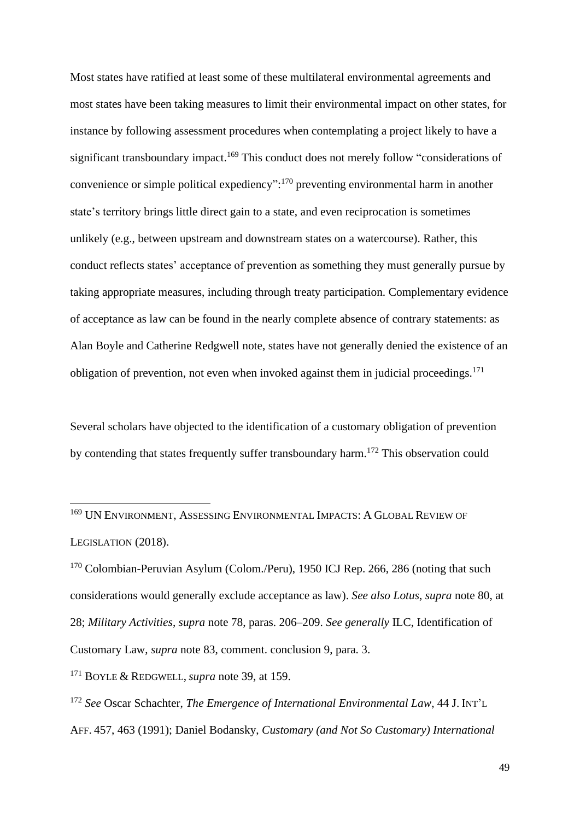Most states have ratified at least some of these multilateral environmental agreements and most states have been taking measures to limit their environmental impact on other states, for instance by following assessment procedures when contemplating a project likely to have a significant transboundary impact.<sup>169</sup> This conduct does not merely follow "considerations of convenience or simple political expediency": <sup>170</sup> preventing environmental harm in another state's territory brings little direct gain to a state, and even reciprocation is sometimes unlikely (e.g., between upstream and downstream states on a watercourse). Rather, this conduct reflects states' acceptance of prevention as something they must generally pursue by taking appropriate measures, including through treaty participation. Complementary evidence of acceptance as law can be found in the nearly complete absence of contrary statements: as Alan Boyle and Catherine Redgwell note, states have not generally denied the existence of an obligation of prevention, not even when invoked against them in judicial proceedings. $171$ 

Several scholars have objected to the identification of a customary obligation of prevention by contending that states frequently suffer transboundary harm.<sup>172</sup> This observation could

<sup>169</sup> UN ENVIRONMENT, ASSESSING ENVIRONMENTAL IMPACTS: A GLOBAL REVIEW OF LEGISLATION (2018).

<sup>170</sup> Colombian-Peruvian Asylum (Colom./Peru), 1950 ICJ Rep. 266, 286 (noting that such considerations would generally exclude acceptance as law). *See also Lotus*, *supra* note [80,](#page-24-0) at 28; *Military Activities*, *supra* note [78,](#page-23-0) paras. 206–209. *See generally* ILC, Identification of Customary Law, *supra* note [83,](#page-25-0) comment. conclusion 9, para. 3.

<sup>171</sup> BOYLE & REDGWELL, *supra* note [39,](#page-10-0) at 159.

<sup>172</sup> *See* Oscar Schachter, *The Emergence of International Environmental Law*, 44 J. INT'L AFF. 457, 463 (1991); Daniel Bodansky, *Customary (and Not So Customary) International*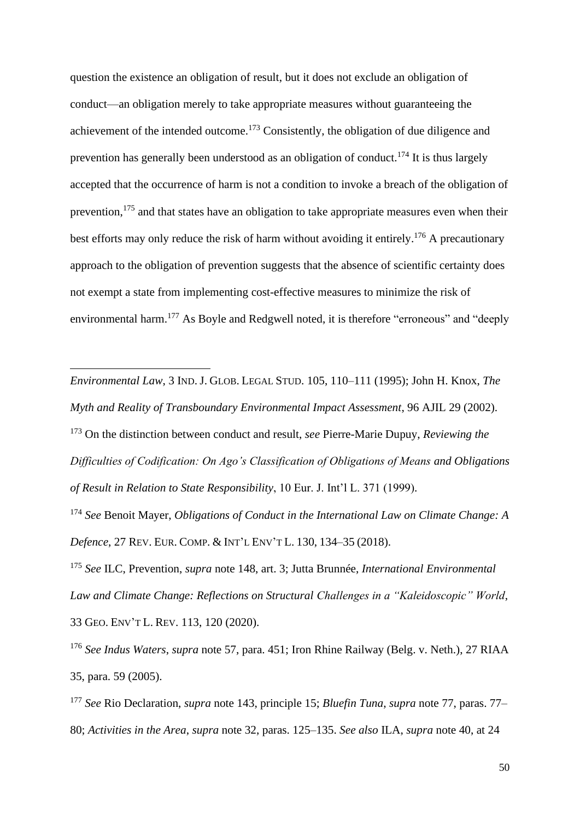<span id="page-49-3"></span><span id="page-49-2"></span><span id="page-49-1"></span>question the existence an obligation of result, but it does not exclude an obligation of conduct—an obligation merely to take appropriate measures without guaranteeing the achievement of the intended outcome. <sup>173</sup> Consistently, the obligation of due diligence and prevention has generally been understood as an obligation of conduct.<sup>174</sup> It is thus largely accepted that the occurrence of harm is not a condition to invoke a breach of the obligation of prevention,<sup>175</sup> and that states have an obligation to take appropriate measures even when their best efforts may only reduce the risk of harm without avoiding it entirely.<sup>176</sup> A precautionary approach to the obligation of prevention suggests that the absence of scientific certainty does not exempt a state from implementing cost-effective measures to minimize the risk of environmental harm.<sup>177</sup> As Boyle and Redgwell noted, it is therefore "erroneous" and "deeply

<span id="page-49-0"></span>*Environmental Law*, 3 IND. J. GLOB. LEGAL STUD. 105, 110–111 (1995); John H. Knox, *The Myth and Reality of Transboundary Environmental Impact Assessment*, 96 AJIL 29 (2002). <sup>173</sup> On the distinction between conduct and result, *see* Pierre-Marie Dupuy, *Reviewing the Difficulties of Codification: On Ago's Classification of Obligations of Means and Obligations of Result in Relation to State Responsibility*, 10 Eur. J. Int'l L. 371 (1999).

<sup>174</sup> *See* Benoit Mayer, *Obligations of Conduct in the International Law on Climate Change: A Defence*, 27 REV. EUR. COMP. & INT'L ENV'T L. 130, 134–35 (2018).

<sup>175</sup> *See* ILC, Prevention, *supra* note [148,](#page-43-0) art. 3; Jutta Brunnée, *International Environmental Law and Climate Change: Reflections on Structural Challenges in a "Kaleidoscopic" World*, 33 GEO. ENV'T L. REV. 113, 120 (2020).

<sup>176</sup> *See Indus Waters*, *supra* note [57,](#page-18-0) para. 451; Iron Rhine Railway (Belg. v. Neth.), 27 RIAA 35, para. 59 (2005).

<sup>177</sup> *See* Rio Declaration, *supra* note [143,](#page-42-0) principle 15; *Bluefin Tuna*, *supra* note [77,](#page-23-1) paras. 77– 80; *Activities in the Area*, *supra* note [32,](#page-8-0) paras. 125–135. *See also* ILA, *supra* note [40,](#page-10-1) at 24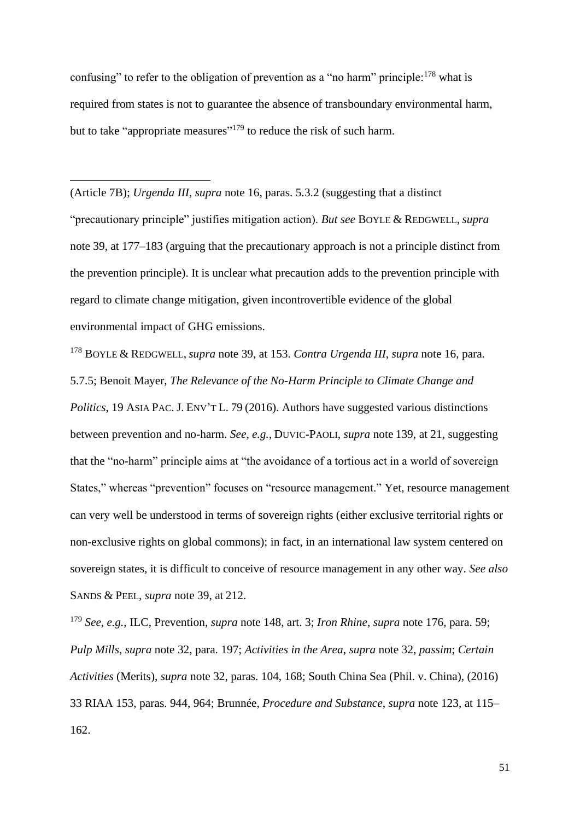<span id="page-50-0"></span>confusing" to refer to the obligation of prevention as a "no harm" principle: $178$  what is required from states is not to guarantee the absence of transboundary environmental harm, but to take "appropriate measures"<sup>179</sup> to reduce the risk of such harm.

(Article 7B); *Urgenda III*, *supra* note [16,](#page-4-0) paras. 5.3.2 (suggesting that a distinct "precautionary principle" justifies mitigation action). *But see* BOYLE & REDGWELL, *supra*  note [39,](#page-10-0) at 177–183 (arguing that the precautionary approach is not a principle distinct from the prevention principle). It is unclear what precaution adds to the prevention principle with regard to climate change mitigation, given incontrovertible evidence of the global environmental impact of GHG emissions.

<sup>178</sup> BOYLE & REDGWELL, *supra* note [39,](#page-10-0) at 153. *Contra Urgenda III*, *supra* note [16,](#page-4-0) para. 5.7.5; Benoit Mayer, *The Relevance of the No-Harm Principle to Climate Change and Politics*, 19 ASIA PAC. J. ENV'T L. 79 (2016). Authors have suggested various distinctions between prevention and no-harm. *See, e.g.*, DUVIC-PAOLI, *supra* note [139,](#page-41-0) at 21, suggesting that the "no-harm" principle aims at "the avoidance of a tortious act in a world of sovereign States," whereas "prevention" focuses on "resource management." Yet, resource management can very well be understood in terms of sovereign rights (either exclusive territorial rights or non-exclusive rights on global commons); in fact, in an international law system centered on sovereign states, it is difficult to conceive of resource management in any other way. *See also* SANDS & PEEL, *supra* note [39,](#page-10-0) at 212.

<sup>179</sup> *See, e.g.*, ILC, Prevention, *supra* note [148,](#page-43-0) art. 3; *Iron Rhine*, *supra* note [176,](#page-49-0) para. 59; *Pulp Mills*, *supra* note [32,](#page-8-0) para. 197; *Activities in the Area*, *supra* note [32,](#page-8-0) *passim*; *Certain Activities* (Merits), *supra* note [32,](#page-8-0) paras. 104, 168; South China Sea (Phil. v. China), (2016) 33 RIAA 153, paras. 944, 964; Brunnée, *Procedure and Substance*, *supra* note [123,](#page-34-0) at 115– 162.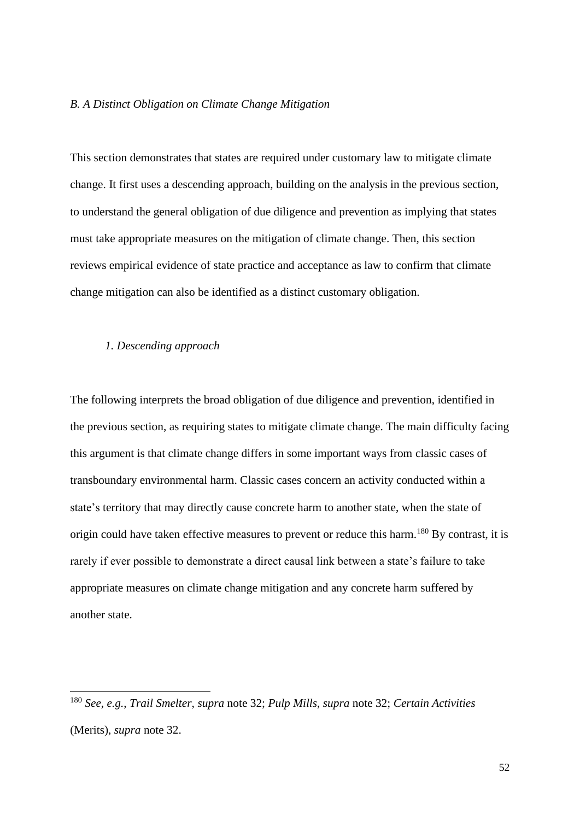#### *B. A Distinct Obligation on Climate Change Mitigation*

This section demonstrates that states are required under customary law to mitigate climate change. It first uses a descending approach, building on the analysis in the previous section, to understand the general obligation of due diligence and prevention as implying that states must take appropriate measures on the mitigation of climate change. Then, this section reviews empirical evidence of state practice and acceptance as law to confirm that climate change mitigation can also be identified as a distinct customary obligation.

# *1. Descending approach*

The following interprets the broad obligation of due diligence and prevention, identified in the previous section, as requiring states to mitigate climate change. The main difficulty facing this argument is that climate change differs in some important ways from classic cases of transboundary environmental harm. Classic cases concern an activity conducted within a state's territory that may directly cause concrete harm to another state, when the state of origin could have taken effective measures to prevent or reduce this harm.<sup>180</sup> By contrast, it is rarely if ever possible to demonstrate a direct causal link between a state's failure to take appropriate measures on climate change mitigation and any concrete harm suffered by another state.

<sup>180</sup> *See, e.g.*, *Trail Smelter*, *supra* note [32;](#page-8-0) *Pulp Mills*, *supra* note [32;](#page-8-0) *Certain Activities*  (Merits), *supra* note [32.](#page-8-0)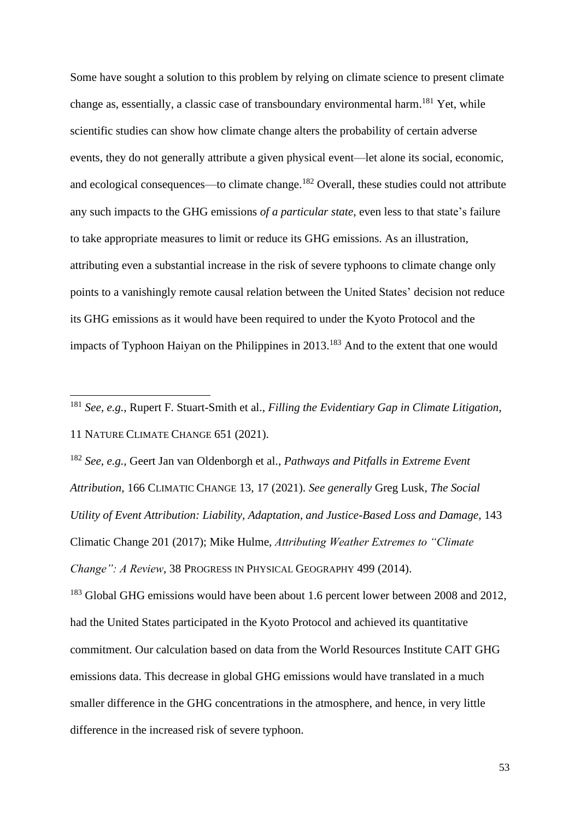Some have sought a solution to this problem by relying on climate science to present climate change as, essentially, a classic case of transboundary environmental harm.<sup>181</sup> Yet, while scientific studies can show how climate change alters the probability of certain adverse events, they do not generally attribute a given physical event—let alone its social, economic, and ecological consequences—to climate change.<sup>182</sup> Overall, these studies could not attribute any such impacts to the GHG emissions *of a particular state*, even less to that state's failure to take appropriate measures to limit or reduce its GHG emissions. As an illustration, attributing even a substantial increase in the risk of severe typhoons to climate change only points to a vanishingly remote causal relation between the United States' decision not reduce its GHG emissions as it would have been required to under the Kyoto Protocol and the impacts of Typhoon Haiyan on the Philippines in 2013.<sup>183</sup> And to the extent that one would

<sup>183</sup> Global GHG emissions would have been about 1.6 percent lower between 2008 and 2012, had the United States participated in the Kyoto Protocol and achieved its quantitative commitment. Our calculation based on data from the World Resources Institute CAIT GHG emissions data. This decrease in global GHG emissions would have translated in a much smaller difference in the GHG concentrations in the atmosphere, and hence, in very little difference in the increased risk of severe typhoon.

<sup>181</sup> *See, e.g.*, Rupert F. Stuart-Smith et al., *Filling the Evidentiary Gap in Climate Litigation*, 11 NATURE CLIMATE CHANGE 651 (2021).

<sup>182</sup> *See, e.g.*, Geert Jan van Oldenborgh et al., *Pathways and Pitfalls in Extreme Event Attribution*, 166 CLIMATIC CHANGE 13, 17 (2021). *See generally* Greg Lusk, *The Social Utility of Event Attribution: Liability, Adaptation, and Justice-Based Loss and Damage*, 143 Climatic Change 201 (2017); Mike Hulme, *Attributing Weather Extremes to "Climate Change": A Review*, 38 PROGRESS IN PHYSICAL GEOGRAPHY 499 (2014).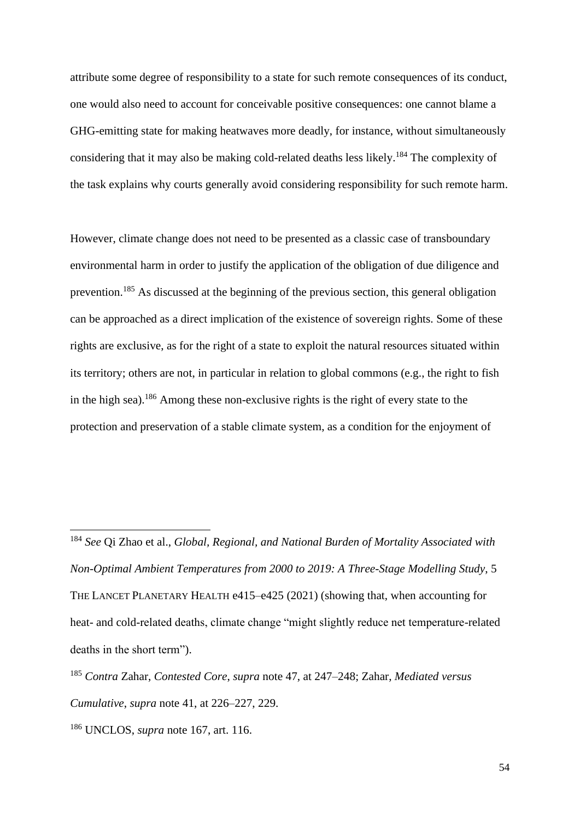attribute some degree of responsibility to a state for such remote consequences of its conduct, one would also need to account for conceivable positive consequences: one cannot blame a GHG-emitting state for making heatwaves more deadly, for instance, without simultaneously considering that it may also be making cold-related deaths less likely.<sup>184</sup> The complexity of the task explains why courts generally avoid considering responsibility for such remote harm.

However, climate change does not need to be presented as a classic case of transboundary environmental harm in order to justify the application of the obligation of due diligence and prevention.<sup>185</sup> As discussed at the beginning of the previous section, this general obligation can be approached as a direct implication of the existence of sovereign rights. Some of these rights are exclusive, as for the right of a state to exploit the natural resources situated within its territory; others are not, in particular in relation to global commons (e.g., the right to fish in the high sea).<sup>186</sup> Among these non-exclusive rights is the right of every state to the protection and preservation of a stable climate system, as a condition for the enjoyment of

<sup>184</sup> *See* Qi Zhao et al., *Global, Regional, and National Burden of Mortality Associated with Non-Optimal Ambient Temperatures from 2000 to 2019: A Three-Stage Modelling Study*, 5 THE LANCET PLANETARY HEALTH e415–e425 (2021) (showing that, when accounting for heat- and cold-related deaths, climate change "might slightly reduce net temperature-related deaths in the short term").

<sup>185</sup> *Contra* Zahar, *Contested Core*, *supra* note [47,](#page-15-0) at 247–248; Zahar, *Mediated versus Cumulative*, *supra* note [41,](#page-11-0) at 226–227, 229.

<sup>186</sup> UNCLOS, *supra* note [167,](#page-47-0) art. 116.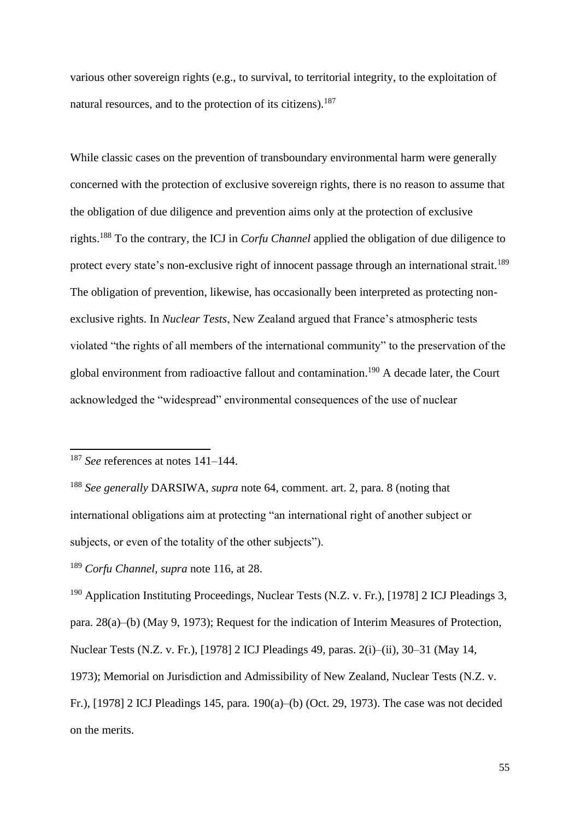various other sovereign rights (e.g., to survival, to territorial integrity, to the exploitation of natural resources, and to the protection of its citizens).<sup>187</sup>

While classic cases on the prevention of transboundary environmental harm were generally concerned with the protection of exclusive sovereign rights, there is no reason to assume that the obligation of due diligence and prevention aims only at the protection of exclusive rights.<sup>188</sup> To the contrary, the ICJ in *Corfu Channel* applied the obligation of due diligence to protect every state's non-exclusive right of innocent passage through an international strait.<sup>189</sup> The obligation of prevention, likewise, has occasionally been interpreted as protecting nonexclusive rights. In *Nuclear Tests*, New Zealand argued that France's atmospheric tests violated "the rights of all members of the international community" to the preservation of the global environment from radioactive fallout and contamination.<sup>190</sup> A decade later, the Court acknowledged the "widespread" environmental consequences of the use of nuclear

<sup>187</sup> *See* references at notes [141](#page-42-1)[–144.](#page-42-2)

<sup>188</sup> *See generally* DARSIWA, *supra* note [64,](#page-20-0) comment. art. 2, para. 8 (noting that international obligations aim at protecting "an international right of another subject or subjects, or even of the totality of the other subjects").

<sup>189</sup> *Corfu Channel*, *supra* note [116,](#page-33-0) at 28.

<sup>&</sup>lt;sup>190</sup> Application Instituting Proceedings, Nuclear Tests (N.Z. v. Fr.), [1978] 2 ICJ Pleadings 3, para. 28(a)–(b) (May 9, 1973); Request for the indication of Interim Measures of Protection, Nuclear Tests (N.Z. v. Fr.), [1978] 2 ICJ Pleadings 49, paras. 2(i)–(ii), 30–31 (May 14, 1973); Memorial on Jurisdiction and Admissibility of New Zealand, Nuclear Tests (N.Z. v. Fr.), [1978] 2 ICJ Pleadings 145, para. 190(a)–(b) (Oct. 29, 1973). The case was not decided on the merits.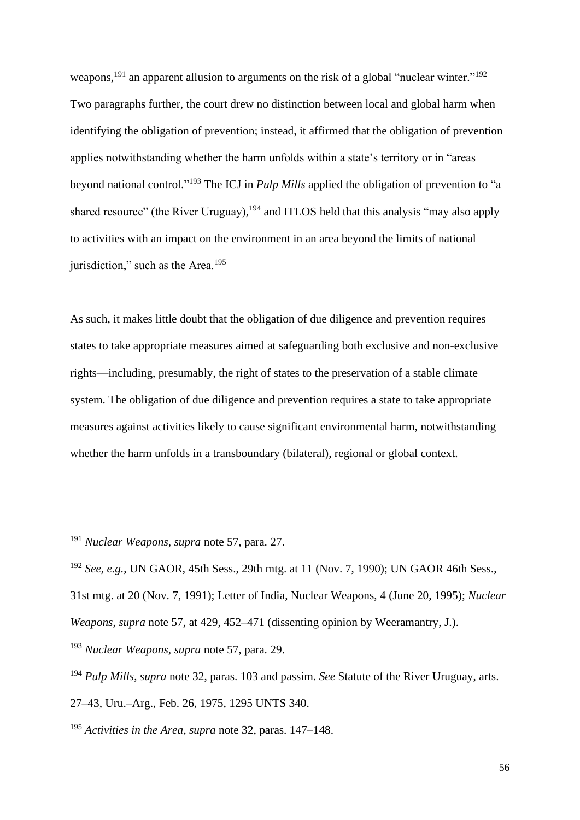weapons,<sup>191</sup> an apparent allusion to arguments on the risk of a global "nuclear winter."<sup>192</sup> Two paragraphs further, the court drew no distinction between local and global harm when identifying the obligation of prevention; instead, it affirmed that the obligation of prevention applies notwithstanding whether the harm unfolds within a state's territory or in "areas beyond national control." <sup>193</sup> The ICJ in *Pulp Mills* applied the obligation of prevention to "a shared resource" (the River Uruguay), <sup>194</sup> and ITLOS held that this analysis "may also apply to activities with an impact on the environment in an area beyond the limits of national jurisdiction," such as the Area.<sup>195</sup>

As such, it makes little doubt that the obligation of due diligence and prevention requires states to take appropriate measures aimed at safeguarding both exclusive and non-exclusive rights—including, presumably, the right of states to the preservation of a stable climate system. The obligation of due diligence and prevention requires a state to take appropriate measures against activities likely to cause significant environmental harm, notwithstanding whether the harm unfolds in a transboundary (bilateral), regional or global context.

<sup>191</sup> *Nuclear Weapons*, *supra* note [57,](#page-18-0) para. 27.

<sup>192</sup> *See, e.g.*, UN GAOR, 45th Sess., 29th mtg. at 11 (Nov. 7, 1990); UN GAOR 46th Sess.,

<sup>31</sup>st mtg. at 20 (Nov. 7, 1991); Letter of India, Nuclear Weapons, 4 (June 20, 1995); *Nuclear* 

*Weapons*, *supra* note [57,](#page-18-0) at 429, 452–471 (dissenting opinion by Weeramantry, J.).

<sup>193</sup> *Nuclear Weapons*, *supra* note [57,](#page-18-0) para. 29.

<sup>194</sup> *Pulp Mills*, *supra* note [32,](#page-8-0) paras. 103 and passim. *See* Statute of the River Uruguay, arts.

<sup>27–43,</sup> Uru.–Arg., Feb. 26, 1975, 1295 UNTS 340.

<sup>195</sup> *Activities in the Area*, *supra* note [32,](#page-8-0) paras. 147–148.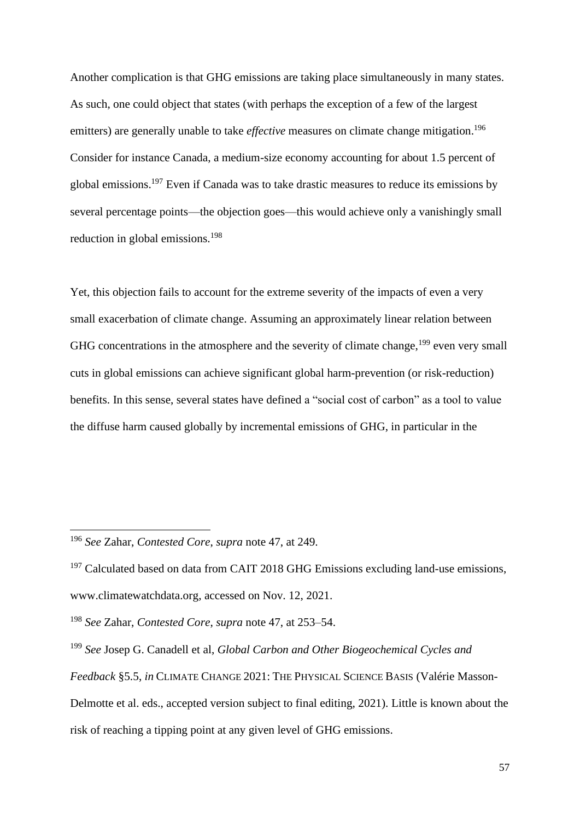Another complication is that GHG emissions are taking place simultaneously in many states. As such, one could object that states (with perhaps the exception of a few of the largest emitters) are generally unable to take *effective* measures on climate change mitigation. 196 Consider for instance Canada, a medium-size economy accounting for about 1.5 percent of global emissions.<sup>197</sup> Even if Canada was to take drastic measures to reduce its emissions by several percentage points—the objection goes—this would achieve only a vanishingly small reduction in global emissions.<sup>198</sup>

<span id="page-56-0"></span>Yet, this objection fails to account for the extreme severity of the impacts of even a very small exacerbation of climate change. Assuming an approximately linear relation between GHG concentrations in the atmosphere and the severity of climate change,  $199$  even very small cuts in global emissions can achieve significant global harm-prevention (or risk-reduction) benefits. In this sense, several states have defined a "social cost of carbon" as a tool to value the diffuse harm caused globally by incremental emissions of GHG, in particular in the

<sup>196</sup> *See* Zahar, *Contested Core*, *supra* note [47,](#page-15-0) at 249.

 $197$  Calculated based on data from CAIT 2018 GHG Emissions excluding land-use emissions, www.climatewatchdata.org, accessed on Nov. 12, 2021.

<sup>198</sup> *See* Zahar, *Contested Core*, *supra* note [47,](#page-15-0) at 253–54.

<sup>199</sup> *See* Josep G. Canadell et al, *Global Carbon and Other Biogeochemical Cycles and Feedback* §5.5, *in* CLIMATE CHANGE 2021: THE PHYSICAL SCIENCE BASIS (Valérie Masson-Delmotte et al. eds., accepted version subject to final editing, 2021). Little is known about the risk of reaching a tipping point at any given level of GHG emissions.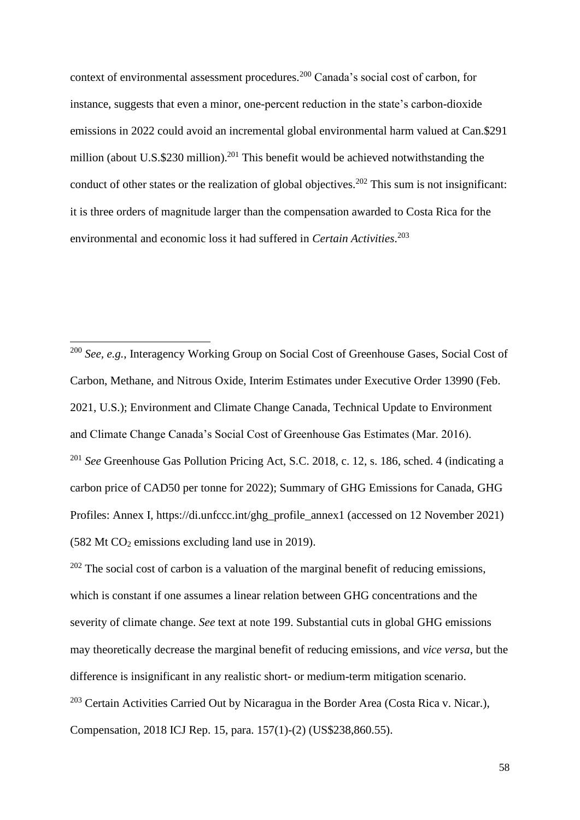context of environmental assessment procedures. <sup>200</sup> Canada's social cost of carbon, for instance, suggests that even a minor, one-percent reduction in the state's carbon-dioxide emissions in 2022 could avoid an incremental global environmental harm valued at Can.\$291 million (about U.S.\$230 million).<sup>201</sup> This benefit would be achieved notwithstanding the conduct of other states or the realization of global objectives.<sup>202</sup> This sum is not insignificant: it is three orders of magnitude larger than the compensation awarded to Costa Rica for the environmental and economic loss it had suffered in *Certain Activities*. 203

<sup>200</sup> *See, e.g.*, Interagency Working Group on Social Cost of Greenhouse Gases, Social Cost of Carbon, Methane, and Nitrous Oxide, Interim Estimates under Executive Order 13990 (Feb. 2021, U.S.); Environment and Climate Change Canada, Technical Update to Environment and Climate Change Canada's Social Cost of Greenhouse Gas Estimates (Mar. 2016). <sup>201</sup> *See* Greenhouse Gas Pollution Pricing Act, S.C. 2018, c. 12, s. 186, sched. 4 (indicating a carbon price of CAD50 per tonne for 2022); Summary of GHG Emissions for Canada, GHG Profiles: Annex I, https://di.unfccc.int/ghg\_profile\_annex1 (accessed on 12 November 2021)  $(582 \text{ Mt CO}_2 \text{ emissions excluding land use in 2019}).$ 

 $202$  The social cost of carbon is a valuation of the marginal benefit of reducing emissions, which is constant if one assumes a linear relation between GHG concentrations and the severity of climate change. *See* text at note [199.](#page-56-0) Substantial cuts in global GHG emissions may theoretically decrease the marginal benefit of reducing emissions, and *vice versa*, but the difference is insignificant in any realistic short- or medium-term mitigation scenario. <sup>203</sup> Certain Activities Carried Out by Nicaragua in the Border Area (Costa Rica v. Nicar.), Compensation, 2018 ICJ Rep. 15, para. 157(1)-(2) (US\$238,860.55).

58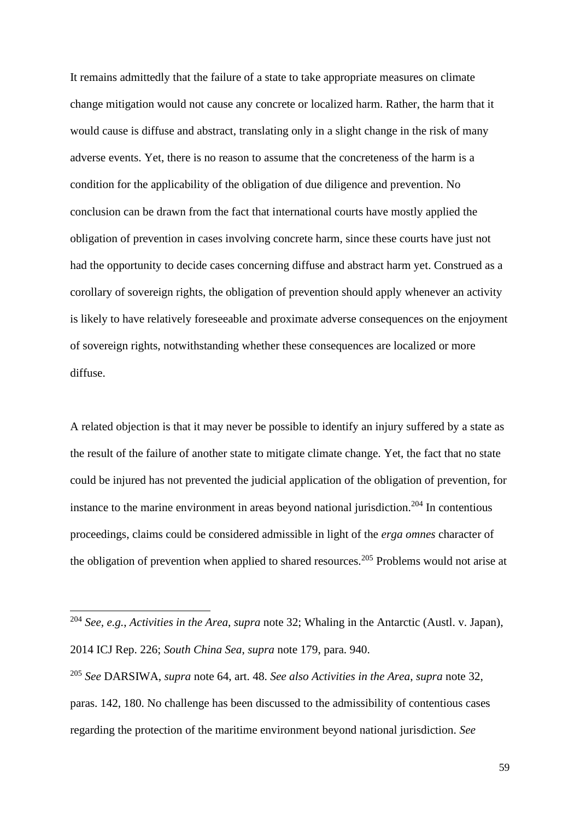It remains admittedly that the failure of a state to take appropriate measures on climate change mitigation would not cause any concrete or localized harm. Rather, the harm that it would cause is diffuse and abstract, translating only in a slight change in the risk of many adverse events. Yet, there is no reason to assume that the concreteness of the harm is a condition for the applicability of the obligation of due diligence and prevention. No conclusion can be drawn from the fact that international courts have mostly applied the obligation of prevention in cases involving concrete harm, since these courts have just not had the opportunity to decide cases concerning diffuse and abstract harm yet. Construed as a corollary of sovereign rights, the obligation of prevention should apply whenever an activity is likely to have relatively foreseeable and proximate adverse consequences on the enjoyment of sovereign rights, notwithstanding whether these consequences are localized or more diffuse.

<span id="page-58-0"></span>A related objection is that it may never be possible to identify an injury suffered by a state as the result of the failure of another state to mitigate climate change. Yet, the fact that no state could be injured has not prevented the judicial application of the obligation of prevention, for instance to the marine environment in areas beyond national jurisdiction.<sup>204</sup> In contentious proceedings, claims could be considered admissible in light of the *erga omnes* character of the obligation of prevention when applied to shared resources.<sup>205</sup> Problems would not arise at

<sup>204</sup> *See, e.g.*, *Activities in the Area*, *supra* note [32;](#page-8-0) Whaling in the Antarctic (Austl. v. Japan), 2014 ICJ Rep. 226; *South China Sea*, *supra* note [179,](#page-50-0) para. 940.

<sup>205</sup> *See* DARSIWA, *supra* note [64,](#page-20-0) art. 48. *See also Activities in the Area*, *supra* note [32,](#page-8-0) paras. 142, 180. No challenge has been discussed to the admissibility of contentious cases regarding the protection of the maritime environment beyond national jurisdiction. *See*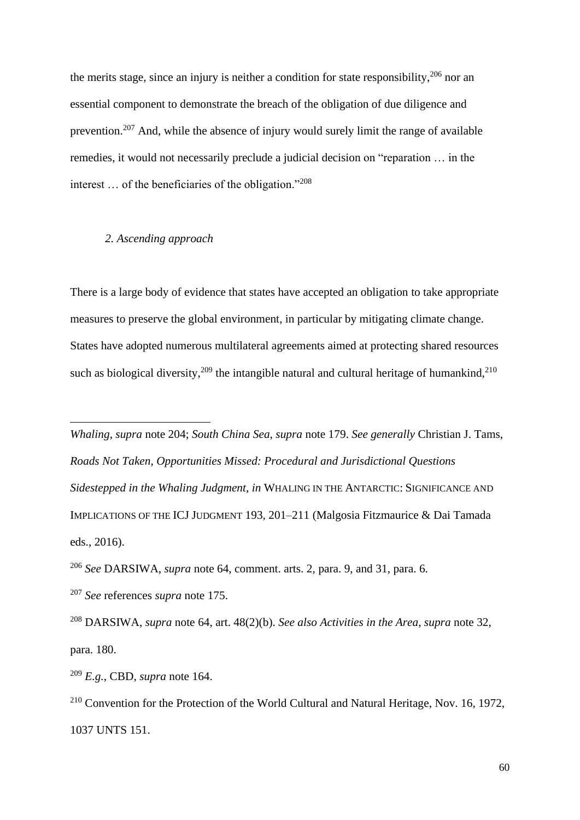the merits stage, since an injury is neither a condition for state responsibility,  $206$  nor an essential component to demonstrate the breach of the obligation of due diligence and prevention.<sup>207</sup> And, while the absence of injury would surely limit the range of available remedies, it would not necessarily preclude a judicial decision on "reparation … in the interest … of the beneficiaries of the obligation."<sup>208</sup>

#### *2. Ascending approach*

There is a large body of evidence that states have accepted an obligation to take appropriate measures to preserve the global environment, in particular by mitigating climate change. States have adopted numerous multilateral agreements aimed at protecting shared resources such as biological diversity,<sup>209</sup> the intangible natural and cultural heritage of humankind,<sup>210</sup>

*Whaling*, *supra* note [204;](#page-58-0) *South China Sea*, *supra* note [179.](#page-50-0) *See generally* Christian J. Tams, *Roads Not Taken, Opportunities Missed: Procedural and Jurisdictional Questions Sidestepped in the Whaling Judgment*, *in* WHALING IN THE ANTARCTIC: SIGNIFICANCE AND IMPLICATIONS OF THE ICJ JUDGMENT 193, 201–211 (Malgosia Fitzmaurice & Dai Tamada eds., 2016).

<sup>206</sup> *See* DARSIWA, *supra* note [64,](#page-20-0) comment. arts. 2, para. 9, and 31, para. 6.

<sup>208</sup> DARSIWA, *supra* note [64,](#page-20-0) art. 48(2)(b). *See also Activities in the Area*, *supra* note [32,](#page-8-0) para. 180.

<sup>209</sup> *E.g.*, CBD, *supra* note [164.](#page-47-1)

<sup>207</sup> *See* references *supra* note [175.](#page-49-1)

 $2^{10}$  Convention for the Protection of the World Cultural and Natural Heritage, Nov. 16, 1972, 1037 UNTS 151.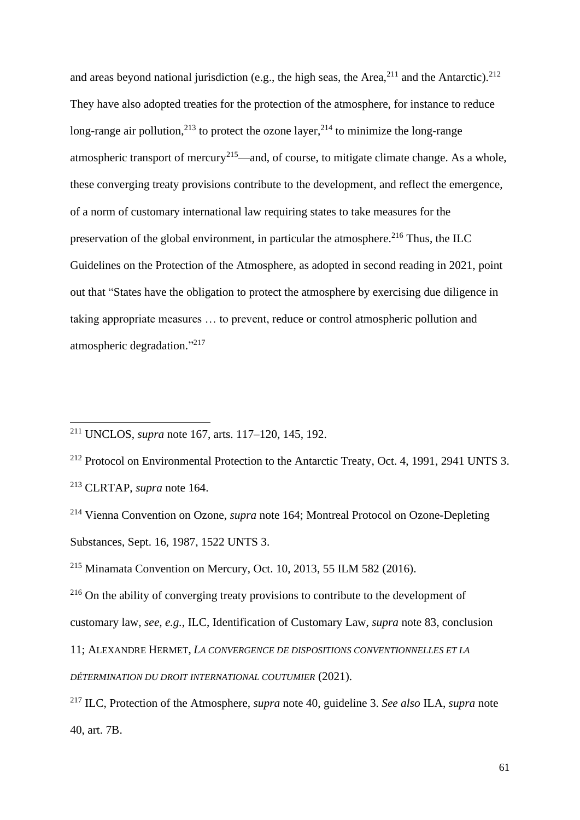and areas beyond national jurisdiction (e.g., the high seas, the Area, $^{211}$  and the Antarctic). $^{212}$ They have also adopted treaties for the protection of the atmosphere, for instance to reduce long-range air pollution,<sup>213</sup> to protect the ozone layer,<sup>214</sup> to minimize the long-range atmospheric transport of mercury<sup>215</sup>—and, of course, to mitigate climate change. As a whole, these converging treaty provisions contribute to the development, and reflect the emergence, of a norm of customary international law requiring states to take measures for the preservation of the global environment, in particular the atmosphere.<sup>216</sup> Thus, the ILC Guidelines on the Protection of the Atmosphere, as adopted in second reading in 2021, point out that "States have the obligation to protect the atmosphere by exercising due diligence in taking appropriate measures … to prevent, reduce or control atmospheric pollution and atmospheric degradation." 217

<sup>212</sup> Protocol on Environmental Protection to the Antarctic Treaty, Oct. 4, 1991, 2941 UNTS 3. <sup>213</sup> CLRTAP, *supra* note [164.](#page-47-1)

customary law, *see, e.g.*, ILC, Identification of Customary Law, *supra* note [83,](#page-25-0) conclusion

<sup>211</sup> UNCLOS, *supra* note [167,](#page-47-0) arts. 117–120, 145, 192.

<sup>214</sup> Vienna Convention on Ozone, *supra* note [164;](#page-47-1) Montreal Protocol on Ozone-Depleting Substances, Sept. 16, 1987, 1522 UNTS 3.

<sup>215</sup> Minamata Convention on Mercury, Oct. 10, 2013, 55 ILM 582 (2016).

<sup>&</sup>lt;sup>216</sup> On the ability of converging treaty provisions to contribute to the development of

<sup>11;</sup> ALEXANDRE HERMET, *LA CONVERGENCE DE DISPOSITIONS CONVENTIONNELLES ET LA* 

*DÉTERMINATION DU DROIT INTERNATIONAL COUTUMIER* (2021).

<sup>217</sup> ILC, Protection of the Atmosphere, *supra* note [40,](#page-10-1) guideline 3. *See also* ILA, *supra* note [40,](#page-10-1) art. 7B.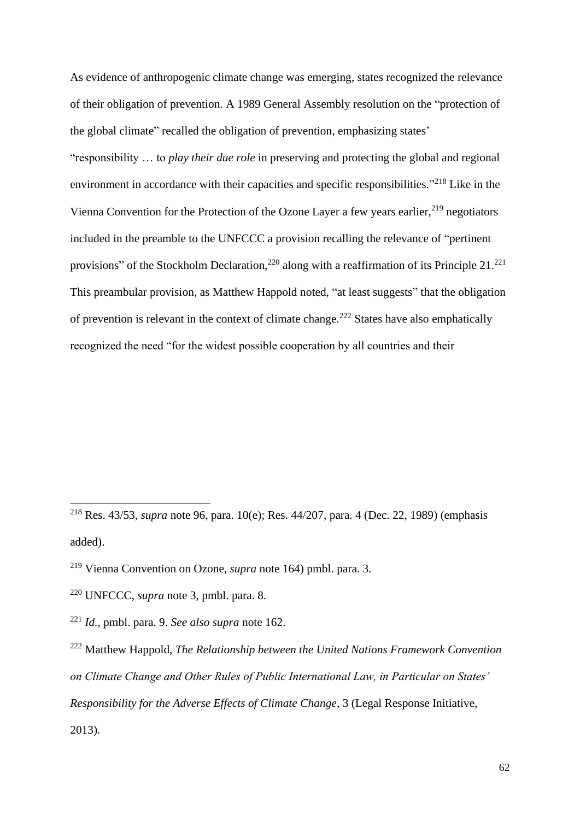As evidence of anthropogenic climate change was emerging, states recognized the relevance of their obligation of prevention. A 1989 General Assembly resolution on the "protection of the global climate" recalled the obligation of prevention, emphasizing states' "responsibility … to *play their due role* in preserving and protecting the global and regional environment in accordance with their capacities and specific responsibilities."<sup>218</sup> Like in the Vienna Convention for the Protection of the Ozone Layer a few years earlier,  $2^{19}$  negotiators included in the preamble to the UNFCCC a provision recalling the relevance of "pertinent provisions" of the Stockholm Declaration,<sup>220</sup> along with a reaffirmation of its Principle 21.<sup>221</sup> This preambular provision, as Matthew Happold noted, "at least suggests" that the obligation of prevention is relevant in the context of climate change.<sup>222</sup> States have also emphatically recognized the need "for the widest possible cooperation by all countries and their

<sup>218</sup> Res. 43/53, *supra* note [96,](#page-29-0) para. 10(e); Res. 44/207, para. 4 (Dec. 22, 1989) (emphasis added).

<sup>219</sup> Vienna Convention on Ozone, *supra* note [164\)](#page-47-1) pmbl. para. 3.

<sup>220</sup> UNFCCC, *supra* note [3,](#page-1-0) pmbl. para. 8.

<sup>221</sup> *Id.*, pmbl. para. 9. *See also supra* note [162.](#page-46-0)

<sup>222</sup> Matthew Happold, *The Relationship between the United Nations Framework Convention on Climate Change and Other Rules of Public International Law, in Particular on States' Responsibility for the Adverse Effects of Climate Change*, 3 (Legal Response Initiative, 2013).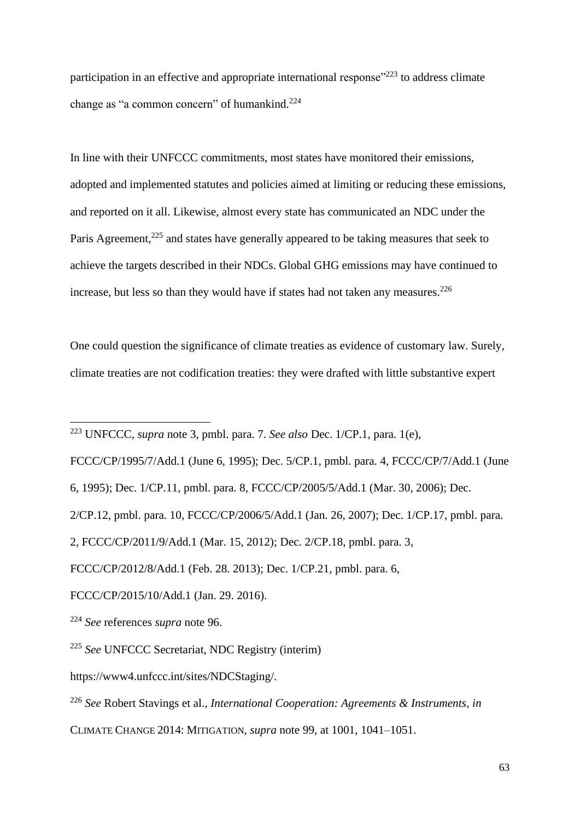<span id="page-62-0"></span>participation in an effective and appropriate international response" $^{223}$  to address climate change as "a common concern" of humankind. $224$ 

In line with their UNFCCC commitments, most states have monitored their emissions, adopted and implemented statutes and policies aimed at limiting or reducing these emissions, and reported on it all. Likewise, almost every state has communicated an NDC under the Paris Agreement,<sup>225</sup> and states have generally appeared to be taking measures that seek to achieve the targets described in their NDCs. Global GHG emissions may have continued to increase, but less so than they would have if states had not taken any measures. $226$ 

One could question the significance of climate treaties as evidence of customary law. Surely, climate treaties are not codification treaties: they were drafted with little substantive expert

FCCC/CP/1995/7/Add.1 (June 6, 1995); Dec. 5/CP.1, pmbl. para. 4, FCCC/CP/7/Add.1 (June

<sup>223</sup> UNFCCC, *supra* note [3,](#page-1-0) pmbl. para. 7. *See also* Dec. 1/CP.1, para. 1(e),

<sup>6, 1995);</sup> Dec. 1/CP.11, pmbl. para. 8, FCCC/CP/2005/5/Add.1 (Mar. 30, 2006); Dec.

<sup>2/</sup>CP.12, pmbl. para. 10, FCCC/CP/2006/5/Add.1 (Jan. 26, 2007); Dec. 1/CP.17, pmbl. para.

<sup>2,</sup> FCCC/CP/2011/9/Add.1 (Mar. 15, 2012); Dec. 2/CP.18, pmbl. para. 3,

FCCC/CP/2012/8/Add.1 (Feb. 28. 2013); Dec. 1/CP.21, pmbl. para. 6,

FCCC/CP/2015/10/Add.1 (Jan. 29. 2016).

<sup>224</sup> *See* references *supra* note [96.](#page-29-0)

<sup>225</sup> *See* UNFCCC Secretariat, NDC Registry (interim)

https://www4.unfccc.int/sites/NDCStaging/.

<sup>226</sup> *See* Robert Stavings et al., *International Cooperation: Agreements & Instruments*, *in*

CLIMATE CHANGE 2014: MITIGATION, *supra* note [99,](#page-30-0) at 1001, 1041–1051.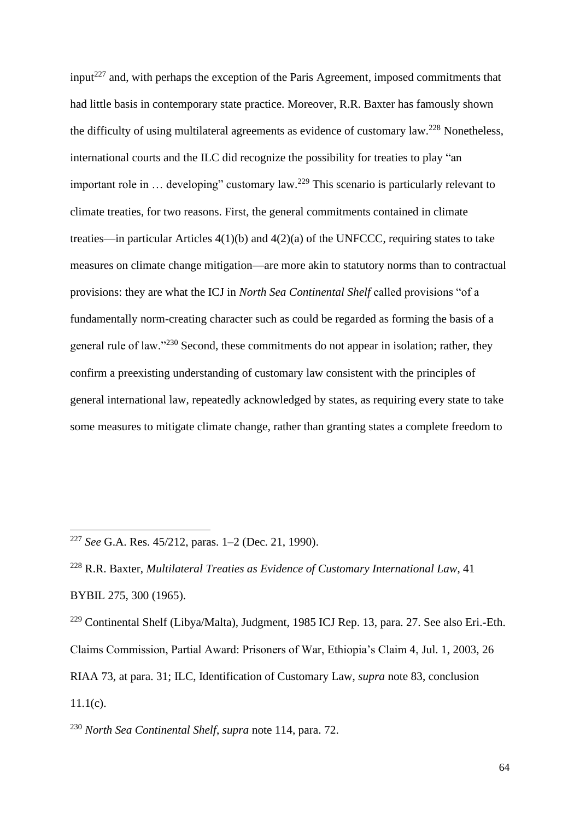input<sup>227</sup> and, with perhaps the exception of the Paris Agreement, imposed commitments that had little basis in contemporary state practice. Moreover, R.R. Baxter has famously shown the difficulty of using multilateral agreements as evidence of customary law.<sup>228</sup> Nonetheless, international courts and the ILC did recognize the possibility for treaties to play "an important role in  $\ldots$  developing" customary law.<sup>229</sup> This scenario is particularly relevant to climate treaties, for two reasons. First, the general commitments contained in climate treaties—in particular Articles 4(1)(b) and 4(2)(a) of the UNFCCC, requiring states to take measures on climate change mitigation—are more akin to statutory norms than to contractual provisions: they are what the ICJ in *North Sea Continental Shelf* called provisions "of a fundamentally norm-creating character such as could be regarded as forming the basis of a general rule of law."<sup>230</sup> Second, these commitments do not appear in isolation; rather, they confirm a preexisting understanding of customary law consistent with the principles of general international law, repeatedly acknowledged by states, as requiring every state to take some measures to mitigate climate change, rather than granting states a complete freedom to

<sup>227</sup> *See* G.A. Res. 45/212, paras. 1–2 (Dec. 21, 1990).

<sup>228</sup> R.R. Baxter, *Multilateral Treaties as Evidence of Customary International Law*, 41 BYBIL 275, 300 (1965).

<sup>&</sup>lt;sup>229</sup> Continental Shelf (Libya/Malta), Judgment, 1985 ICJ Rep. 13, para. 27. See also Eri.-Eth. Claims Commission, Partial Award: Prisoners of War, Ethiopia's Claim 4, Jul. 1, 2003, 26 RIAA 73, at para. 31; ILC, Identification of Customary Law, *supra* note [83,](#page-25-0) conclusion  $11.1(c)$ .

<sup>230</sup> *North Sea Continental Shelf*, *supra* note [114,](#page-33-1) para. 72.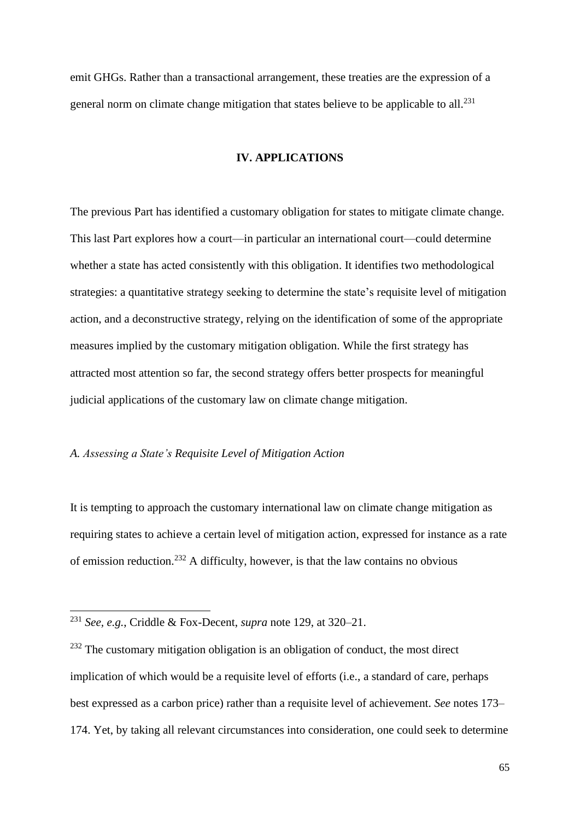emit GHGs. Rather than a transactional arrangement, these treaties are the expression of a general norm on climate change mitigation that states believe to be applicable to all.<sup>231</sup>

## **IV. APPLICATIONS**

The previous Part has identified a customary obligation for states to mitigate climate change. This last Part explores how a court—in particular an international court—could determine whether a state has acted consistently with this obligation. It identifies two methodological strategies: a quantitative strategy seeking to determine the state's requisite level of mitigation action, and a deconstructive strategy, relying on the identification of some of the appropriate measures implied by the customary mitigation obligation. While the first strategy has attracted most attention so far, the second strategy offers better prospects for meaningful judicial applications of the customary law on climate change mitigation.

# *A. Assessing a State's Requisite Level of Mitigation Action*

It is tempting to approach the customary international law on climate change mitigation as requiring states to achieve a certain level of mitigation action, expressed for instance as a rate of emission reduction. <sup>232</sup> A difficulty, however, is that the law contains no obvious

<sup>231</sup> *See, e.g.*, Criddle & Fox-Decent, *supra* note [129,](#page-36-0) at 320–21.

 $232$  The customary mitigation obligation is an obligation of conduct, the most direct implication of which would be a requisite level of efforts (i.e., a standard of care, perhaps best expressed as a carbon price) rather than a requisite level of achievement. *See* notes [173–](#page-49-2) [174.](#page-49-3) Yet, by taking all relevant circumstances into consideration, one could seek to determine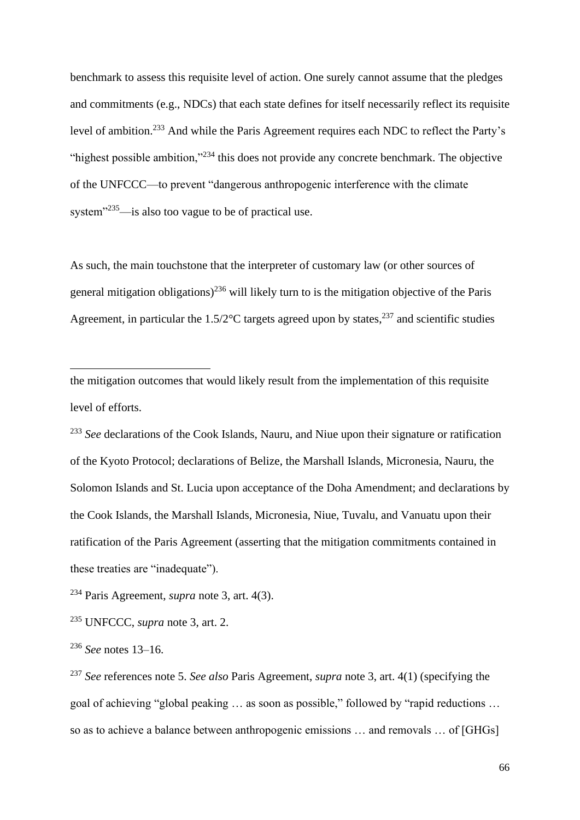benchmark to assess this requisite level of action. One surely cannot assume that the pledges and commitments (e.g., NDCs) that each state defines for itself necessarily reflect its requisite level of ambition.<sup>233</sup> And while the Paris Agreement requires each NDC to reflect the Party's "highest possible ambition,"<sup>234</sup> this does not provide any concrete benchmark. The objective of the UNFCCC—to prevent "dangerous anthropogenic interference with the climate system<sup>"235</sup>—is also too vague to be of practical use.

As such, the main touchstone that the interpreter of customary law (or other sources of general mitigation obligations)<sup>236</sup> will likely turn to is the mitigation objective of the Paris Agreement, in particular the  $1.5/2$ °C targets agreed upon by states,<sup>237</sup> and scientific studies

the mitigation outcomes that would likely result from the implementation of this requisite level of efforts.

<sup>233</sup> See declarations of the Cook Islands, Nauru, and Niue upon their signature or ratification of the Kyoto Protocol; declarations of Belize, the Marshall Islands, Micronesia, Nauru, the Solomon Islands and St. Lucia upon acceptance of the Doha Amendment; and declarations by the Cook Islands, the Marshall Islands, Micronesia, Niue, Tuvalu, and Vanuatu upon their ratification of the Paris Agreement (asserting that the mitigation commitments contained in these treaties are "inadequate").

<sup>234</sup> Paris Agreement, *supra* note [3,](#page-1-0) art. 4(3).

<sup>235</sup> UNFCCC, *supra* note [3,](#page-1-0) art. 2.

<sup>236</sup> *See* notes [13](#page-3-0)[–16.](#page-4-0)

<sup>237</sup> *See* references note [5.](#page-1-1) *See also* Paris Agreement, *supra* note [3,](#page-1-0) art. 4(1) (specifying the goal of achieving "global peaking … as soon as possible," followed by "rapid reductions … so as to achieve a balance between anthropogenic emissions … and removals … of [GHGs]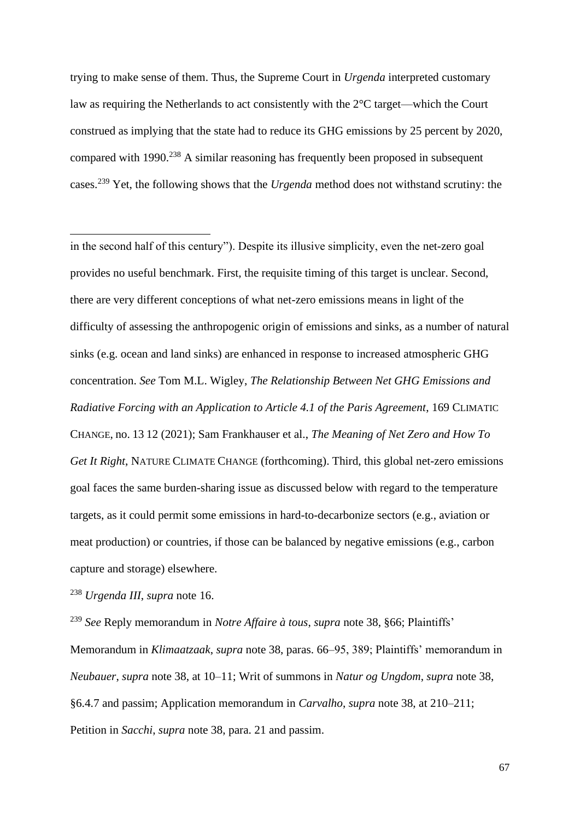trying to make sense of them. Thus, the Supreme Court in *Urgenda* interpreted customary law as requiring the Netherlands to act consistently with the 2°C target—which the Court construed as implying that the state had to reduce its GHG emissions by 25 percent by 2020, compared with  $1990.<sup>238</sup>$  A similar reasoning has frequently been proposed in subsequent cases. <sup>239</sup> Yet, the following shows that the *Urgenda* method does not withstand scrutiny: the

in the second half of this century"). Despite its illusive simplicity, even the net-zero goal provides no useful benchmark. First, the requisite timing of this target is unclear. Second, there are very different conceptions of what net-zero emissions means in light of the difficulty of assessing the anthropogenic origin of emissions and sinks, as a number of natural sinks (e.g. ocean and land sinks) are enhanced in response to increased atmospheric GHG concentration. *See* Tom M.L. Wigley, *The Relationship Between Net GHG Emissions and Radiative Forcing with an Application to Article 4.1 of the Paris Agreement*, 169 CLIMATIC CHANGE, no. 13 12 (2021); Sam Frankhauser et al., *The Meaning of Net Zero and How To Get It Right*, NATURE CLIMATE CHANGE (forthcoming). Third, this global net-zero emissions goal faces the same burden-sharing issue as discussed below with regard to the temperature targets, as it could permit some emissions in hard-to-decarbonize sectors (e.g., aviation or meat production) or countries, if those can be balanced by negative emissions (e.g., carbon capture and storage) elsewhere.

<sup>238</sup> *Urgenda III*, *supra* note [16.](#page-4-0)

<sup>239</sup> *See* Reply memorandum in *Notre Affaire à tous*, *supra* note [38,](#page-9-0) §66; Plaintiffs' Memorandum in *Klimaatzaak*, *supra* note [38,](#page-9-0) paras. 66–95, 389; Plaintiffs' memorandum in *Neubauer*, *supra* note [38,](#page-9-0) at 10–11; Writ of summons in *Natur og Ungdom*, *supra* note [38,](#page-9-0) §6.4.7 and passim; Application memorandum in *Carvalho*, *supra* note [38,](#page-9-0) at 210–211; Petition in *Sacchi*, *supra* note [38,](#page-9-0) para. 21 and passim.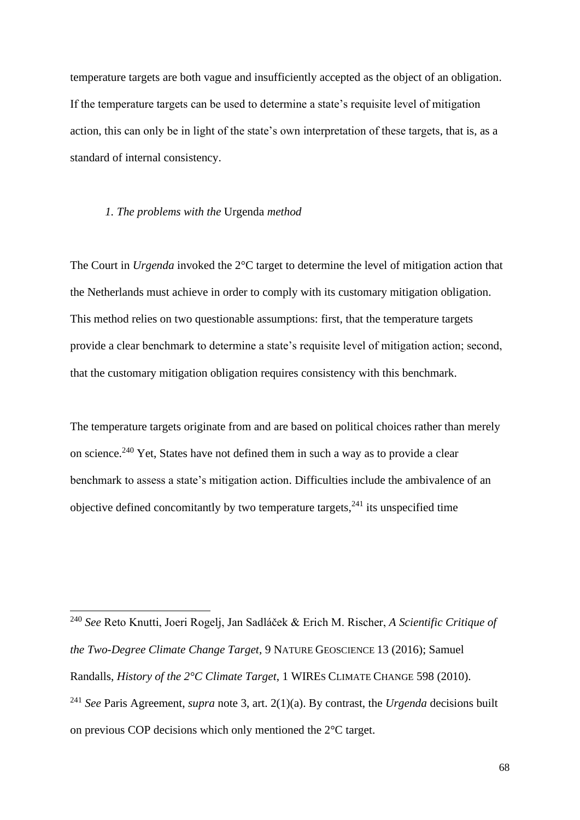temperature targets are both vague and insufficiently accepted as the object of an obligation. If the temperature targets can be used to determine a state's requisite level of mitigation action, this can only be in light of the state's own interpretation of these targets, that is, as a standard of internal consistency.

# *1. The problems with the* Urgenda *method*

The Court in *Urgenda* invoked the 2°C target to determine the level of mitigation action that the Netherlands must achieve in order to comply with its customary mitigation obligation. This method relies on two questionable assumptions: first, that the temperature targets provide a clear benchmark to determine a state's requisite level of mitigation action; second, that the customary mitigation obligation requires consistency with this benchmark.

<span id="page-67-0"></span>The temperature targets originate from and are based on political choices rather than merely on science.<sup>240</sup> Yet, States have not defined them in such a way as to provide a clear benchmark to assess a state's mitigation action. Difficulties include the ambivalence of an objective defined concomitantly by two temperature targets,  $241$  its unspecified time

<sup>240</sup> *See* Reto Knutti, Joeri Rogelj, Jan Sadláček & Erich M. Rischer, *A Scientific Critique of the Two-Degree Climate Change Target*, 9 NATURE GEOSCIENCE 13 (2016); Samuel Randalls, *History of the 2°C Climate Target*, 1 WIRES CLIMATE CHANGE 598 (2010). <sup>241</sup> *See* Paris Agreement, *supra* note [3,](#page-1-0) art. 2(1)(a). By contrast, the *Urgenda* decisions built on previous COP decisions which only mentioned the 2°C target.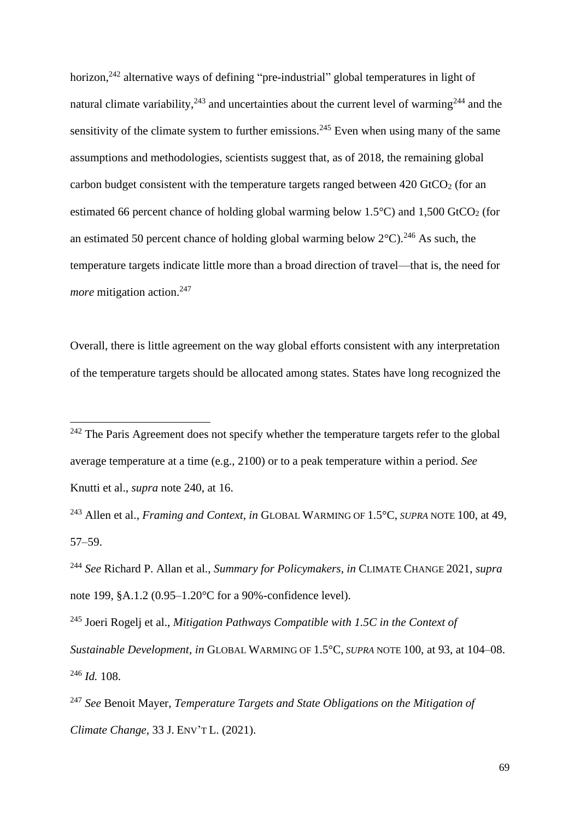horizon,<sup>242</sup> alternative ways of defining "pre-industrial" global temperatures in light of natural climate variability,<sup>243</sup> and uncertainties about the current level of warming<sup>244</sup> and the sensitivity of the climate system to further emissions.<sup>245</sup> Even when using many of the same assumptions and methodologies, scientists suggest that, as of 2018, the remaining global carbon budget consistent with the temperature targets ranged between  $420$  GtCO<sub>2</sub> (for an estimated 66 percent chance of holding global warming below  $1.5^{\circ}$ C) and  $1,500$  GtCO<sub>2</sub> (for an estimated 50 percent chance of holding global warming below  $2^{\circ}$ C).<sup>246</sup> As such, the temperature targets indicate little more than a broad direction of travel—that is, the need for *more* mitigation action.<sup>247</sup>

<span id="page-68-0"></span>Overall, there is little agreement on the way global efforts consistent with any interpretation of the temperature targets should be allocated among states. States have long recognized the

<sup>243</sup> Allen et al., *Framing and Context*, *in* GLOBAL WARMING OF 1.5°C, *SUPRA* NOTE [100,](#page-30-1) at 49, 57–59.

<sup>244</sup> *See* Richard P. Allan et al., *Summary for Policymakers*, *in* CLIMATE CHANGE 2021, *supra*  note [199,](#page-56-0) §A.1.2 (0.95–1.20°C for a 90%-confidence level).

<sup>245</sup> Joeri Rogelj et al., *Mitigation Pathways Compatible with 1.5C in the Context of Sustainable Development*, *in* GLOBAL WARMING OF 1.5°C, *SUPRA* NOTE [100,](#page-30-1) at 93, at 104–08. <sup>246</sup> *Id.* 108.

<sup>247</sup> *See* Benoit Mayer, *Temperature Targets and State Obligations on the Mitigation of Climate Change*, 33 J. ENV'T L. (2021).

 $242$  The Paris Agreement does not specify whether the temperature targets refer to the global average temperature at a time (e.g., 2100) or to a peak temperature within a period. *See*  Knutti et al., *supra* note [240,](#page-67-0) at 16.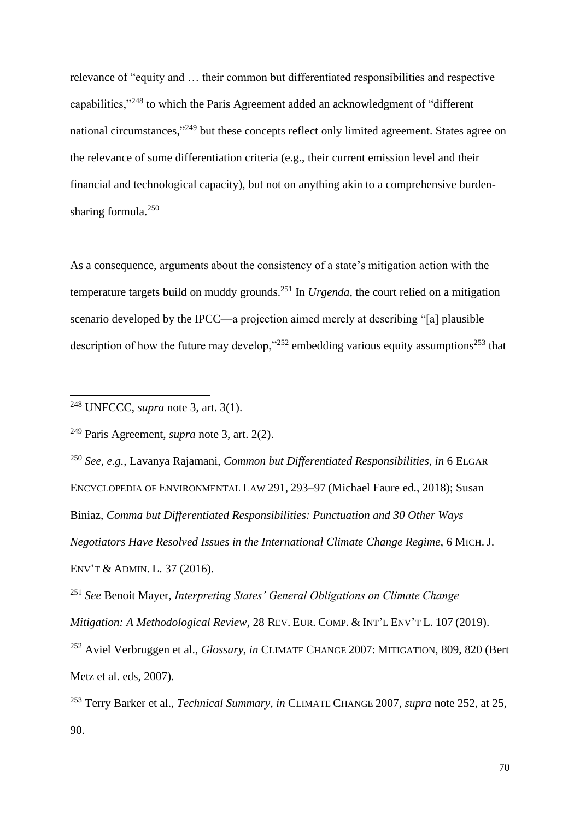relevance of "equity and … their common but differentiated responsibilities and respective capabilities,"<sup>248</sup> to which the Paris Agreement added an acknowledgment of "different national circumstances,"<sup>249</sup> but these concepts reflect only limited agreement. States agree on the relevance of some differentiation criteria (e.g., their current emission level and their financial and technological capacity), but not on anything akin to a comprehensive burdensharing formula.<sup>250</sup>

As a consequence, arguments about the consistency of a state's mitigation action with the temperature targets build on muddy grounds.<sup>251</sup> In *Urgenda*, the court relied on a mitigation scenario developed by the IPCC—a projection aimed merely at describing "[a] plausible description of how the future may develop," $252$  embedding various equity assumptions $253$  that

<span id="page-69-0"></span><sup>248</sup> UNFCCC, *supra* note [3,](#page-1-0) art. 3(1).

<sup>249</sup> Paris Agreement, *supra* note [3,](#page-1-0) art. 2(2).

<sup>250</sup> *See, e.g.*, Lavanya Rajamani, *Common but Differentiated Responsibilities*, *in* 6 ELGAR ENCYCLOPEDIA OF ENVIRONMENTAL LAW 291, 293–97 (Michael Faure ed., 2018); Susan Biniaz, *Comma but Differentiated Responsibilities: Punctuation and 30 Other Ways Negotiators Have Resolved Issues in the International Climate Change Regime*, 6 MICH. J. ENV'T & ADMIN. L. 37 (2016).

<sup>251</sup> *See* Benoit Mayer, *Interpreting States' General Obligations on Climate Change Mitigation: A Methodological Review*, 28 REV. EUR. COMP. & INT'L ENV'T L. 107 (2019). <sup>252</sup> Aviel Verbruggen et al., *Glossary*, *in* CLIMATE CHANGE 2007: MITIGATION, 809, 820 (Bert Metz et al. eds, 2007).

<sup>253</sup> Terry Barker et al., *Technical Summary*, *in* CLIMATE CHANGE 2007, *supra* note [252,](#page-69-0) at 25, 90.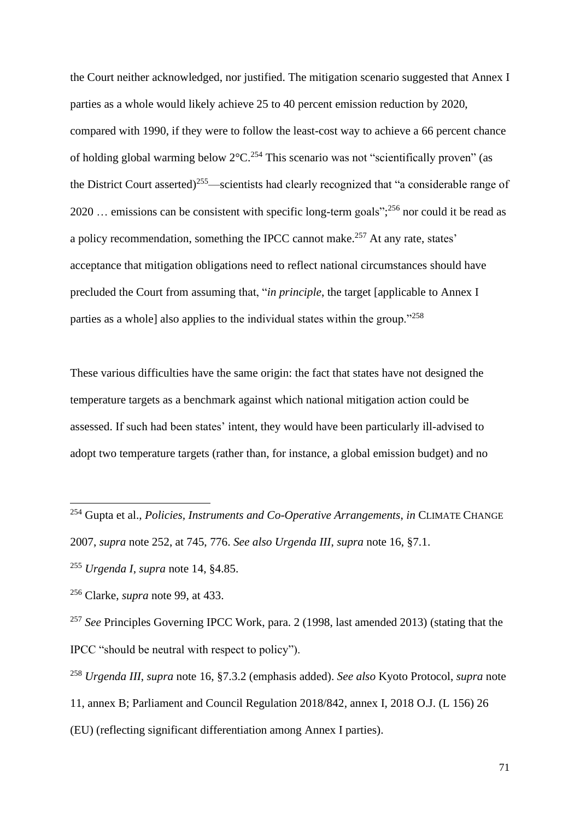the Court neither acknowledged, nor justified. The mitigation scenario suggested that Annex I parties as a whole would likely achieve 25 to 40 percent emission reduction by 2020, compared with 1990, if they were to follow the least-cost way to achieve a 66 percent chance of holding global warming below  $2^{\circ}$ C.<sup>254</sup> This scenario was not "scientifically proven" (as the District Court asserted)<sup>255</sup>—scientists had clearly recognized that "a considerable range of 2020 ... emissions can be consistent with specific long-term goals";  $^{256}$  nor could it be read as a policy recommendation, something the IPCC cannot make.<sup>257</sup> At any rate, states' acceptance that mitigation obligations need to reflect national circumstances should have precluded the Court from assuming that, "*in principle*, the target [applicable to Annex I parties as a whole] also applies to the individual states within the group."<sup>258</sup>

These various difficulties have the same origin: the fact that states have not designed the temperature targets as a benchmark against which national mitigation action could be assessed. If such had been states' intent, they would have been particularly ill-advised to adopt two temperature targets (rather than, for instance, a global emission budget) and no

<sup>254</sup> Gupta et al., *Policies, Instruments and Co-Operative Arrangements*, *in* CLIMATE CHANGE 2007, *supra* note [252,](#page-69-0) at 745, 776. *See also Urgenda III*, *supra* note [16,](#page-4-0) §7.1.

<sup>255</sup> *Urgenda I*, *supra* note [14,](#page-3-1) §4.85.

<sup>256</sup> Clarke, *supra* note [99,](#page-30-0) at 433.

<sup>&</sup>lt;sup>257</sup> See Principles Governing IPCC Work, para. 2 (1998, last amended 2013) (stating that the IPCC "should be neutral with respect to policy").

<sup>258</sup> *Urgenda III*, *supra* note [16,](#page-4-0) §7.3.2 (emphasis added). *See also* Kyoto Protocol, *supra* note

[<sup>11,</sup>](#page-2-0) annex B; Parliament and Council Regulation 2018/842, annex I, 2018 O.J. (L 156) 26

<sup>(</sup>EU) (reflecting significant differentiation among Annex I parties).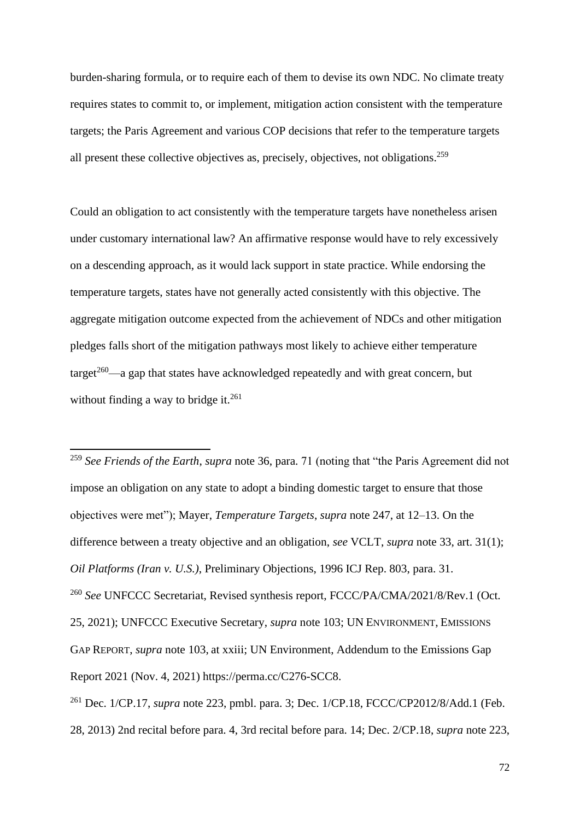burden-sharing formula, or to require each of them to devise its own NDC. No climate treaty requires states to commit to, or implement, mitigation action consistent with the temperature targets; the Paris Agreement and various COP decisions that refer to the temperature targets all present these collective objectives as, precisely, objectives, not obligations.<sup>259</sup>

Could an obligation to act consistently with the temperature targets have nonetheless arisen under customary international law? An affirmative response would have to rely excessively on a descending approach, as it would lack support in state practice. While endorsing the temperature targets, states have not generally acted consistently with this objective. The aggregate mitigation outcome expected from the achievement of NDCs and other mitigation pledges falls short of the mitigation pathways most likely to achieve either temperature  $target^{260}$ —a gap that states have acknowledged repeatedly and with great concern, but without finding a way to bridge it. $^{261}$ 

<sup>259</sup> *See Friends of the Earth*, *supra* note [36,](#page-9-1) para. 71 (noting that "the Paris Agreement did not impose an obligation on any state to adopt a binding domestic target to ensure that those objectives were met"); Mayer, *Temperature Targets*, *supra* note [247,](#page-68-0) at 12–13. On the difference between a treaty objective and an obligation, *see* VCLT, *supra* note [33,](#page-8-1) art. 31(1); *Oil Platforms (Iran v. U.S.)*, Preliminary Objections, 1996 ICJ Rep. 803, para. 31. <sup>260</sup> *See* UNFCCC Secretariat, Revised synthesis report, FCCC/PA/CMA/2021/8/Rev.1 (Oct. 25, 2021); UNFCCC Executive Secretary, *supra* note [103;](#page-30-2) UN ENVIRONMENT, EMISSIONS GAP REPORT, *supra* note [103,](#page-30-2) at xxiii; UN Environment, Addendum to the Emissions Gap Report 2021 (Nov. 4, 2021) https://perma.cc/C276-SCC8.

<sup>261</sup> Dec. 1/CP.17, *supra* note [223,](#page-62-0) pmbl. para. 3; Dec. 1/CP.18, FCCC/CP2012/8/Add.1 (Feb. 28, 2013) 2nd recital before para. 4, 3rd recital before para. 14; Dec. 2/CP.18, *supra* note [223,](#page-62-0)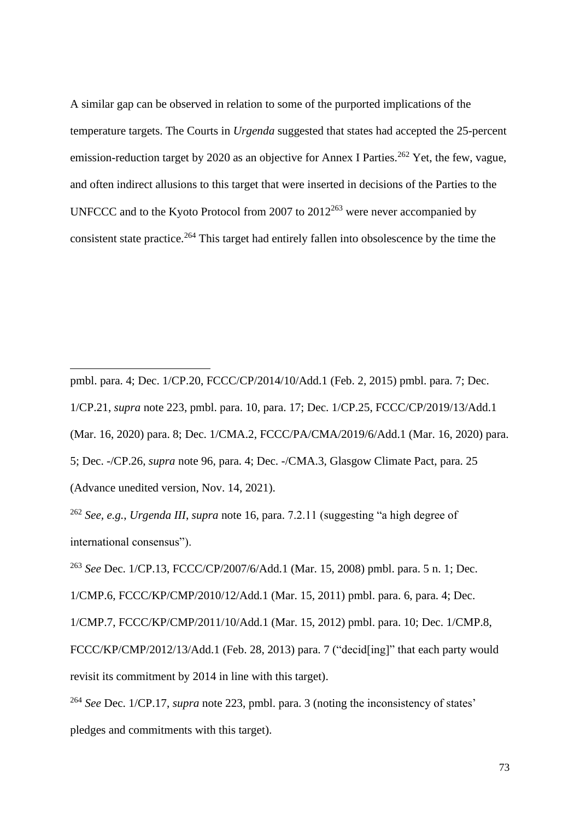A similar gap can be observed in relation to some of the purported implications of the temperature targets. The Courts in *Urgenda* suggested that states had accepted the 25-percent emission-reduction target by 2020 as an objective for Annex I Parties.<sup>262</sup> Yet, the few, vague, and often indirect allusions to this target that were inserted in decisions of the Parties to the UNFCCC and to the Kyoto Protocol from 2007 to  $2012^{263}$  were never accompanied by consistent state practice.<sup>264</sup> This target had entirely fallen into obsolescence by the time the

pmbl. para. 4; Dec. 1/CP.20, FCCC/CP/2014/10/Add.1 (Feb. 2, 2015) pmbl. para. 7; Dec. 1/CP.21, *supra* note [223,](#page-62-0) pmbl. para. 10, para. 17; Dec. 1/CP.25, FCCC/CP/2019/13/Add.1 (Mar. 16, 2020) para. 8; Dec. 1/CMA.2, FCCC/PA/CMA/2019/6/Add.1 (Mar. 16, 2020) para. 5; Dec. -/CP.26, *supra* note [96,](#page-29-0) para. 4; Dec. -/CMA.3, Glasgow Climate Pact, para. 25 (Advance unedited version, Nov. 14, 2021).

<sup>262</sup> *See, e.g.*, *Urgenda III*, *supra* note [16,](#page-4-0) para. 7.2.11 (suggesting "a high degree of international consensus").

<sup>263</sup> *See* Dec. 1/CP.13, FCCC/CP/2007/6/Add.1 (Mar. 15, 2008) pmbl. para. 5 n. 1; Dec.

1/CMP.6, FCCC/KP/CMP/2010/12/Add.1 (Mar. 15, 2011) pmbl. para. 6, para. 4; Dec.

1/CMP.7, FCCC/KP/CMP/2011/10/Add.1 (Mar. 15, 2012) pmbl. para. 10; Dec. 1/CMP.8, FCCC/KP/CMP/2012/13/Add.1 (Feb. 28, 2013) para. 7 ("decid[ing]" that each party would revisit its commitment by 2014 in line with this target).

<sup>264</sup> *See* Dec. 1/CP.17, *supra* note [223,](#page-62-0) pmbl. para. 3 (noting the inconsistency of states' pledges and commitments with this target).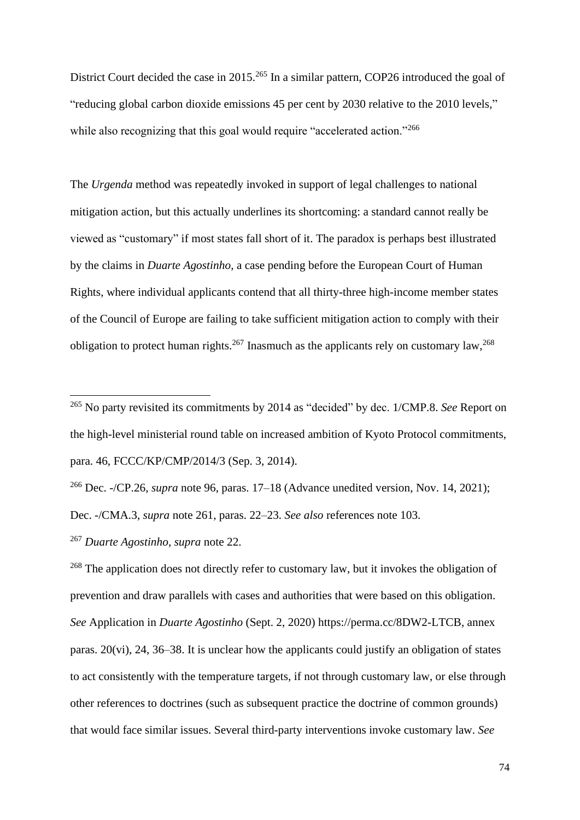District Court decided the case in 2015.<sup>265</sup> In a similar pattern, COP26 introduced the goal of "reducing global carbon dioxide emissions 45 per cent by 2030 relative to the 2010 levels," while also recognizing that this goal would require "accelerated action."<sup>266</sup>

The *Urgenda* method was repeatedly invoked in support of legal challenges to national mitigation action, but this actually underlines its shortcoming: a standard cannot really be viewed as "customary" if most states fall short of it. The paradox is perhaps best illustrated by the claims in *Duarte Agostinho*, a case pending before the European Court of Human Rights, where individual applicants contend that all thirty-three high-income member states of the Council of Europe are failing to take sufficient mitigation action to comply with their obligation to protect human rights.<sup>267</sup> Inasmuch as the applicants rely on customary law,<sup>268</sup>

<sup>265</sup> No party revisited its commitments by 2014 as "decided" by dec. 1/CMP.8. *See* Report on the high-level ministerial round table on increased ambition of Kyoto Protocol commitments, para. 46, FCCC/KP/CMP/2014/3 (Sep. 3, 2014).

<sup>266</sup> Dec. -/CP.26, *supra* note [96,](#page-29-0) paras. 17–18 (Advance unedited version, Nov. 14, 2021); Dec. -/CMA.3, *supra* note [261,](#page-71-0) paras. 22–23. *See also* references note [103.](#page-30-0) <sup>267</sup> *Duarte Agostinho*, *supra* note [22.](#page-5-0)

<sup>&</sup>lt;sup>268</sup> The application does not directly refer to customary law, but it invokes the obligation of prevention and draw parallels with cases and authorities that were based on this obligation. *See* Application in *Duarte Agostinho* (Sept. 2, 2020) https://perma.cc/8DW2-LTCB, annex paras. 20(vi), 24, 36–38. It is unclear how the applicants could justify an obligation of states to act consistently with the temperature targets, if not through customary law, or else through other references to doctrines (such as subsequent practice the doctrine of common grounds) that would face similar issues. Several third-party interventions invoke customary law. *See*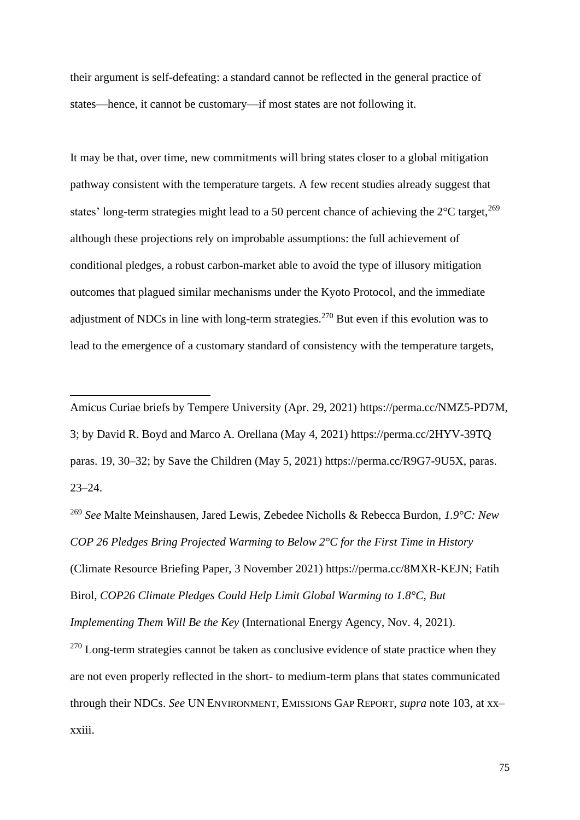their argument is self-defeating: a standard cannot be reflected in the general practice of states—hence, it cannot be customary—if most states are not following it.

It may be that, over time, new commitments will bring states closer to a global mitigation pathway consistent with the temperature targets. A few recent studies already suggest that states' long-term strategies might lead to a 50 percent chance of achieving the  $2^{\circ}$ C target,  $2^{69}$ although these projections rely on improbable assumptions: the full achievement of conditional pledges, a robust carbon-market able to avoid the type of illusory mitigation outcomes that plagued similar mechanisms under the Kyoto Protocol, and the immediate adjustment of NDCs in line with long-term strategies.<sup>270</sup> But even if this evolution was to lead to the emergence of a customary standard of consistency with the temperature targets,

Amicus Curiae briefs by Tempere University (Apr. 29, 2021) https://perma.cc/NMZ5-PD7M, 3; by David R. Boyd and Marco A. Orellana (May 4, 2021) https://perma.cc/2HYV-39TQ paras. 19, 30–32; by Save the Children (May 5, 2021) https://perma.cc/R9G7-9U5X, paras. 23–24.

<sup>269</sup> *See* Malte Meinshausen, Jared Lewis, Zebedee Nicholls & Rebecca Burdon, *1.9°C: New COP 26 Pledges Bring Projected Warming to Below 2°C for the First Time in History*  (Climate Resource Briefing Paper, 3 November 2021) https://perma.cc/8MXR-KEJN; Fatih Birol, *COP26 Climate Pledges Could Help Limit Global Warming to 1.8°C, But Implementing Them Will Be the Key* (International Energy Agency, Nov. 4, 2021).  $270$  Long-term strategies cannot be taken as conclusive evidence of state practice when they

are not even properly reflected in the short- to medium-term plans that states communicated through their NDCs. *See* UN ENVIRONMENT, EMISSIONS GAP REPORT, *supra* note [103,](#page-30-0) at xx– xxiii.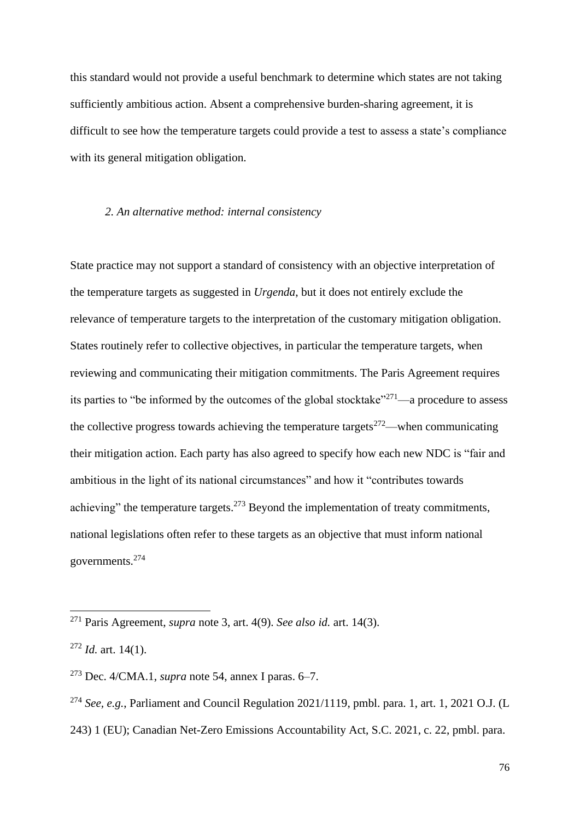this standard would not provide a useful benchmark to determine which states are not taking sufficiently ambitious action. Absent a comprehensive burden-sharing agreement, it is difficult to see how the temperature targets could provide a test to assess a state's compliance with its general mitigation obligation.

## *2. An alternative method: internal consistency*

State practice may not support a standard of consistency with an objective interpretation of the temperature targets as suggested in *Urgenda*, but it does not entirely exclude the relevance of temperature targets to the interpretation of the customary mitigation obligation. States routinely refer to collective objectives, in particular the temperature targets, when reviewing and communicating their mitigation commitments. The Paris Agreement requires its parties to "be informed by the outcomes of the global stocktake" $^{271}$ —a procedure to assess the collective progress towards achieving the temperature targets<sup>272</sup>—when communicating their mitigation action. Each party has also agreed to specify how each new NDC is "fair and ambitious in the light of its national circumstances" and how it "contributes towards achieving" the temperature targets.<sup>273</sup> Beyond the implementation of treaty commitments, national legislations often refer to these targets as an objective that must inform national governments. 274

<span id="page-75-0"></span><sup>271</sup> Paris Agreement, *supra* note [3,](#page-1-0) art. 4(9). *See also id.* art. 14(3).

<sup>272</sup> *Id.* art. 14(1).

<sup>273</sup> Dec. 4/CMA.1, *supra* note [54,](#page-17-0) annex I paras. 6–7.

<sup>274</sup> *See, e.g.*, Parliament and Council Regulation 2021/1119, pmbl. para. 1, art. 1, 2021 O.J. (L

<sup>243) 1 (</sup>EU); Canadian Net-Zero Emissions Accountability Act, S.C. 2021, c. 22, pmbl. para.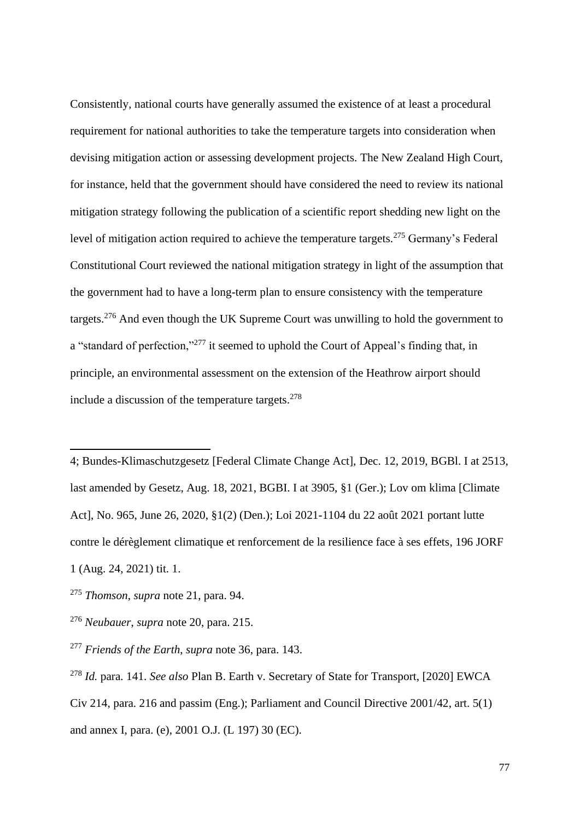Consistently, national courts have generally assumed the existence of at least a procedural requirement for national authorities to take the temperature targets into consideration when devising mitigation action or assessing development projects. The New Zealand High Court, for instance, held that the government should have considered the need to review its national mitigation strategy following the publication of a scientific report shedding new light on the level of mitigation action required to achieve the temperature targets.<sup>275</sup> Germany's Federal Constitutional Court reviewed the national mitigation strategy in light of the assumption that the government had to have a long-term plan to ensure consistency with the temperature targets.<sup>276</sup> And even though the UK Supreme Court was unwilling to hold the government to a "standard of perfection,"<sup>277</sup> it seemed to uphold the Court of Appeal's finding that, in principle, an environmental assessment on the extension of the Heathrow airport should include a discussion of the temperature targets. $278$ 

4; Bundes-Klimaschutzgesetz [Federal Climate Change Act], Dec. 12, 2019, BGBl. I at 2513, last amended by Gesetz, Aug. 18, 2021, BGBI. I at 3905, §1 (Ger.); Lov om klima [Climate Act], No. 965, June 26, 2020, §1(2) (Den.); Loi 2021-1104 du 22 août 2021 portant lutte contre le dérèglement climatique et renforcement de la resilience face à ses effets, 196 JORF 1 (Aug. 24, 2021) tit. 1.

<sup>275</sup> *Thomson*, *supra* note [21,](#page-5-1) para. 94.

<sup>276</sup> *Neubauer*, *supra* note [20,](#page-5-2) para. 215.

<sup>277</sup> *Friends of the Earth*, *supra* note [36,](#page-9-0) para. 143.

<sup>278</sup> *Id.* para. 141. *See also* Plan B. Earth v. Secretary of State for Transport, [2020] EWCA Civ 214, para. 216 and passim (Eng.); Parliament and Council Directive 2001/42, art. 5(1) and annex I, para. (e), 2001 O.J. (L 197) 30 (EC).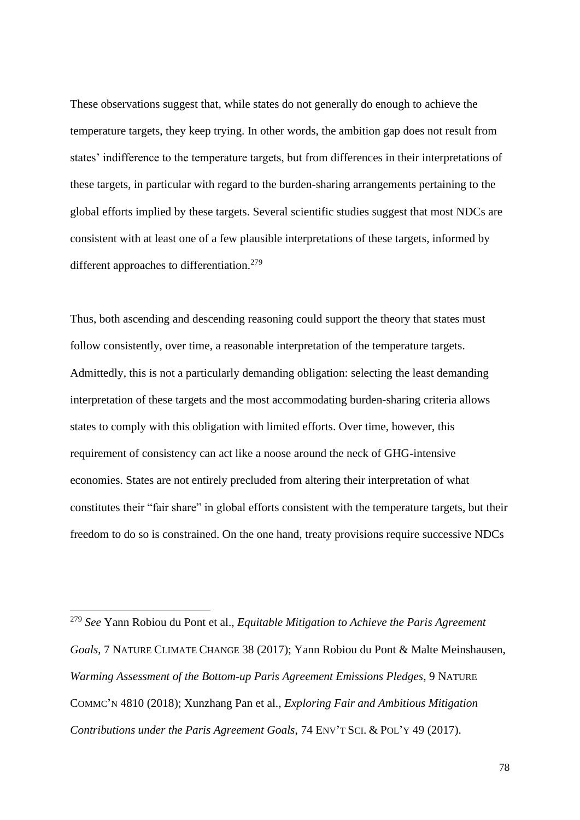These observations suggest that, while states do not generally do enough to achieve the temperature targets, they keep trying. In other words, the ambition gap does not result from states' indifference to the temperature targets, but from differences in their interpretations of these targets, in particular with regard to the burden-sharing arrangements pertaining to the global efforts implied by these targets. Several scientific studies suggest that most NDCs are consistent with at least one of a few plausible interpretations of these targets, informed by different approaches to differentiation.<sup>279</sup>

Thus, both ascending and descending reasoning could support the theory that states must follow consistently, over time, a reasonable interpretation of the temperature targets. Admittedly, this is not a particularly demanding obligation: selecting the least demanding interpretation of these targets and the most accommodating burden-sharing criteria allows states to comply with this obligation with limited efforts. Over time, however, this requirement of consistency can act like a noose around the neck of GHG-intensive economies. States are not entirely precluded from altering their interpretation of what constitutes their "fair share" in global efforts consistent with the temperature targets, but their freedom to do so is constrained. On the one hand, treaty provisions require successive NDCs

<sup>279</sup> *See* Yann Robiou du Pont et al., *Equitable Mitigation to Achieve the Paris Agreement Goals*, 7 NATURE CLIMATE CHANGE 38 (2017); Yann Robiou du Pont & Malte Meinshausen, *Warming Assessment of the Bottom-up Paris Agreement Emissions Pledges*, 9 NATURE COMMC'N 4810 (2018); Xunzhang Pan et al., *Exploring Fair and Ambitious Mitigation Contributions under the Paris Agreement Goals*, 74 ENV'T SCI. & POL'Y 49 (2017).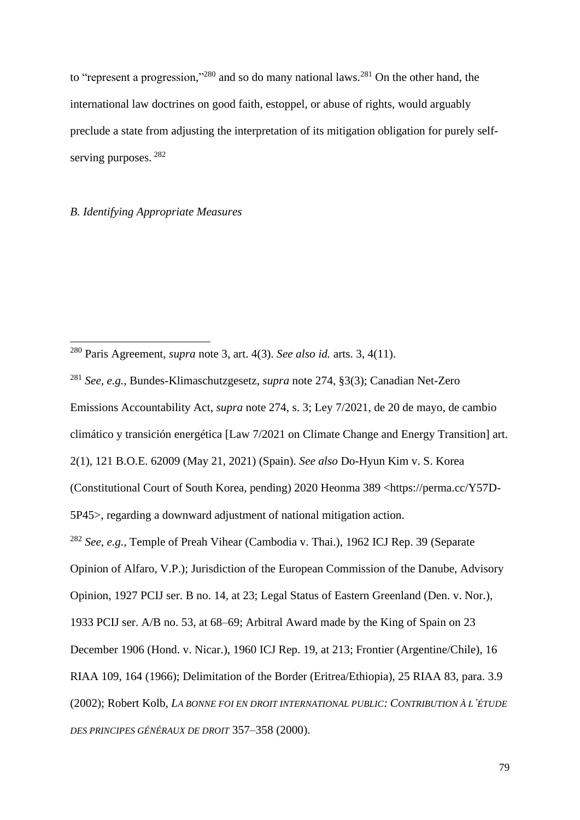to "represent a progression,"<sup>280</sup> and so do many national laws.<sup>281</sup> On the other hand, the international law doctrines on good faith, estoppel, or abuse of rights, would arguably preclude a state from adjusting the interpretation of its mitigation obligation for purely selfserving purposes.  $^{282}$ 

## *B. Identifying Appropriate Measures*

<sup>280</sup> Paris Agreement, *supra* note [3,](#page-1-0) art. 4(3). *See also id.* arts. 3, 4(11).

<sup>281</sup> *See, e.g.*, Bundes-Klimaschutzgesetz, *supra* note [274,](#page-75-0) §3(3); Canadian Net-Zero Emissions Accountability Act, *supra* note [274,](#page-75-0) s. 3; Ley 7/2021, de 20 de mayo, de cambio climático y transición energética [Law 7/2021 on Climate Change and Energy Transition] art. 2(1), 121 B.O.E. 62009 (May 21, 2021) (Spain). *See also* Do-Hyun Kim v. S. Korea (Constitutional Court of South Korea, pending) 2020 Heonma 389 <https://perma.cc/Y57D-5P45>, regarding a downward adjustment of national mitigation action. <sup>282</sup> *See, e.g.*, Temple of Preah Vihear (Cambodia v. Thai.), 1962 ICJ Rep. 39 (Separate Opinion of Alfaro, V.P.); Jurisdiction of the European Commission of the Danube, Advisory Opinion, 1927 PCIJ ser. B no. 14, at 23; Legal Status of Eastern Greenland (Den. v. Nor.), 1933 PCIJ ser. A/B no. 53, at 68–69; Arbitral Award made by the King of Spain on 23 December 1906 (Hond. v. Nicar.), 1960 ICJ Rep. 19, at 213; Frontier (Argentine/Chile), 16 RIAA 109, 164 (1966); Delimitation of the Border (Eritrea/Ethiopia), 25 RIAA 83, para. 3.9 (2002); Robert Kolb, *LA BONNE FOI EN DROIT INTERNATIONAL PUBLIC: CONTRIBUTION À L'ÉTUDE DES PRINCIPES GÉNÉRAUX DE DROIT* 357–358 (2000).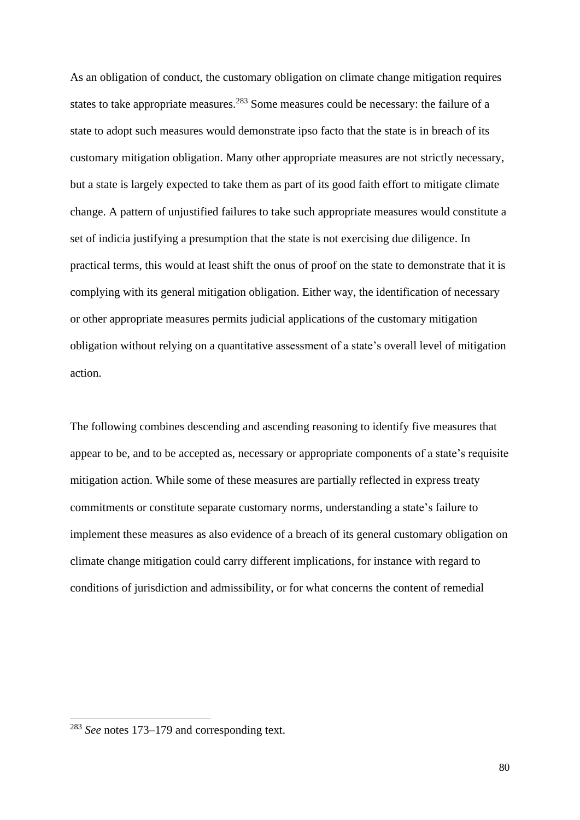As an obligation of conduct, the customary obligation on climate change mitigation requires states to take appropriate measures.<sup>283</sup> Some measures could be necessary: the failure of a state to adopt such measures would demonstrate ipso facto that the state is in breach of its customary mitigation obligation. Many other appropriate measures are not strictly necessary, but a state is largely expected to take them as part of its good faith effort to mitigate climate change. A pattern of unjustified failures to take such appropriate measures would constitute a set of indicia justifying a presumption that the state is not exercising due diligence. In practical terms, this would at least shift the onus of proof on the state to demonstrate that it is complying with its general mitigation obligation. Either way, the identification of necessary or other appropriate measures permits judicial applications of the customary mitigation obligation without relying on a quantitative assessment of a state's overall level of mitigation action.

The following combines descending and ascending reasoning to identify five measures that appear to be, and to be accepted as, necessary or appropriate components of a state's requisite mitigation action. While some of these measures are partially reflected in express treaty commitments or constitute separate customary norms, understanding a state's failure to implement these measures as also evidence of a breach of its general customary obligation on climate change mitigation could carry different implications, for instance with regard to conditions of jurisdiction and admissibility, or for what concerns the content of remedial

<sup>283</sup> *See* notes [173](#page-49-0)[–179](#page-50-0) and corresponding text.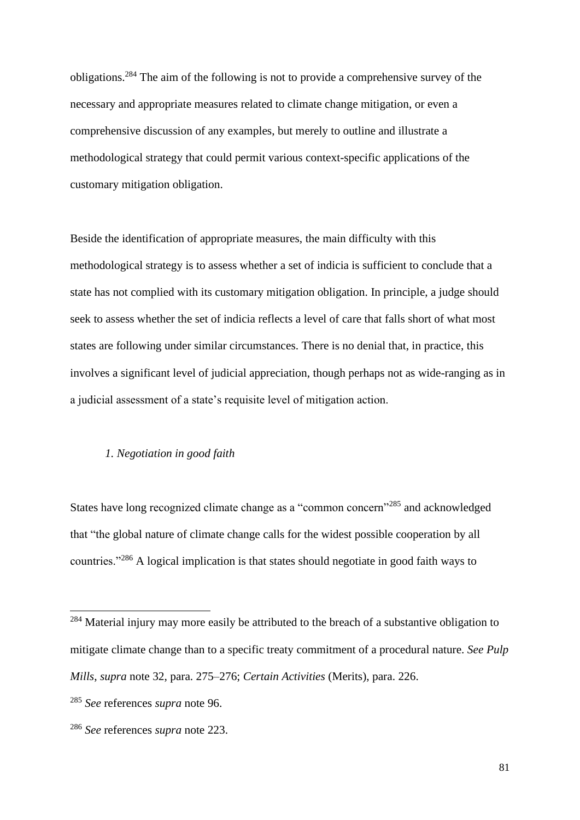obligations.<sup>284</sup> The aim of the following is not to provide a comprehensive survey of the necessary and appropriate measures related to climate change mitigation, or even a comprehensive discussion of any examples, but merely to outline and illustrate a methodological strategy that could permit various context-specific applications of the customary mitigation obligation.

Beside the identification of appropriate measures, the main difficulty with this methodological strategy is to assess whether a set of indicia is sufficient to conclude that a state has not complied with its customary mitigation obligation. In principle, a judge should seek to assess whether the set of indicia reflects a level of care that falls short of what most states are following under similar circumstances. There is no denial that, in practice, this involves a significant level of judicial appreciation, though perhaps not as wide-ranging as in a judicial assessment of a state's requisite level of mitigation action.

# *1. Negotiation in good faith*

States have long recognized climate change as a "common concern"<sup>285</sup> and acknowledged that "the global nature of climate change calls for the widest possible cooperation by all countries."<sup>286</sup> A logical implication is that states should negotiate in good faith ways to

<sup>&</sup>lt;sup>284</sup> Material injury may more easily be attributed to the breach of a substantive obligation to mitigate climate change than to a specific treaty commitment of a procedural nature. *See Pulp Mills*, *supra* note [32,](#page-8-0) para. 275–276; *Certain Activities* (Merits), para. 226.

<sup>285</sup> *See* references *supra* note [96.](#page-29-0)

<sup>286</sup> *See* references *supra* note [223.](#page-62-0)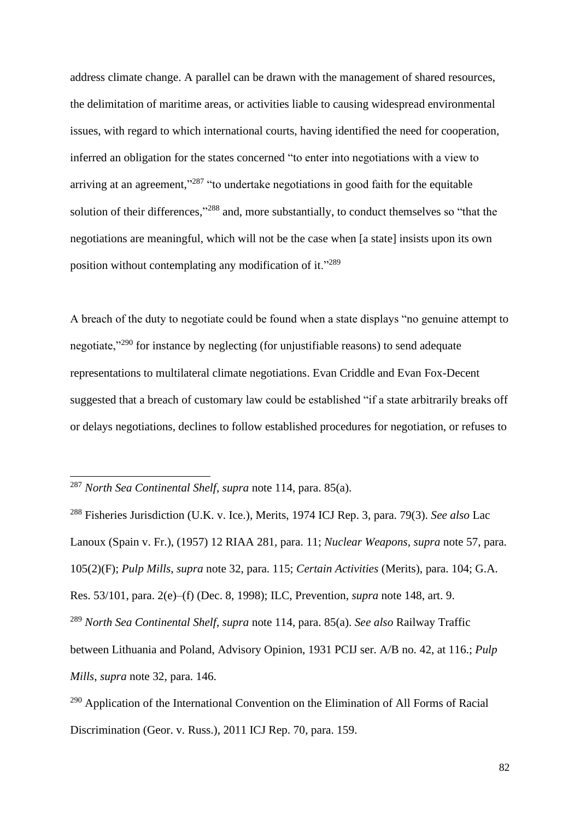address climate change. A parallel can be drawn with the management of shared resources, the delimitation of maritime areas, or activities liable to causing widespread environmental issues, with regard to which international courts, having identified the need for cooperation, inferred an obligation for the states concerned "to enter into negotiations with a view to arriving at an agreement,"<sup>287</sup> "to undertake negotiations in good faith for the equitable solution of their differences,"<sup>288</sup> and, more substantially, to conduct themselves so "that the negotiations are meaningful, which will not be the case when [a state] insists upon its own position without contemplating any modification of it."<sup>289</sup>

<span id="page-81-0"></span>A breach of the duty to negotiate could be found when a state displays "no genuine attempt to negotiate,"<sup>290</sup> for instance by neglecting (for unjustifiable reasons) to send adequate representations to multilateral climate negotiations. Evan Criddle and Evan Fox-Decent suggested that a breach of customary law could be established "if a state arbitrarily breaks off or delays negotiations, declines to follow established procedures for negotiation, or refuses to

<sup>287</sup> *North Sea Continental Shelf*, *supra* note [114,](#page-33-0) para. 85(a).

<sup>288</sup> Fisheries Jurisdiction (U.K. v. Ice.), Merits, 1974 ICJ Rep. 3, para. 79(3). *See also* Lac Lanoux (Spain v. Fr.), (1957) 12 RIAA 281, para. 11; *Nuclear Weapons*, *supra* note [57,](#page-18-0) para. 105(2)(F); *Pulp Mills*, *supra* note [32,](#page-8-0) para. 115; *Certain Activities* (Merits), para. 104; G.A. Res. 53/101, para. 2(e)–(f) (Dec. 8, 1998); ILC, Prevention, *supra* note [148,](#page-43-0) art. 9. <sup>289</sup> *North Sea Continental Shelf*, *supra* note [114,](#page-33-0) para. 85(a). *See also* Railway Traffic between Lithuania and Poland, Advisory Opinion, 1931 PCIJ ser. A/B no. 42, at 116.; *Pulp Mills*, *supra* note [32,](#page-8-0) para. 146.

<sup>290</sup> Application of the International Convention on the Elimination of All Forms of Racial Discrimination (Geor. v. Russ.), 2011 ICJ Rep. 70, para. 159.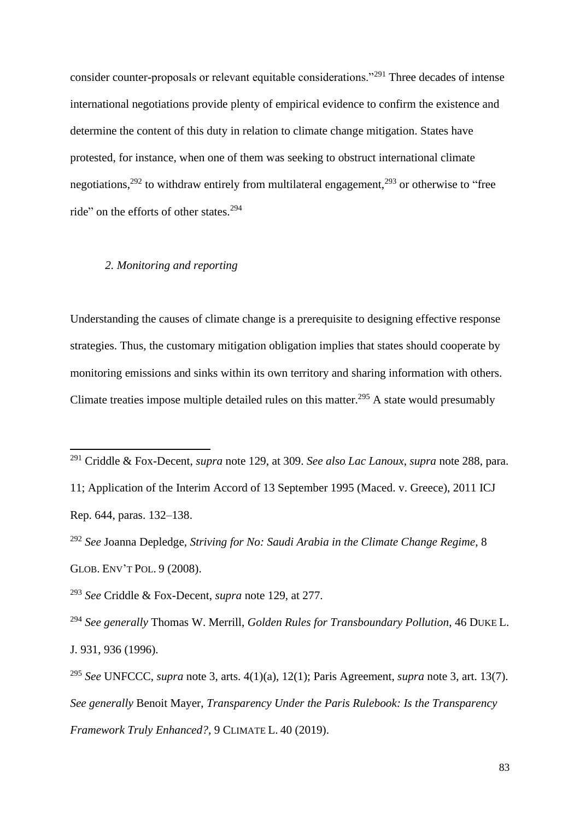consider counter-proposals or relevant equitable considerations."<sup>291</sup> Three decades of intense international negotiations provide plenty of empirical evidence to confirm the existence and determine the content of this duty in relation to climate change mitigation. States have protested, for instance, when one of them was seeking to obstruct international climate negotiations,<sup>292</sup> to withdraw entirely from multilateral engagement,<sup>293</sup> or otherwise to "free ride" on the efforts of other states.<sup>294</sup>

# *2. Monitoring and reporting*

Understanding the causes of climate change is a prerequisite to designing effective response strategies. Thus, the customary mitigation obligation implies that states should cooperate by monitoring emissions and sinks within its own territory and sharing information with others. Climate treaties impose multiple detailed rules on this matter.<sup>295</sup> A state would presumably

<sup>291</sup> Criddle & Fox-Decent, *supra* note [129,](#page-36-0) at 309. *See also Lac Lanoux*, *supra* note [288,](#page-81-0) para.

<sup>11;</sup> Application of the Interim Accord of 13 September 1995 (Maced. v. Greece), 2011 ICJ Rep. 644, paras. 132–138.

<sup>292</sup> *See* Joanna Depledge, *Striving for No: Saudi Arabia in the Climate Change Regime*, 8 GLOB. ENV'T POL. 9 (2008).

<sup>293</sup> *See* Criddle & Fox-Decent, *supra* note [129,](#page-36-0) at 277.

<sup>294</sup> *See generally* Thomas W. Merrill, *Golden Rules for Transboundary Pollution*, 46 DUKE L. J. 931, 936 (1996).

<sup>295</sup> *See* UNFCCC, *supra* note [3,](#page-1-0) arts. 4(1)(a), 12(1); Paris Agreement, *supra* note [3,](#page-1-0) art. 13(7). *See generally* Benoit Mayer, *Transparency Under the Paris Rulebook: Is the Transparency Framework Truly Enhanced?*, 9 CLIMATE L. 40 (2019).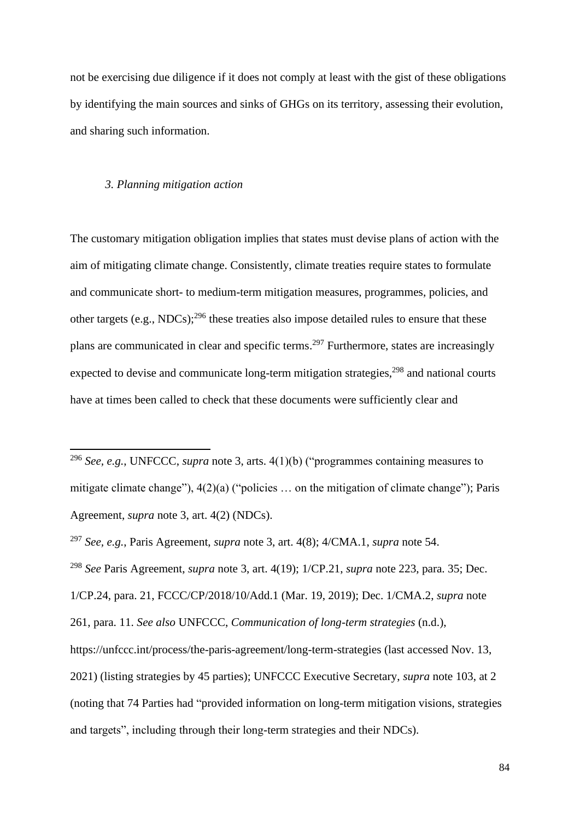not be exercising due diligence if it does not comply at least with the gist of these obligations by identifying the main sources and sinks of GHGs on its territory, assessing their evolution, and sharing such information.

#### *3. Planning mitigation action*

The customary mitigation obligation implies that states must devise plans of action with the aim of mitigating climate change. Consistently, climate treaties require states to formulate and communicate short- to medium-term mitigation measures, programmes, policies, and other targets (e.g., NDCs); $^{296}$  these treaties also impose detailed rules to ensure that these plans are communicated in clear and specific terms.<sup>297</sup> Furthermore, states are increasingly expected to devise and communicate long-term mitigation strategies,<sup>298</sup> and national courts have at times been called to check that these documents were sufficiently clear and

<sup>298</sup> *See* Paris Agreement, *supra* note [3,](#page-1-0) art. 4(19); 1/CP.21, *supra* note [223,](#page-62-0) para. 35; Dec.

1/CP.24, para. 21, FCCC/CP/2018/10/Add.1 (Mar. 19, 2019); Dec. 1/CMA.2, *supra* note [261,](#page-71-0) para. 11. *See also* UNFCCC, *Communication of long-term strategies* (n.d.),

https://unfccc.int/process/the-paris-agreement/long-term-strategies (last accessed Nov. 13, 2021) (listing strategies by 45 parties); UNFCCC Executive Secretary, *supra* note [103,](#page-30-0) at 2 (noting that 74 Parties had "provided information on long-term mitigation visions, strategies and targets", including through their long-term strategies and their NDCs).

<span id="page-83-0"></span><sup>296</sup> *See, e.g.*, UNFCCC, *supra* note [3,](#page-1-0) arts. 4(1)(b) ("programmes containing measures to mitigate climate change"), 4(2)(a) ("policies … on the mitigation of climate change"); Paris Agreement, *supra* note [3,](#page-1-0) art. 4(2) (NDCs).

<sup>297</sup> *See, e.g.*, Paris Agreement, *supra* note [3,](#page-1-0) art. 4(8); 4/CMA.1, *supra* note [54.](#page-17-0)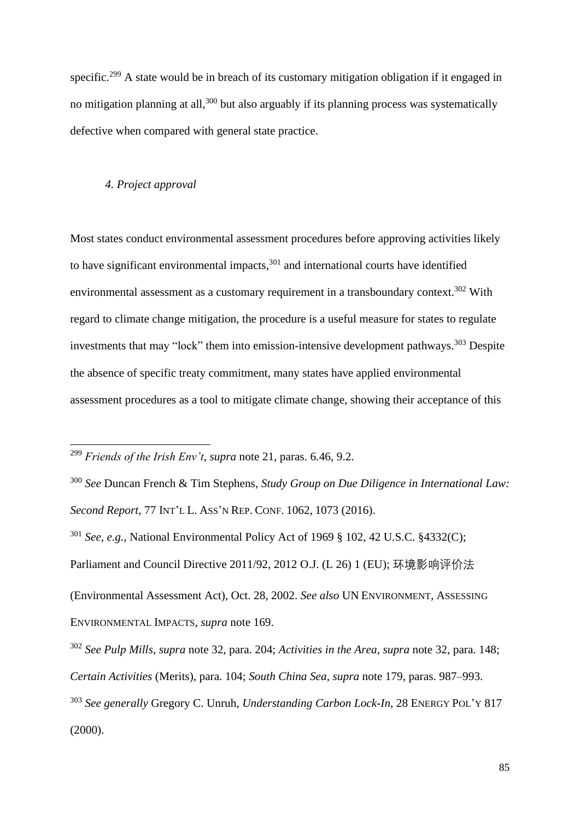specific.<sup>299</sup> A state would be in breach of its customary mitigation obligation if it engaged in no mitigation planning at all,<sup>300</sup> but also arguably if its planning process was systematically defective when compared with general state practice.

## *4. Project approval*

Most states conduct environmental assessment procedures before approving activities likely to have significant environmental impacts, $301$  and international courts have identified environmental assessment as a customary requirement in a transboundary context.<sup>302</sup> With regard to climate change mitigation, the procedure is a useful measure for states to regulate investments that may "lock" them into emission-intensive development pathways.<sup>303</sup> Despite the absence of specific treaty commitment, many states have applied environmental assessment procedures as a tool to mitigate climate change, showing their acceptance of this

<sup>299</sup> *Friends of the Irish Env't*, *supra* note [21,](#page-5-1) paras. 6.46, 9.2.

<sup>300</sup> *See* Duncan French & Tim Stephens, *Study Group on Due Diligence in International Law: Second Report*, 77 INT'L L. ASS'N REP. CONF. 1062, 1073 (2016). <sup>301</sup> *See, e.g.*, National Environmental Policy Act of 1969 § 102, 42 U.S.C. §4332(C); Parliament and Council Directive 2011/92, 2012 O.J. (L 26) 1 (EU); 环境影响评价法 (Environmental Assessment Act), Oct. 28, 2002. *See also* UN ENVIRONMENT, ASSESSING ENVIRONMENTAL IMPACTS, *supra* note [169.](#page-48-0)

<sup>302</sup> *See Pulp Mills*, *supra* note [32,](#page-8-0) para. 204; *Activities in the Area*, *supra* note [32,](#page-8-0) para. 148; *Certain Activities* (Merits), para. 104; *South China Sea*, *supra* note [179,](#page-50-0) paras. 987–993. <sup>303</sup> *See generally* Gregory C. Unruh, *Understanding Carbon Lock-In*, 28 ENERGY POL'Y 817 (2000).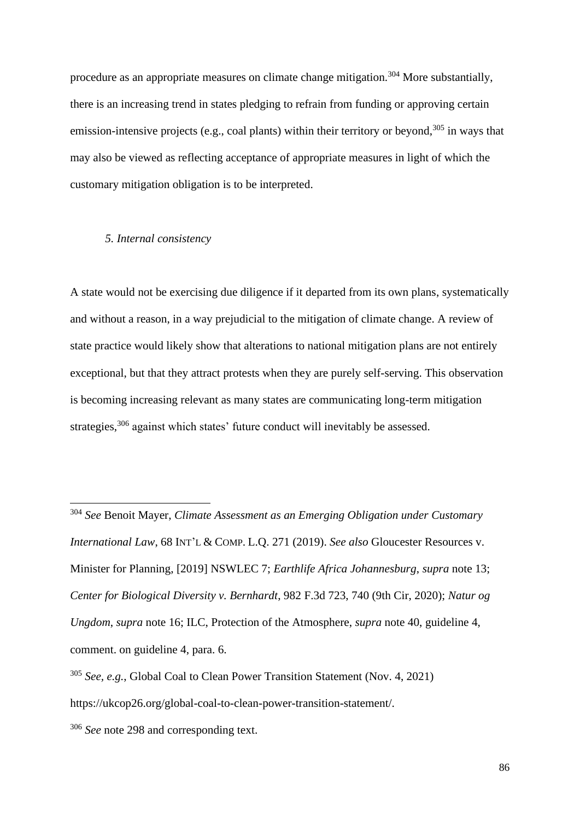procedure as an appropriate measures on climate change mitigation.<sup>304</sup> More substantially, there is an increasing trend in states pledging to refrain from funding or approving certain emission-intensive projects (e.g., coal plants) within their territory or beyond,  $305$  in ways that may also be viewed as reflecting acceptance of appropriate measures in light of which the customary mitigation obligation is to be interpreted.

### *5. Internal consistency*

A state would not be exercising due diligence if it departed from its own plans, systematically and without a reason, in a way prejudicial to the mitigation of climate change. A review of state practice would likely show that alterations to national mitigation plans are not entirely exceptional, but that they attract protests when they are purely self-serving. This observation is becoming increasing relevant as many states are communicating long-term mitigation strategies,<sup>306</sup> against which states' future conduct will inevitably be assessed.

<sup>304</sup> *See* Benoit Mayer, *Climate Assessment as an Emerging Obligation under Customary International Law*, 68 INT'L & COMP. L.Q. 271 (2019). *See also* Gloucester Resources v. Minister for Planning, [2019] NSWLEC 7; *Earthlife Africa Johannesburg*, *supra* note [13;](#page-3-0) *Center for Biological Diversity v. Bernhardt*, 982 F.3d 723, 740 (9th Cir, 2020); *Natur og Ungdom*, *supra* note [16;](#page-4-0) ILC, Protection of the Atmosphere, *supra* note [40,](#page-10-0) guideline 4, comment. on guideline 4, para. 6.

<sup>305</sup> *See, e.g.*, Global Coal to Clean Power Transition Statement (Nov. 4, 2021) https://ukcop26.org/global-coal-to-clean-power-transition-statement/.

<sup>&</sup>lt;sup>306</sup> *See* note [298](#page-83-0) and corresponding text.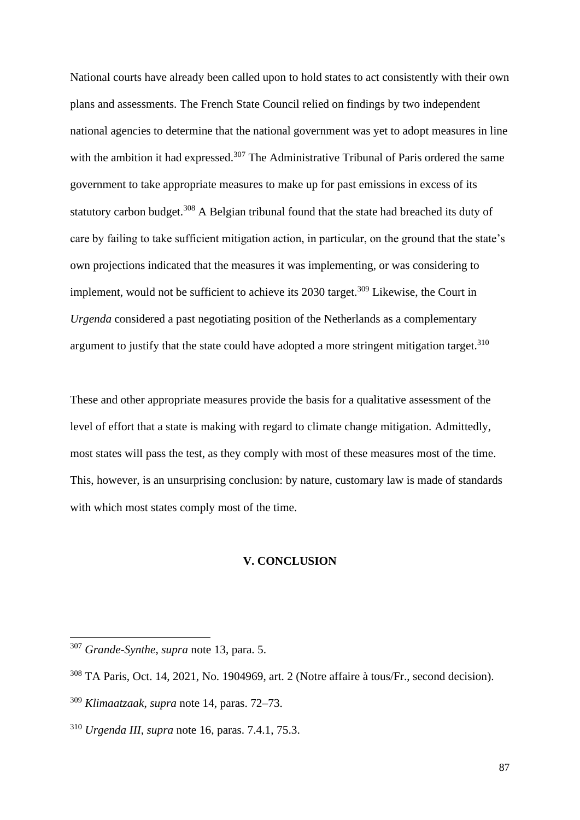National courts have already been called upon to hold states to act consistently with their own plans and assessments. The French State Council relied on findings by two independent national agencies to determine that the national government was yet to adopt measures in line with the ambition it had expressed.<sup>307</sup> The Administrative Tribunal of Paris ordered the same government to take appropriate measures to make up for past emissions in excess of its statutory carbon budget.<sup>308</sup> A Belgian tribunal found that the state had breached its duty of care by failing to take sufficient mitigation action, in particular, on the ground that the state's own projections indicated that the measures it was implementing, or was considering to implement, would not be sufficient to achieve its 2030 target.<sup>309</sup> Likewise, the Court in *Urgenda* considered a past negotiating position of the Netherlands as a complementary argument to justify that the state could have adopted a more stringent mitigation target.<sup>310</sup>

These and other appropriate measures provide the basis for a qualitative assessment of the level of effort that a state is making with regard to climate change mitigation. Admittedly, most states will pass the test, as they comply with most of these measures most of the time. This, however, is an unsurprising conclusion: by nature, customary law is made of standards with which most states comply most of the time.

### **V. CONCLUSION**

<sup>307</sup> *Grande-Synthe*, *supra* note [13,](#page-3-0) para. 5.

<sup>308</sup> TA Paris, Oct. 14, 2021, No. 1904969, art. 2 (Notre affaire à tous/Fr., second decision).

<sup>309</sup> *Klimaatzaak*, *supra* not[e 14,](#page-3-1) paras. 72–73.

<sup>310</sup> *Urgenda III*, *supra* note [16,](#page-4-0) paras. 7.4.1, 75.3.